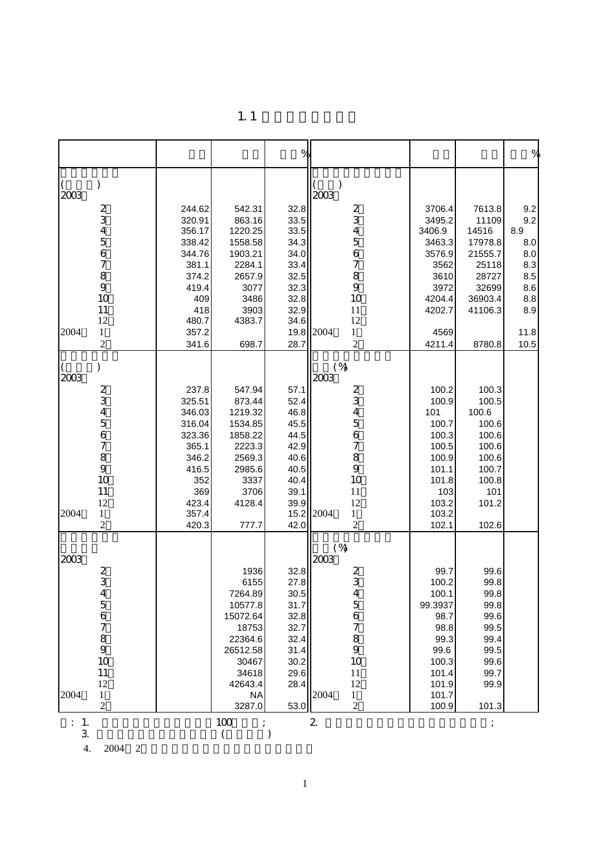|                         |                |           | $\%$         |                                |                |         | $\%$         |
|-------------------------|----------------|-----------|--------------|--------------------------------|----------------|---------|--------------|
| )<br>$\left($<br>2003   |                |           |              | 2003                           |                |         |              |
| $\overline{\mathbf{c}}$ | 244.62         | 542.31    | 32.8         |                                | 3706.4         | 7613.8  | 9.2          |
| 3                       | 320.91         | 863.16    | 33.5         | 2<br>3<br>4                    | 3495.2         | 11109   | 9.2          |
| 4                       | 356.17         | 1220.25   | 33.5         |                                | 3406.9         | 14516   | 8.9          |
| 5                       | 338.42         | 1558.58   | 34.3         | 5                              | 3463.3         | 17978.8 | 8.0          |
| 6                       | 344.76         | 1903.21   | 34.0         | 6                              | 3576.9         | 21555.7 | 8.0          |
| 7                       | 381.1          | 2284.1    | 33.4         | 7                              | 3562           | 25118   | 8.3          |
| 8                       | 374.2          | 2657.9    | 32.5         | 8                              | 3610           | 28727   | 8.5          |
| 9                       | 419.4          | 3077      | 32.3         | 9                              | 3972           | 32699   | 8.6          |
| 10                      | 409            | 3486      | 32.8         | 10                             | 4204.4         | 36903.4 | 8.8          |
| 11<br>12                | 418            | 3903      | 32.9         | 11                             | 4202.7         | 41106.3 | 8.9          |
| 2004<br>$\mathbf{1}$    | 480.7          | 4383.7    | 34.6         | 12<br>2004                     |                |         |              |
| $\overline{c}$          | 357.2<br>341.6 | 698.7     | 19.8<br>28.7 | $\mathbf{1}$<br>$\overline{c}$ | 4569<br>4211.4 | 8780.8  | 11.8<br>10.5 |
|                         |                |           |              |                                |                |         |              |
| )<br>$\left($           |                |           |              | $(\%)$                         |                |         |              |
| 2003                    |                |           |              | 2003                           |                |         |              |
|                         | 237.8          | 547.94    | 57.1         |                                | 100.2          | 100.3   |              |
| $\frac{2}{3}$           | 325.51         | 873.44    | 52.4         | 2<br>3                         | 100.9          | 100.5   |              |
| 4                       | 346.03         | 1219.32   | 46.8         | 4                              | 101            | 100.6   |              |
| 5                       | 316.04         | 1534.85   | 45.5         | 5                              | 100.7          | 100.6   |              |
| 6                       | 323.36         | 1858.22   | 44.5         | 6                              | 100.3          | 100.6   |              |
| 7                       | 365.1          | 2223.3    | 42.9         | 7                              | 100.5          | 100.6   |              |
| 8                       | 346.2          | 2569.3    | 40.6         | 8                              | 100.9          | 100.6   |              |
| 9                       | 416.5          | 2985.6    | 40.5         | 9                              | 101.1          | 100.7   |              |
| 10                      | 352            | 3337      | 40.4         | 10                             | 101.8          | 100.8   |              |
| 11                      | 369            | 3706      | 39.1         | 11                             | 103            | 101     |              |
| 12                      | 423.4          | 4128.4    | 39.9         | 12                             | 103.2          | 101.2   |              |
| 2004<br>1               | 357.4          |           | 15.2         | 2004<br>$\mathbf{1}$           | 103.2          |         |              |
| $\overline{c}$          | 420.3          | 777.7     | 42.0         | $\overline{c}$                 | 102.1          | 102.6   |              |
| 2003                    |                |           |              | $(\%)$<br>2003                 |                |         |              |
| 2                       |                | 1936      | 32.8         |                                | 99.7           | 99.6    |              |
| 3                       |                | 6155      | 27.8         | 2<br>3                         | 100.2          | 99.8    |              |
| $\overline{4}$          |                | 7264.89   | 30.5         | $\overline{4}$                 | 100.1          | 99.8    |              |
| 5                       |                | 10577.8   | 31.7         | 5                              | 99.3937        | 99.8    |              |
| 6                       |                | 15072.64  | 32.8         | 6                              | 98.7           | 99.6    |              |
| 7                       |                | 18753     | 32.7         | 7                              | 98.8           | 99.5    |              |
| 8                       |                | 22364.6   | 32.4         | 8                              | 99.3           | 99.4    |              |
| 9                       |                | 26512.58  | 31.4         | 9                              | 99.6           | 99.5    |              |
| 10                      |                | 30467     | 30.2         | 10                             | 100.3          | 99.6    |              |
| 11                      |                | 34618     | 29.6         | 11                             | 101.4          | 99.7    |              |
| 12                      |                | 42643.4   | 28.4         | 12                             | 101.9          | 99.9    |              |
| 2004<br>$\mathbf{1}$    |                | <b>NA</b> |              | 2004<br>1                      | 101.7          |         |              |
| 2                       |                | 3287.0    | 53.0         | 2                              | 100.9          | 101.3   |              |
| : 1.                    |                | 100       |              | 2.                             |                |         |              |

 $1.1$ 

 $3.$  ( )

4. 2004 2月起固定资产投资为城镇固定资产投资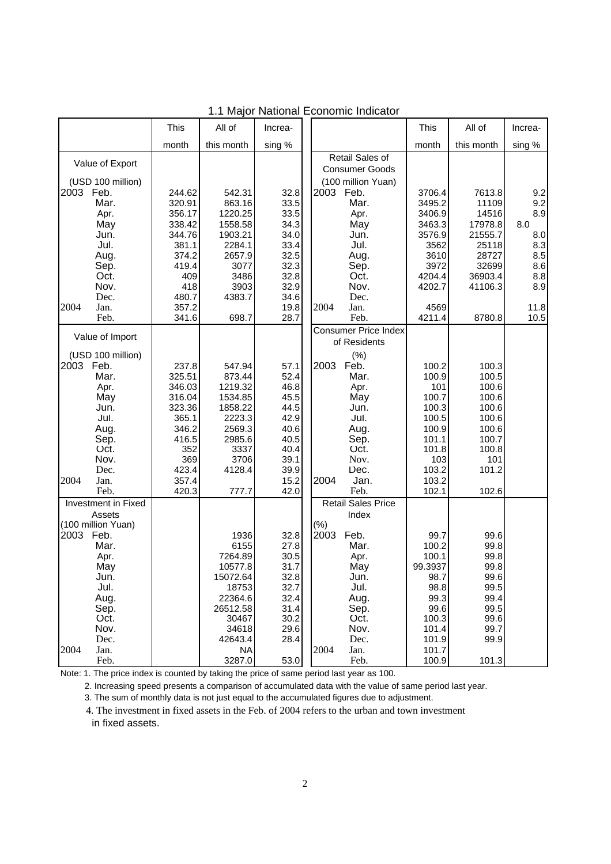|                            | This             | All of             | Increa-      |                             | This             | All of           | Increa-    |
|----------------------------|------------------|--------------------|--------------|-----------------------------|------------------|------------------|------------|
|                            | month            | this month         | sing %       |                             | month            | this month       | sing %     |
| Value of Export            |                  |                    |              | Retail Sales of             |                  |                  |            |
|                            |                  |                    |              | <b>Consumer Goods</b>       |                  |                  |            |
| (USD 100 million)          |                  |                    |              | (100 million Yuan)          |                  |                  |            |
| Feb.<br>2003               | 244.62           | 542.31             | 32.8         | 2003 Feb.                   | 3706.4           | 7613.8           | 9.2        |
| Mar.                       | 320.91           | 863.16             | 33.5         | Mar.                        | 3495.2           | 11109            | 9.2<br>8.9 |
| Apr.                       | 356.17<br>338.42 | 1220.25<br>1558.58 | 33.5         | Apr.                        | 3406.9           | 14516<br>17978.8 | 8.0        |
| May<br>Jun.                | 344.76           | 1903.21            | 34.3<br>34.0 | May<br>Jun.                 | 3463.3<br>3576.9 | 21555.7          | 8.0        |
| Jul.                       | 381.1            | 2284.1             | 33.4         | Jul.                        | 3562             | 25118            | 8.3        |
| Aug.                       | 374.2            | 2657.9             | 32.5         | Aug.                        | 3610             | 28727            | 8.5        |
| Sep.                       | 419.4            | 3077               | 32.3         | Sep.                        | 3972             | 32699            | 8.6        |
| Oct.                       | 409              | 3486               | 32.8         | Oct.                        | 4204.4           | 36903.4          | 8.8        |
| Nov.                       | 418              | 3903               | 32.9         | Nov.                        | 4202.7           | 41106.3          | 8.9        |
| Dec.                       | 480.7            | 4383.7             | 34.6         | Dec.                        |                  |                  |            |
| 2004<br>Jan.               | 357.2            |                    | 19.8         | 2004<br>Jan.                | 4569             |                  | 11.8       |
| Feb.                       | 341.6            | 698.7              | 28.7         | Feb.                        | 4211.4           | 8780.8           | 10.5       |
|                            |                  |                    |              | <b>Consumer Price Index</b> |                  |                  |            |
| Value of Import            |                  |                    |              | of Residents                |                  |                  |            |
| (USD 100 million)          |                  |                    |              | (%)                         |                  |                  |            |
| 2003<br>Feb.               | 237.8            | 547.94             | 57.1         | 2003<br>Feb.                | 100.2            | 100.3            |            |
| Mar.                       | 325.51           | 873.44             | 52.4         | Mar.                        | 100.9            | 100.5            |            |
| Apr.                       | 346.03           | 1219.32            | 46.8         | Apr.                        | 101              | 100.6            |            |
| May                        | 316.04           | 1534.85            | 45.5         | May                         | 100.7            | 100.6            |            |
| Jun.                       | 323.36           | 1858.22            | 44.5         | Jun.                        | 100.3            | 100.6            |            |
| Jul.                       | 365.1            | 2223.3             | 42.9         | Jul.                        | 100.5            | 100.6            |            |
| Aug.                       | 346.2            | 2569.3             | 40.6         | Aug.                        | 100.9            | 100.6            |            |
| Sep.                       | 416.5            | 2985.6             | 40.5         | Sep.                        | 101.1            | 100.7            |            |
| Oct.                       | 352              | 3337               | 40.4         | Oct.                        | 101.8            | 100.8            |            |
| Nov.                       | 369              | 3706               | 39.1         | Nov.                        | 103              | 101              |            |
| Dec.                       | 423.4            | 4128.4             | 39.9         | Dec.                        | 103.2            | 101.2            |            |
| 2004<br>Jan.<br>Feb.       | 357.4            |                    | 15.2         | 2004<br>Jan.<br>Feb.        | 103.2            | 102.6            |            |
| <b>Investment in Fixed</b> | 420.3            | 777.7              | 42.0         | <b>Retail Sales Price</b>   | 102.1            |                  |            |
| Assets                     |                  |                    |              | Index                       |                  |                  |            |
| (100 million Yuan)         |                  |                    |              | $(\% )$                     |                  |                  |            |
| 2003<br>Feb.               |                  | 1936               | 32.8         | 2003<br>Feb.                | 99.7             | 99.6             |            |
| Mar.                       |                  | 6155               | 27.8         | Mar.                        | 100.2            | 99.8             |            |
| Apr.                       |                  | 7264.89            | 30.5         | Apr.                        | 100.1            | 99.8             |            |
| May                        |                  | 10577.8            | 31.7         | May                         | 99.3937          | 99.8             |            |
| Jun.                       |                  | 15072.64           | 32.8         | Jun.                        | 98.7             | 99.6             |            |
| Jul.                       |                  | 18753              | 32.7         | Jul.                        | 98.8             | 99.5             |            |
| Aug.                       |                  | 22364.6            | 32.4         | Aug.                        | 99.3             | 99.4             |            |
| Sep.                       |                  | 26512.58           | 31.4         | Sep.                        | 99.6             | 99.5             |            |
| Oct.                       |                  | 30467              | 30.2         | Oct.                        | 100.3            | 99.6             |            |
| Nov.                       |                  | 34618              | 29.6         | Nov.                        | 101.4            | 99.7             |            |
| Dec.                       |                  | 42643.4            | 28.4         | Dec.                        | 101.9            | 99.9             |            |
| 2004<br>Jan.               |                  | <b>NA</b>          |              | 2004<br>Jan.                | 101.7            |                  |            |
| Feb.                       |                  | 3287.0             | 53.0         | Feb.                        | 100.9            | 101.3            |            |

1.1 Major National Economic Indicator

Note: 1. The price index is counted by taking the price of same period last year as 100.

2. Increasing speed presents a comparison of accumulated data with the value of same period last year.

3. The sum of monthly data is not just equal to the accumulated figures due to adjustment.

 4. The investment in fixed assets in the Feb. of 2004 refers to the urban and town investment in fixed assets.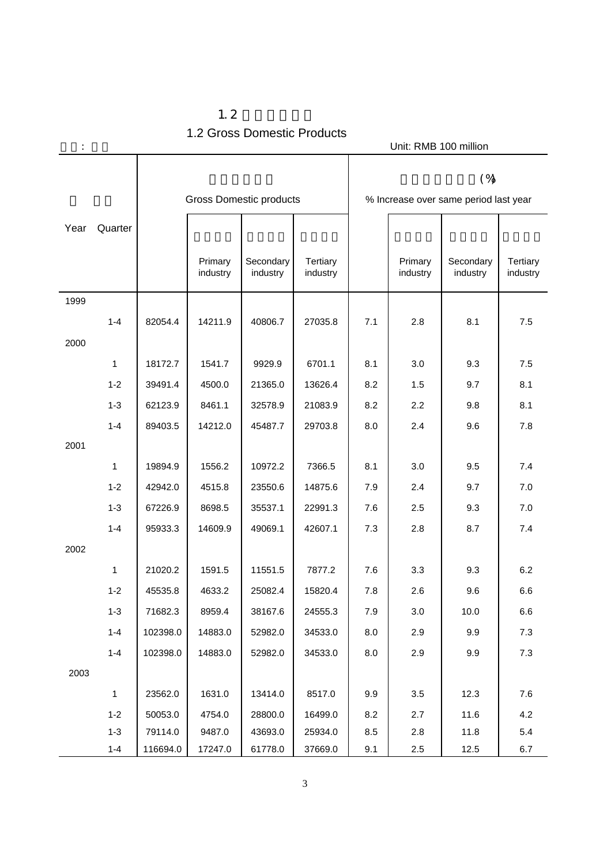|      | Unit: RMB 100 million |                                |                     |                       |                      |     |                     |                                                 |                      |
|------|-----------------------|--------------------------------|---------------------|-----------------------|----------------------|-----|---------------------|-------------------------------------------------|----------------------|
|      |                       | <b>Gross Domestic products</b> |                     |                       |                      |     |                     | $(\%)$<br>% Increase over same period last year |                      |
| Year | Quarter               |                                |                     |                       |                      |     |                     |                                                 |                      |
|      |                       |                                |                     |                       |                      |     |                     |                                                 |                      |
|      |                       |                                | Primary<br>industry | Secondary<br>industry | Tertiary<br>industry |     | Primary<br>industry | Secondary<br>industry                           | Tertiary<br>industry |
| 1999 |                       |                                |                     |                       |                      |     |                     |                                                 |                      |
|      | $1 - 4$               | 82054.4                        | 14211.9             | 40806.7               | 27035.8              | 7.1 | 2.8                 | 8.1                                             | 7.5                  |
| 2000 |                       |                                |                     |                       |                      |     |                     |                                                 |                      |
|      | 1                     | 18172.7                        | 1541.7              | 9929.9                | 6701.1               | 8.1 | 3.0                 | 9.3                                             | 7.5                  |
|      | $1 - 2$               | 39491.4                        | 4500.0              | 21365.0               | 13626.4              | 8.2 | 1.5                 | 9.7                                             | 8.1                  |
|      | $1 - 3$               | 62123.9                        | 8461.1              | 32578.9               | 21083.9              | 8.2 | 2.2                 | 9.8                                             | 8.1                  |
|      | $1 - 4$               | 89403.5                        | 14212.0             | 45487.7               | 29703.8              | 8.0 | 2.4                 | 9.6                                             | 7.8                  |
| 2001 |                       |                                |                     |                       |                      |     |                     |                                                 |                      |
|      | 1                     | 19894.9                        | 1556.2              | 10972.2               | 7366.5               | 8.1 | 3.0                 | 9.5                                             | 7.4                  |
|      | $1 - 2$               | 42942.0                        | 4515.8              | 23550.6               | 14875.6              | 7.9 | 2.4                 | 9.7                                             | 7.0                  |
|      | $1 - 3$               | 67226.9                        | 8698.5              | 35537.1               | 22991.3              | 7.6 | 2.5                 | 9.3                                             | 7.0                  |
|      | $1 - 4$               | 95933.3                        | 14609.9             | 49069.1               | 42607.1              | 7.3 | 2.8                 | 8.7                                             | 7.4                  |
| 2002 |                       |                                |                     |                       |                      |     |                     |                                                 |                      |
|      | 1                     | 21020.2                        | 1591.5              | 11551.5               | 7877.2               | 7.6 | 3.3                 | 9.3                                             | 6.2                  |
|      | $1 - 2$               | 45535.8                        | 4633.2              | 25082.4               | 15820.4              | 7.8 | 2.6                 | 9.6                                             | 6.6                  |
|      | $1 - 3$               | 71682.3                        | 8959.4              | 38167.6               | 24555.3              | 7.9 | 3.0                 | 10.0                                            | 6.6                  |
|      | $1 - 4$               | 102398.0                       | 14883.0             | 52982.0               | 34533.0              | 8.0 | 2.9                 | 9.9                                             | 7.3                  |
|      | $1 - 4$               | 102398.0                       | 14883.0             | 52982.0               | 34533.0              | 8.0 | 2.9                 | 9.9                                             | 7.3                  |
| 2003 |                       |                                |                     |                       |                      |     |                     |                                                 |                      |
|      | $\mathbf{1}$          | 23562.0                        | 1631.0              | 13414.0               | 8517.0               | 9.9 | 3.5                 | 12.3                                            | 7.6                  |
|      | $1 - 2$               | 50053.0                        | 4754.0              | 28800.0               | 16499.0              | 8.2 | 2.7                 | 11.6                                            | 4.2                  |
|      | $1 - 3$<br>$1 - 4$    | 79114.0                        | 9487.0              | 43693.0               | 25934.0              | 8.5 | $2.8\,$             | 11.8                                            | 5.4                  |
|      |                       | 116694.0                       | 17247.0             | 61778.0               | 37669.0              | 9.1 | $2.5\,$             | 12.5                                            | 6.7                  |

 $1.2$ 1.2 Gross Domestic Products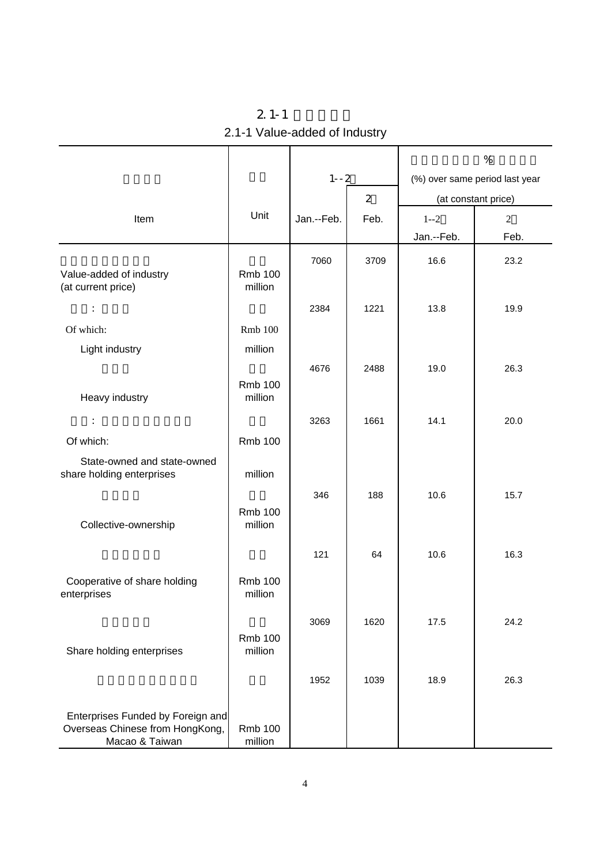| $2.1 - 1$                     |
|-------------------------------|
| 2.1-1 Value-added of Industry |

|                                                                                        |                           |            |                | %          |                                |  |
|----------------------------------------------------------------------------------------|---------------------------|------------|----------------|------------|--------------------------------|--|
|                                                                                        |                           |            | $1 - -2$       |            | (%) over same period last year |  |
|                                                                                        |                           |            | $\overline{2}$ |            | (at constant price)            |  |
| Item                                                                                   | Unit                      | Jan.--Feb. | Feb.           | $1 - 2$    | 2                              |  |
|                                                                                        |                           |            |                | Jan.--Feb. | Feb.                           |  |
| Value-added of industry<br>(at current price)                                          | <b>Rmb 100</b><br>million | 7060       | 3709           | 16.6       | 23.2                           |  |
| ÷                                                                                      |                           | 2384       | 1221           | 13.8       | 19.9                           |  |
| Of which:                                                                              | <b>Rmb</b> 100            |            |                |            |                                |  |
| Light industry                                                                         | million                   |            |                |            |                                |  |
|                                                                                        |                           | 4676       | 2488           | 19.0       | 26.3                           |  |
| Heavy industry                                                                         | <b>Rmb 100</b><br>million |            |                |            |                                |  |
| $\ddot{\phantom{a}}$                                                                   |                           | 3263       | 1661           | 14.1       | 20.0                           |  |
| Of which:                                                                              | <b>Rmb 100</b>            |            |                |            |                                |  |
| State-owned and state-owned<br>share holding enterprises                               | million                   |            |                |            |                                |  |
| Collective-ownership                                                                   | <b>Rmb 100</b><br>million | 346        | 188            | 10.6       | 15.7                           |  |
|                                                                                        |                           | 121        | 64             | 10.6       | 16.3                           |  |
| Cooperative of share holding<br>enterprises                                            | <b>Rmb 100</b><br>million |            |                |            |                                |  |
| Share holding enterprises                                                              | <b>Rmb 100</b><br>million | 3069       | 1620           | 17.5       | 24.2                           |  |
|                                                                                        |                           | 1952       | 1039           | 18.9       | 26.3                           |  |
|                                                                                        |                           |            |                |            |                                |  |
| Enterprises Funded by Foreign and<br>Overseas Chinese from HongKong,<br>Macao & Taiwan | <b>Rmb 100</b><br>million |            |                |            |                                |  |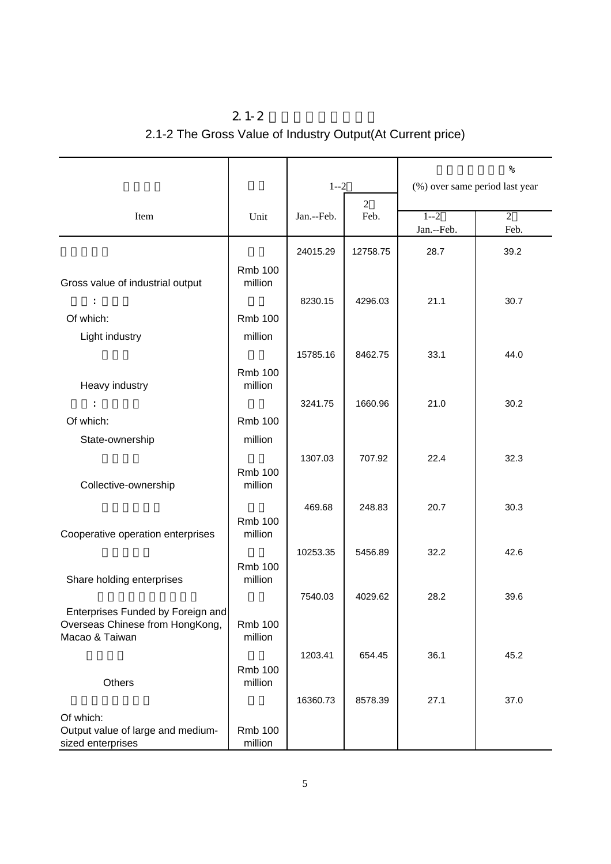## $2.1 - 2$ 2.1-2 The Gross Value of Industry Output(At Current price)

|                                                                      |                           |            |                        | $\%$                           |                |
|----------------------------------------------------------------------|---------------------------|------------|------------------------|--------------------------------|----------------|
|                                                                      |                           | $1 - 2$    |                        | (%) over same period last year |                |
|                                                                      |                           | Jan.--Feb. | $\overline{2}$<br>Feb. | $1 - 2$                        | $\overline{2}$ |
| Item                                                                 | Unit                      |            |                        | Jan.--Feb.                     | Feb.           |
|                                                                      |                           | 24015.29   | 12758.75               | 28.7                           | 39.2           |
|                                                                      | <b>Rmb 100</b>            |            |                        |                                |                |
| Gross value of industrial output                                     | million                   |            |                        |                                |                |
|                                                                      |                           | 8230.15    | 4296.03                | 21.1                           | 30.7           |
| Of which:                                                            | <b>Rmb 100</b>            |            |                        |                                |                |
| Light industry                                                       | million                   |            |                        |                                |                |
|                                                                      |                           | 15785.16   | 8462.75                | 33.1                           | 44.0           |
|                                                                      | <b>Rmb 100</b>            |            |                        |                                |                |
| Heavy industry                                                       | million                   |            |                        |                                |                |
|                                                                      |                           | 3241.75    | 1660.96                | 21.0                           | 30.2           |
| Of which:                                                            | <b>Rmb 100</b>            |            |                        |                                |                |
| State-ownership                                                      | million                   |            |                        |                                |                |
|                                                                      |                           | 1307.03    | 707.92                 | 22.4                           | 32.3           |
| Collective-ownership                                                 | <b>Rmb 100</b><br>million |            |                        |                                |                |
|                                                                      |                           |            |                        |                                |                |
|                                                                      |                           | 469.68     | 248.83                 | 20.7                           | 30.3           |
| Cooperative operation enterprises                                    | <b>Rmb 100</b><br>million |            |                        |                                |                |
|                                                                      |                           | 10253.35   | 5456.89                | 32.2                           | 42.6           |
|                                                                      | <b>Rmb 100</b>            |            |                        |                                |                |
| Share holding enterprises                                            | million                   |            |                        |                                |                |
|                                                                      |                           | 7540.03    | 4029.62                | 28.2                           | 39.6           |
| Enterprises Funded by Foreign and<br>Overseas Chinese from HongKong, | <b>Rmb 100</b>            |            |                        |                                |                |
| Macao & Taiwan                                                       | million                   |            |                        |                                |                |
|                                                                      |                           | 1203.41    | 654.45                 | 36.1                           | 45.2           |
|                                                                      | <b>Rmb 100</b>            |            |                        |                                |                |
| Others                                                               | million                   |            |                        |                                |                |
|                                                                      |                           | 16360.73   | 8578.39                | 27.1                           | 37.0           |
| Of which:                                                            |                           |            |                        |                                |                |
| Output value of large and medium-<br>sized enterprises               | <b>Rmb 100</b><br>million |            |                        |                                |                |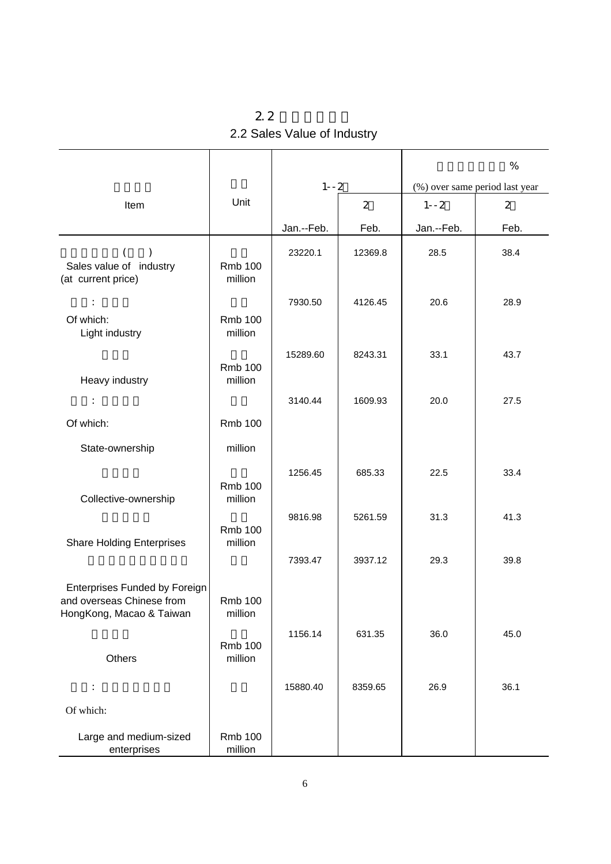| 2.2                         |  |
|-----------------------------|--|
| 2.2 Sales Value of Industry |  |

|                                                                                               |                           |            |                |            | $\%$                           |
|-----------------------------------------------------------------------------------------------|---------------------------|------------|----------------|------------|--------------------------------|
|                                                                                               |                           | $1 - -2$   |                |            | (%) over same period last year |
| Item                                                                                          | Unit                      |            | $\overline{2}$ | $1 - -2$   | $\overline{2}$                 |
|                                                                                               |                           | Jan.--Feb. | Feb.           | Jan.--Feb. | Feb.                           |
| Sales value of industry<br>(at current price)                                                 | <b>Rmb 100</b><br>million | 23220.1    | 12369.8        | 28.5       | 38.4                           |
| Of which:<br>Light industry                                                                   | <b>Rmb 100</b><br>million | 7930.50    | 4126.45        | 20.6       | 28.9                           |
| Heavy industry                                                                                | <b>Rmb 100</b><br>million | 15289.60   | 8243.31        | 33.1       | 43.7                           |
| $\ddot{\phantom{a}}$                                                                          |                           | 3140.44    | 1609.93        | 20.0       | 27.5                           |
| Of which:                                                                                     | <b>Rmb 100</b>            |            |                |            |                                |
| State-ownership                                                                               | million                   |            |                |            |                                |
| Collective-ownership                                                                          | <b>Rmb 100</b><br>million | 1256.45    | 685.33         | 22.5       | 33.4                           |
| <b>Share Holding Enterprises</b>                                                              | <b>Rmb 100</b><br>million | 9816.98    | 5261.59        | 31.3       | 41.3                           |
|                                                                                               |                           | 7393.47    | 3937.12        | 29.3       | 39.8                           |
| <b>Enterprises Funded by Foreign</b><br>and overseas Chinese from<br>HongKong, Macao & Taiwan | Rmb 100<br>million        |            |                |            |                                |
| Others                                                                                        | <b>Rmb 100</b><br>million | 1156.14    | 631.35         | 36.0       | 45.0                           |
|                                                                                               |                           | 15880.40   | 8359.65        | 26.9       | 36.1                           |
| Of which:                                                                                     |                           |            |                |            |                                |
| Large and medium-sized<br>enterprises                                                         | <b>Rmb 100</b><br>million |            |                |            |                                |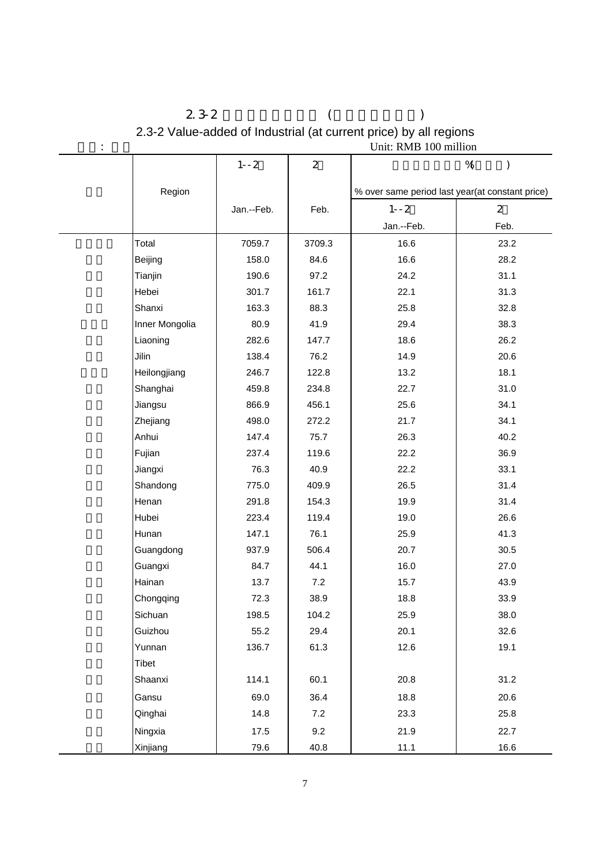| $\blacksquare$ |                |            |                | UNII: KMB TVV INIIION                           |                        |
|----------------|----------------|------------|----------------|-------------------------------------------------|------------------------|
|                |                | $1 - -2$   | $\overline{2}$ |                                                 | $%$ (<br>$\mathcal{E}$ |
|                | Region         |            |                | % over same period last year(at constant price) |                        |
|                |                | Jan.--Feb. | Feb.           | $1 - -2$                                        | $\overline{2}$         |
|                |                |            |                | Jan.--Feb.                                      | Feb.                   |
|                | Total          | 7059.7     | 3709.3         | 16.6                                            | 23.2                   |
|                | Beijing        | 158.0      | 84.6           | 16.6                                            | 28.2                   |
|                | Tianjin        | 190.6      | 97.2           | 24.2                                            | 31.1                   |
|                | Hebei          | 301.7      | 161.7          | 22.1                                            | 31.3                   |
|                | Shanxi         | 163.3      | 88.3           | 25.8                                            | 32.8                   |
|                | Inner Mongolia | 80.9       | 41.9           | 29.4                                            | 38.3                   |
|                | Liaoning       | 282.6      | 147.7          | 18.6                                            | 26.2                   |
|                | Jilin          | 138.4      | 76.2           | 14.9                                            | 20.6                   |
|                | Heilongjiang   | 246.7      | 122.8          | 13.2                                            | 18.1                   |
|                | Shanghai       | 459.8      | 234.8          | 22.7                                            | 31.0                   |
|                | Jiangsu        | 866.9      | 456.1          | 25.6                                            | 34.1                   |
|                | Zhejiang       | 498.0      | 272.2          | 21.7                                            | 34.1                   |
|                | Anhui          | 147.4      | 75.7           | 26.3                                            | 40.2                   |
|                | Fujian         | 237.4      | 119.6          | 22.2                                            | 36.9                   |
|                | Jiangxi        | 76.3       | 40.9           | 22.2                                            | 33.1                   |
|                | Shandong       | 775.0      | 409.9          | 26.5                                            | 31.4                   |
|                | Henan          | 291.8      | 154.3          | 19.9                                            | 31.4                   |
|                | Hubei          | 223.4      | 119.4          | 19.0                                            | 26.6                   |
|                | Hunan          | 147.1      | 76.1           | 25.9                                            | 41.3                   |
|                | Guangdong      | 937.9      | 506.4          | 20.7                                            | 30.5                   |
|                | Guangxi        | 84.7       | 44.1           | 16.0                                            | 27.0                   |
|                | Hainan         | 13.7       | 7.2            | 15.7                                            | 43.9                   |
|                | Chongqing      | 72.3       | 38.9           | 18.8                                            | 33.9                   |
|                | Sichuan        | 198.5      | 104.2          | 25.9                                            | 38.0                   |
|                | Guizhou        | 55.2       | 29.4           | 20.1                                            | 32.6                   |
|                | Yunnan         | 136.7      | 61.3           | 12.6                                            | 19.1                   |
|                | Tibet          |            |                |                                                 |                        |
|                | Shaanxi        | 114.1      | 60.1           | 20.8                                            | 31.2                   |
|                | Gansu          | 69.0       | 36.4           | 18.8                                            | 20.6                   |
|                | Qinghai        | 14.8       | 7.2            | 23.3                                            | 25.8                   |
|                | Ningxia        | 17.5       | 9.2            | 21.9                                            | 22.7                   |
|                | Xinjiang       | 79.6       | 40.8           | 11.1                                            | 16.6                   |

 $2.3-2$  ( ) 2.3-2 Value-added of Industrial (at current price) by all regions extending the Unit: RMB 100 million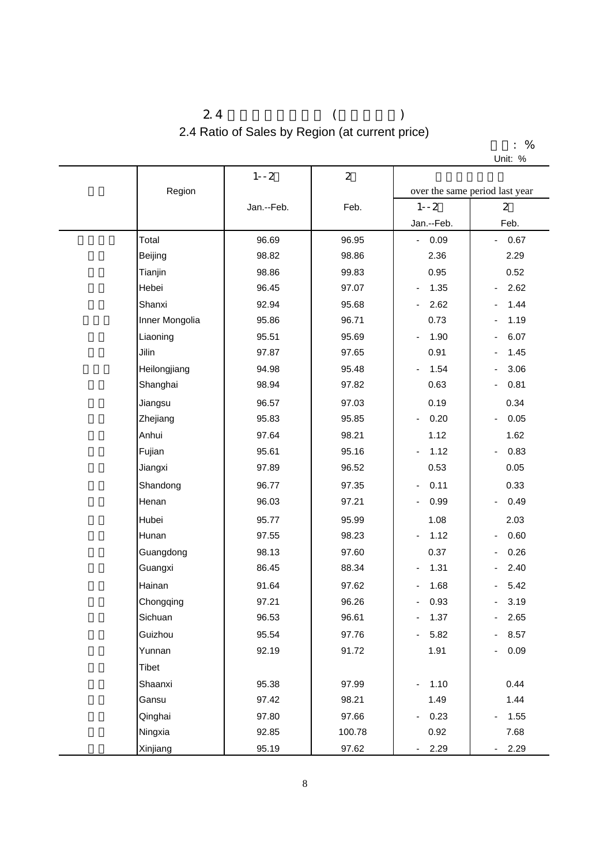### $2.4$  ( ) 2.4 Ratio of Sales by Region (at current price)

|         | % |
|---------|---|
| Unit: % |   |

|                | $1 - -2$   | $\overline{2}$ |                                      |                                  |
|----------------|------------|----------------|--------------------------------------|----------------------------------|
| Region         |            |                |                                      | over the same period last year   |
|                | Jan.--Feb. | Feb.           | $1 - -2$                             | $\overline{2}$                   |
|                |            |                | Jan.--Feb.                           | Feb.                             |
| Total          | 96.69      | 96.95          | $-0.09$                              | 0.67<br>$\sim$                   |
| Beijing        | 98.82      | 98.86          | 2.36                                 | 2.29                             |
| Tianjin        | 98.86      | 99.83          | 0.95                                 | 0.52                             |
| Hebei          | 96.45      | 97.07          | 1.35<br>$\qquad \qquad \blacksquare$ | 2.62                             |
| Shanxi         | 92.94      | 95.68          | 2.62<br>$\overline{\phantom{a}}$     | 1.44                             |
| Inner Mongolia | 95.86      | 96.71          | 0.73                                 | 1.19                             |
| Liaoning       | 95.51      | 95.69          | 1.90<br>$\qquad \qquad \blacksquare$ | 6.07                             |
| Jilin          | 97.87      | 97.65          | 0.91                                 | 1.45                             |
| Heilongjiang   | 94.98      | 95.48          | 1.54<br>$\overline{\phantom{a}}$     | 3.06                             |
| Shanghai       | 98.94      | 97.82          | 0.63                                 | 0.81<br>$\overline{\phantom{0}}$ |
| Jiangsu        | 96.57      | 97.03          | 0.19                                 | 0.34                             |
| Zhejiang       | 95.83      | 95.85          | 0.20<br>$\overline{\phantom{0}}$     | 0.05                             |
| Anhui          | 97.64      | 98.21          | 1.12                                 | 1.62                             |
| Fujian         | 95.61      | 95.16          | 1.12<br>$\qquad \qquad \blacksquare$ | 0.83<br>$\overline{\phantom{a}}$ |
| Jiangxi        | 97.89      | 96.52          | 0.53                                 | 0.05                             |
| Shandong       | 96.77      | 97.35          | 0.11<br>$\overline{\phantom{0}}$     | 0.33                             |
| Henan          | 96.03      | 97.21          | 0.99<br>$\frac{1}{2}$                | 0.49<br>$\overline{\phantom{a}}$ |
| Hubei          | 95.77      | 95.99          | 1.08                                 | 2.03                             |
| Hunan          | 97.55      | 98.23          | 1.12                                 | 0.60                             |
| Guangdong      | 98.13      | 97.60          | 0.37                                 | 0.26                             |
| Guangxi        | 86.45      | 88.34          | 1.31<br>-                            | 2.40                             |
| Hainan         | 91.64      | 97.62          | 1.68<br>$\qquad \qquad \blacksquare$ | 5.42                             |
| Chongqing      | 97.21      | 96.26          | 0.93                                 | 3.19                             |
| Sichuan        | 96.53      | 96.61          | 1.37<br>-                            | $-2.65$                          |
| Guizhou        | 95.54      | 97.76          | 5.82<br>- 1                          | $-8.57$                          |
| Yunnan         | 92.19      | 91.72          | 1.91                                 | 0.09                             |
| <b>Tibet</b>   |            |                |                                      |                                  |
| Shaanxi        | 95.38      | 97.99          | 1.10<br>$\overline{\phantom{a}}$     | 0.44                             |
| Gansu          | 97.42      | 98.21          | 1.49                                 | 1.44                             |
| Qinghai        | 97.80      | 97.66          | 0.23<br>$\qquad \qquad \blacksquare$ | 1.55                             |
| Ningxia        | 92.85      | 100.78         | 0.92                                 | 7.68                             |
| Xinjiang       | 95.19      | 97.62          | 2.29<br>$\sim$                       | $-2.29$                          |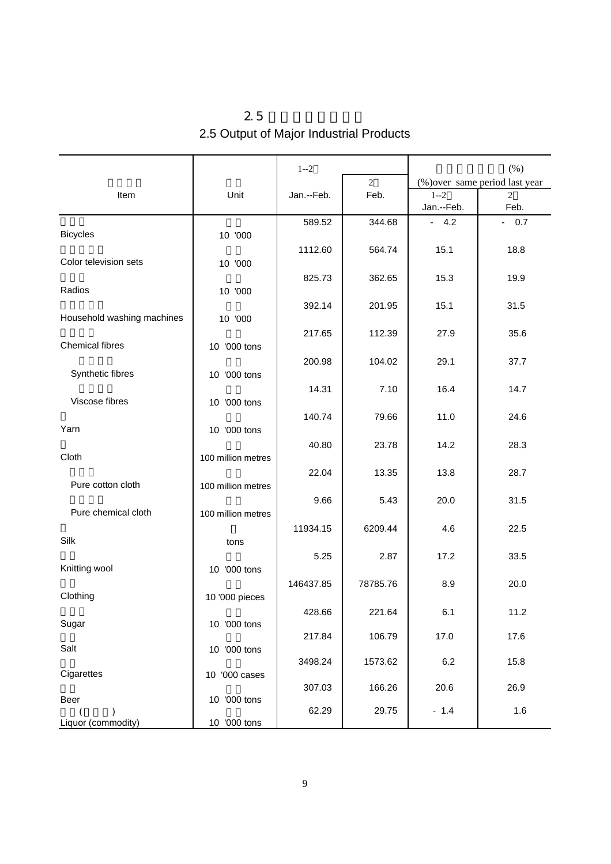| 2.5                                     |  |
|-----------------------------------------|--|
| 2.5 Output of Major Industrial Products |  |

|                            |                    | $1 - 2$    |                | $(\% )$    |                                |  |
|----------------------------|--------------------|------------|----------------|------------|--------------------------------|--|
|                            |                    |            | $\overline{2}$ |            | (%) over same period last year |  |
| Item                       | Unit               | Jan.--Feb. | Feb.           | $1 - 2$    | $\overline{2}$                 |  |
|                            |                    |            |                | Jan.--Feb. | Feb.                           |  |
|                            |                    | 589.52     | 344.68         | $-4.2$     | 0.7<br>$\blacksquare$          |  |
| <b>Bicycles</b>            | 10 '000            |            |                |            |                                |  |
|                            |                    | 1112.60    | 564.74         | 15.1       | 18.8                           |  |
| Color television sets      | 10 '000            |            |                |            |                                |  |
|                            |                    | 825.73     | 362.65         | 15.3       | 19.9                           |  |
| Radios                     | 10 '000            |            |                |            |                                |  |
|                            |                    | 392.14     | 201.95         | 15.1       | 31.5                           |  |
| Household washing machines | 10 '000            |            |                |            |                                |  |
|                            |                    |            |                |            |                                |  |
| Chemical fibres            |                    | 217.65     | 112.39         | 27.9       | 35.6                           |  |
|                            | 10 '000 tons       |            |                |            |                                |  |
|                            |                    | 200.98     | 104.02         | 29.1       | 37.7                           |  |
| Synthetic fibres           | 10 '000 tons       |            |                |            |                                |  |
|                            |                    | 14.31      | 7.10           | 16.4       | 14.7                           |  |
| Viscose fibres             | 10 '000 tons       |            |                |            |                                |  |
|                            |                    | 140.74     | 79.66          | 11.0       | 24.6                           |  |
| Yarn                       | 10 '000 tons       |            |                |            |                                |  |
|                            |                    | 40.80      | 23.78          | 14.2       | 28.3                           |  |
| Cloth                      | 100 million metres |            |                |            |                                |  |
|                            |                    | 22.04      | 13.35          | 13.8       | 28.7                           |  |
| Pure cotton cloth          | 100 million metres |            |                |            |                                |  |
|                            |                    | 9.66       | 5.43           | 20.0       | 31.5                           |  |
| Pure chemical cloth        | 100 million metres |            |                |            |                                |  |
|                            |                    | 11934.15   | 6209.44        | 4.6        | 22.5                           |  |
| Silk                       | tons               |            |                |            |                                |  |
|                            |                    | 5.25       | 2.87           | 17.2       | 33.5                           |  |
| Knitting wool              | 10 '000 tons       |            |                |            |                                |  |
|                            |                    | 146437.85  | 78785.76       | 8.9        | 20.0                           |  |
| Clothing                   | 10 '000 pieces     |            |                |            |                                |  |
|                            |                    |            |                |            |                                |  |
| Sugar                      | 10 '000 tons       | 428.66     | 221.64         | 6.1        | 11.2                           |  |
|                            |                    | 217.84     | 106.79         | 17.0       | 17.6                           |  |
| Salt                       | 10 '000 tons       |            |                |            |                                |  |
|                            |                    | 3498.24    | 1573.62        | 6.2        | 15.8                           |  |
| Cigarettes                 | 10 '000 cases      |            |                |            |                                |  |
|                            |                    | 307.03     | 166.26         | 20.6       | 26.9                           |  |
| Beer                       | 10 '000 tons       |            |                |            |                                |  |
|                            |                    | 62.29      | 29.75          | $-1.4$     | 1.6                            |  |
| Liquor (commodity)         | 10 '000 tons       |            |                |            |                                |  |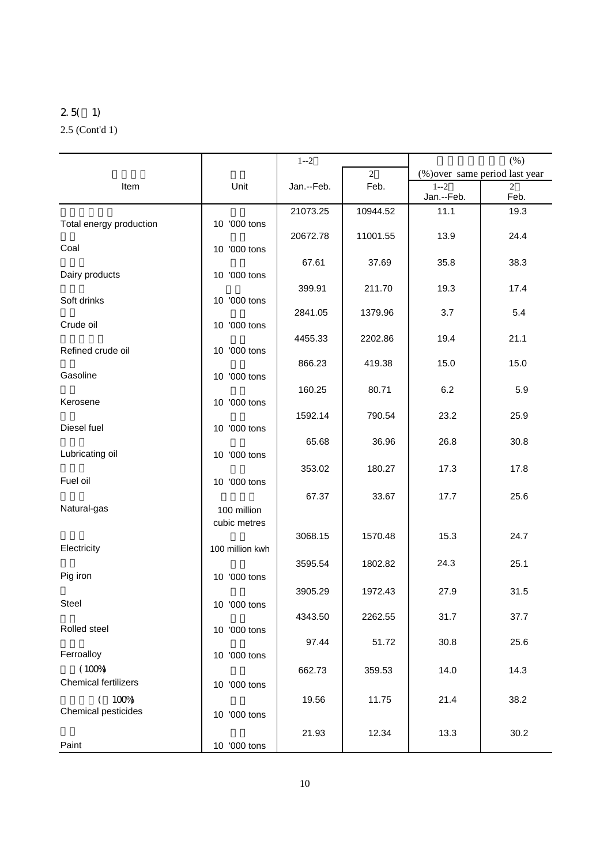### 2.5( 1) 2.5 (Cont'd 1)

|                                       |                 | $1 - 2$    |                        | (% )       |                                                  |  |
|---------------------------------------|-----------------|------------|------------------------|------------|--------------------------------------------------|--|
|                                       |                 |            | $\overline{2}$<br>Feb. | $1 - 2$    | (%) over same period last year<br>$\overline{c}$ |  |
| Item                                  | Unit            | Jan.--Feb. |                        | Jan.--Feb. | Feb.                                             |  |
|                                       |                 | 21073.25   | 10944.52               | 11.1       | 19.3                                             |  |
| Total energy production               | 10 '000 tons    |            |                        |            |                                                  |  |
| Coal                                  | 10 '000 tons    | 20672.78   | 11001.55               | 13.9       | 24.4                                             |  |
|                                       |                 | 67.61      | 37.69                  | 35.8       | 38.3                                             |  |
| Dairy products                        | 10 '000 tons    |            |                        |            |                                                  |  |
|                                       |                 | 399.91     | 211.70                 | 19.3       | 17.4                                             |  |
| Soft drinks                           | 10 '000 tons    | 2841.05    | 1379.96                | 3.7        | 5.4                                              |  |
| Crude oil                             | 10 '000 tons    |            |                        |            |                                                  |  |
|                                       |                 | 4455.33    | 2202.86                | 19.4       | 21.1                                             |  |
| Refined crude oil                     | 10 '000 tons    |            |                        |            |                                                  |  |
| Gasoline                              | 10 '000 tons    | 866.23     | 419.38                 | 15.0       | 15.0                                             |  |
|                                       |                 | 160.25     | 80.71                  | 6.2        | 5.9                                              |  |
| Kerosene                              | 10 '000 tons    |            |                        |            |                                                  |  |
|                                       |                 | 1592.14    | 790.54                 | 23.2       | 25.9                                             |  |
| Diesel fuel                           | 10 '000 tons    | 65.68      | 36.96                  | 26.8       | 30.8                                             |  |
| Lubricating oil                       | 10 '000 tons    |            |                        |            |                                                  |  |
|                                       |                 | 353.02     | 180.27                 | 17.3       | 17.8                                             |  |
| Fuel oil                              | 10 '000 tons    |            |                        |            |                                                  |  |
|                                       |                 | 67.37      | 33.67                  | 17.7       | 25.6                                             |  |
| Natural-gas                           | 100 million     |            |                        |            |                                                  |  |
|                                       | cubic metres    | 3068.15    | 1570.48                | 15.3       | 24.7                                             |  |
| Electricity                           | 100 million kwh |            |                        |            |                                                  |  |
|                                       |                 | 3595.54    | 1802.82                | 24.3       | 25.1                                             |  |
| Pig iron                              | 10 '000 tons    |            |                        |            |                                                  |  |
|                                       |                 | 3905.29    | 1972.43                | 27.9       | 31.5                                             |  |
| Steel                                 | 10 '000 tons    | 4343.50    | 2262.55                | 31.7       | 37.7                                             |  |
| Rolled steel                          | 10 '000 tons    |            |                        |            |                                                  |  |
|                                       |                 | 97.44      | 51.72                  | 30.8       | 25.6                                             |  |
| Ferroalloy                            | 10 '000 tons    |            |                        |            |                                                  |  |
| (100%)<br><b>Chemical fertilizers</b> |                 | 662.73     | 359.53                 | 14.0       | 14.3                                             |  |
|                                       | 10 '000 tons    | 19.56      | 11.75                  | 21.4       | 38.2                                             |  |
| (100%)<br>Chemical pesticides         | 10 '000 tons    |            |                        |            |                                                  |  |
|                                       |                 |            |                        |            |                                                  |  |
| Paint                                 | 10 '000 tons    | 21.93      | 12.34                  | 13.3       | 30.2                                             |  |
|                                       |                 |            |                        |            |                                                  |  |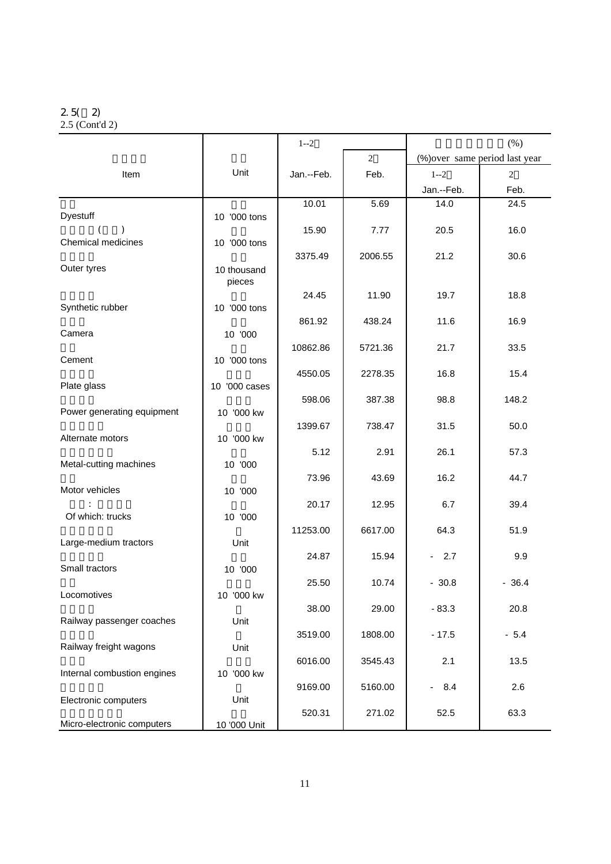## 2.5( 2)

|  | $2.5$ (Cont'd 2) |  |
|--|------------------|--|
|--|------------------|--|

|                             |               | $1 - 2$    |                | $(\% )$                         |                                |  |
|-----------------------------|---------------|------------|----------------|---------------------------------|--------------------------------|--|
|                             |               |            | $\overline{2}$ |                                 | (%) over same period last year |  |
| Item                        | Unit          | Jan.--Feb. | Feb.           | $1 - 2$                         | $\overline{c}$                 |  |
|                             |               |            |                | Jan.--Feb.                      | Feb.                           |  |
|                             |               | 10.01      | 5.69           | 14.0                            | 24.5                           |  |
| Dyestuff                    | 10 '000 tons  |            |                |                                 |                                |  |
| Chemical medicines          | 10 '000 tons  | 15.90      | 7.77           | 20.5                            | 16.0                           |  |
|                             |               | 3375.49    | 2006.55        | 21.2                            | 30.6                           |  |
| Outer tyres                 | 10 thousand   |            |                |                                 |                                |  |
|                             | pieces        |            |                |                                 |                                |  |
| Synthetic rubber            |               | 24.45      | 11.90          | 19.7                            | 18.8                           |  |
|                             | 10 '000 tons  | 861.92     | 438.24         | 11.6                            | 16.9                           |  |
| Camera                      | 10 '000       |            |                |                                 |                                |  |
|                             |               | 10862.86   | 5721.36        | 21.7                            | 33.5                           |  |
| Cement                      | 10 '000 tons  |            |                |                                 |                                |  |
| Plate glass                 |               | 4550.05    | 2278.35        | 16.8                            | 15.4                           |  |
|                             | 10 '000 cases | 598.06     | 387.38         | 98.8                            | 148.2                          |  |
| Power generating equipment  | 10 '000 kw    |            |                |                                 |                                |  |
|                             |               | 1399.67    | 738.47         | 31.5                            | 50.0                           |  |
| Alternate motors            | 10 '000 kw    |            |                |                                 |                                |  |
| Metal-cutting machines      | 10 '000       | 5.12       | 2.91           | 26.1                            | 57.3                           |  |
|                             |               | 73.96      | 43.69          | 16.2                            | 44.7                           |  |
| Motor vehicles              | 10 '000       |            |                |                                 |                                |  |
|                             |               | 20.17      | 12.95          | 6.7                             | 39.4                           |  |
| Of which: trucks            | 10 '000       |            |                |                                 |                                |  |
| Large-medium tractors       | Unit          | 11253.00   | 6617.00        | 64.3                            | 51.9                           |  |
|                             |               | 24.87      | 15.94          | 2.7<br>$\sim$                   | 9.9                            |  |
| Small tractors              | 10 '000       |            |                |                                 |                                |  |
|                             |               | 25.50      | 10.74          | $-30.8$                         | $-36.4$                        |  |
| Locomotives                 | 10 '000 kw    |            |                |                                 |                                |  |
| Railway passenger coaches   | Unit          | 38.00      | 29.00          | $-83.3$                         | 20.8                           |  |
|                             |               | 3519.00    | 1808.00        | $-17.5$                         | $-5.4$                         |  |
| Railway freight wagons      | Unit          |            |                |                                 |                                |  |
|                             |               | 6016.00    | 3545.43        | 2.1                             | 13.5                           |  |
| Internal combustion engines | 10 '000 kw    |            |                |                                 |                                |  |
| Electronic computers        | Unit          | 9169.00    | 5160.00        | 8.4<br>$\overline{\phantom{a}}$ | 2.6                            |  |
|                             |               | 520.31     | 271.02         | 52.5                            | 63.3                           |  |
| Micro-electronic computers  | 10 '000 Unit  |            |                |                                 |                                |  |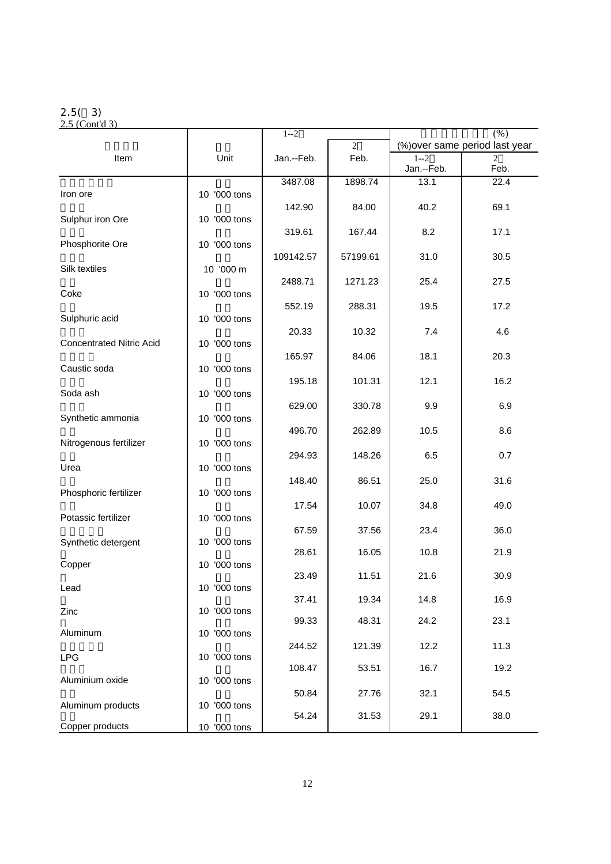#### 2.5( 3)

2.5 (Cont'd 3)  $1-2$  (%)  $\overline{2}$  (%) over same period last year Item Unit Jan.--Feb. Feb. 1--2 1 2<br>
Jan.--Feb. San.--Feb. Feb. Jan.--Feb.  $\begin{array}{|c|c|c|c|c|c|c|c|}\n\hline\n\text{3487.08} & \text{388.74} & \text{33.1} & \text{22.4}\n\hline\n\end{array}$ Iron ore 10 10 '000 tons  $142.90$  84.00 40.2 69.1 Sulphur iron Ore 10 '000 tons  $319.61$  167.44 8.2 17.1 Phosphorite Ore 10 '000 tons

|              | 109142.57                                                                                                                                                                                 | 57199.61                                                                                    | 31.0                                                                                      | 30.5                                                                |
|--------------|-------------------------------------------------------------------------------------------------------------------------------------------------------------------------------------------|---------------------------------------------------------------------------------------------|-------------------------------------------------------------------------------------------|---------------------------------------------------------------------|
|              |                                                                                                                                                                                           |                                                                                             |                                                                                           | 27.5                                                                |
| 10 '000 tons |                                                                                                                                                                                           |                                                                                             |                                                                                           |                                                                     |
|              | 552.19                                                                                                                                                                                    | 288.31                                                                                      | 19.5                                                                                      | 17.2                                                                |
|              |                                                                                                                                                                                           |                                                                                             | 7.4                                                                                       | 4.6                                                                 |
| 10 '000 tons |                                                                                                                                                                                           |                                                                                             |                                                                                           |                                                                     |
|              |                                                                                                                                                                                           |                                                                                             |                                                                                           | 20.3                                                                |
|              | 195.18                                                                                                                                                                                    | 101.31                                                                                      | 12.1                                                                                      | 16.2                                                                |
|              |                                                                                                                                                                                           |                                                                                             |                                                                                           | 6.9                                                                 |
| 10 '000 tons |                                                                                                                                                                                           |                                                                                             |                                                                                           |                                                                     |
|              | 496.70                                                                                                                                                                                    | 262.89                                                                                      | 10.5                                                                                      | 8.6                                                                 |
|              | 294.93                                                                                                                                                                                    | 148.26                                                                                      | 6.5                                                                                       | 0.7                                                                 |
| 10 '000 tons |                                                                                                                                                                                           |                                                                                             |                                                                                           |                                                                     |
|              |                                                                                                                                                                                           |                                                                                             |                                                                                           | 31.6                                                                |
|              | 17.54                                                                                                                                                                                     | 10.07                                                                                       | 34.8                                                                                      | 49.0                                                                |
|              |                                                                                                                                                                                           |                                                                                             |                                                                                           | 36.0                                                                |
| 10 '000 tons |                                                                                                                                                                                           |                                                                                             |                                                                                           |                                                                     |
|              |                                                                                                                                                                                           |                                                                                             |                                                                                           | 21.9                                                                |
|              | 23.49                                                                                                                                                                                     | 11.51                                                                                       | 21.6                                                                                      | 30.9                                                                |
|              | 37.41                                                                                                                                                                                     | 19.34                                                                                       | 14.8                                                                                      | 16.9                                                                |
| 10 '000 tons |                                                                                                                                                                                           |                                                                                             |                                                                                           | 23.1                                                                |
| 10 '000 tons |                                                                                                                                                                                           |                                                                                             |                                                                                           |                                                                     |
|              | 244.52                                                                                                                                                                                    | 121.39                                                                                      | 12.2                                                                                      | 11.3                                                                |
|              | 108.47                                                                                                                                                                                    | 53.51                                                                                       | 16.7                                                                                      | 19.2                                                                |
|              |                                                                                                                                                                                           |                                                                                             |                                                                                           | 54.5                                                                |
| 10 '000 tons |                                                                                                                                                                                           |                                                                                             |                                                                                           |                                                                     |
|              |                                                                                                                                                                                           |                                                                                             |                                                                                           | 38.0                                                                |
|              | 10 '000 m<br>10 '000 tons<br>10 '000 tons<br>10 '000 tons<br>10 '000 tons<br>10 '000 tons<br>10 '000 tons<br>10 '000 tons<br>10 '000 tons<br>10 '000 tons<br>10 '000 tons<br>10 '000 tons | 2488.71<br>20.33<br>165.97<br>629.00<br>148.40<br>67.59<br>28.61<br>99.33<br>50.84<br>54.24 | 1271.23<br>10.32<br>84.06<br>330.78<br>86.51<br>37.56<br>16.05<br>48.31<br>27.76<br>31.53 | 25.4<br>18.1<br>9.9<br>25.0<br>23.4<br>10.8<br>24.2<br>32.1<br>29.1 |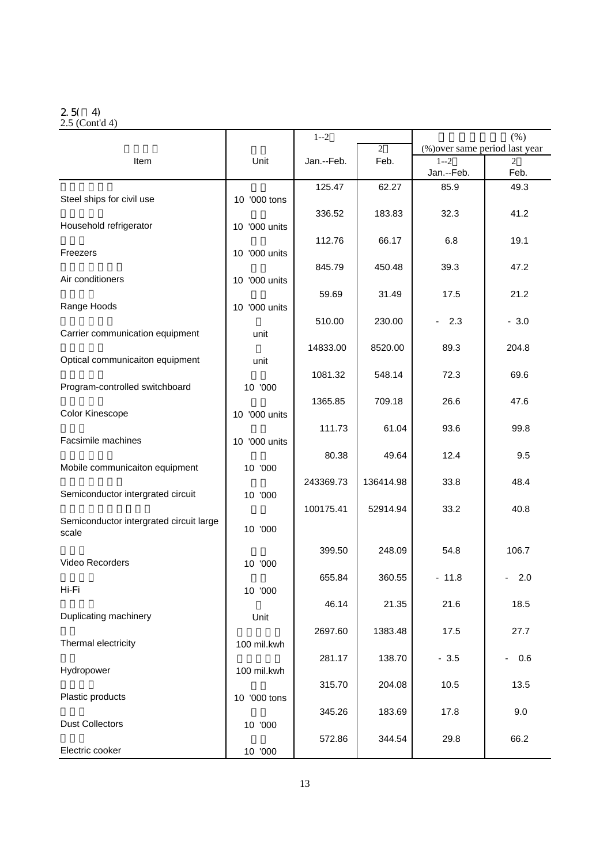#### 2.5( 4)

2.5 (Cont'd 4)

|                                         |                  | $1 - 2$    |           | $(\% )$                         |                                 |  |
|-----------------------------------------|------------------|------------|-----------|---------------------------------|---------------------------------|--|
|                                         |                  |            | 2         | (%) over same period last year  |                                 |  |
| Item                                    | Unit             | Jan.--Feb. | Feb.      | $1 - 2$                         | $\mathfrak{D}$                  |  |
|                                         |                  |            |           | Jan.--Feb.                      | Feb.                            |  |
|                                         |                  | 125.47     | 62.27     | 85.9                            | 49.3                            |  |
| Steel ships for civil use               | 10 '000 tons     |            |           |                                 |                                 |  |
|                                         |                  | 336.52     | 183.83    | 32.3                            | 41.2                            |  |
| Household refrigerator                  | 10 '000 units    |            |           |                                 |                                 |  |
|                                         |                  |            |           |                                 |                                 |  |
|                                         |                  | 112.76     | 66.17     | 6.8                             | 19.1                            |  |
| Freezers                                | 10 '000 units    |            |           |                                 |                                 |  |
|                                         |                  | 845.79     | 450.48    | 39.3                            | 47.2                            |  |
| Air conditioners                        | 10 '000 units    |            |           |                                 |                                 |  |
|                                         |                  | 59.69      | 31.49     | 17.5                            | 21.2                            |  |
| Range Hoods                             | '000 units<br>10 |            |           |                                 |                                 |  |
|                                         |                  | 510.00     | 230.00    | 2.3<br>$\overline{\phantom{0}}$ | $-3.0$                          |  |
| Carrier communication equipment         | unit             |            |           |                                 |                                 |  |
|                                         |                  |            |           |                                 |                                 |  |
|                                         |                  | 14833.00   | 8520.00   | 89.3                            | 204.8                           |  |
| Optical communicaiton equipment         | unit             |            |           |                                 |                                 |  |
|                                         |                  | 1081.32    | 548.14    | 72.3                            | 69.6                            |  |
| Program-controlled switchboard          | 10 '000          |            |           |                                 |                                 |  |
|                                         |                  | 1365.85    | 709.18    | 26.6                            | 47.6                            |  |
| Color Kinescope                         | '000 units<br>10 |            |           |                                 |                                 |  |
|                                         |                  | 111.73     | 61.04     | 93.6                            | 99.8                            |  |
| Facsimile machines                      | 10 '000 units    |            |           |                                 |                                 |  |
|                                         |                  | 80.38      | 49.64     | 12.4                            | 9.5                             |  |
| Mobile communicaiton equipment          |                  |            |           |                                 |                                 |  |
|                                         | 10 '000          |            |           |                                 |                                 |  |
|                                         |                  | 243369.73  | 136414.98 | 33.8                            | 48.4                            |  |
| Semiconductor intergrated circuit       | 10 '000          |            |           |                                 |                                 |  |
|                                         |                  | 100175.41  | 52914.94  | 33.2                            | 40.8                            |  |
| Semiconductor intergrated circuit large |                  |            |           |                                 |                                 |  |
| scale                                   | 10 '000          |            |           |                                 |                                 |  |
|                                         |                  | 399.50     | 248.09    | 54.8                            | 106.7                           |  |
| Video Recorders                         | 10 '000          |            |           |                                 |                                 |  |
|                                         |                  |            |           |                                 |                                 |  |
|                                         |                  | 655.84     | 360.55    | $-11.8$                         | 2.0                             |  |
| Hi-Fi                                   | 10 '000          |            |           |                                 |                                 |  |
|                                         |                  | 46.14      | 21.35     | 21.6                            | 18.5                            |  |
| Duplicating machinery                   | Unit             |            |           |                                 |                                 |  |
|                                         |                  | 2697.60    | 1383.48   | 17.5                            | 27.7                            |  |
| Thermal electricity                     | 100 mil.kwh      |            |           |                                 |                                 |  |
|                                         |                  | 281.17     | 138.70    | $-3.5$                          | 0.6<br>$\overline{\phantom{a}}$ |  |
| Hydropower                              | 100 mil.kwh      |            |           |                                 |                                 |  |
|                                         |                  |            |           |                                 |                                 |  |
| Plastic products                        |                  | 315.70     | 204.08    | 10.5                            | 13.5                            |  |
|                                         | 10 '000 tons     |            |           |                                 |                                 |  |
|                                         |                  | 345.26     | 183.69    | 17.8                            | 9.0                             |  |
| <b>Dust Collectors</b>                  | 10 '000          |            |           |                                 |                                 |  |
|                                         |                  | 572.86     | 344.54    | 29.8                            | 66.2                            |  |
| Electric cooker                         | 10 '000          |            |           |                                 |                                 |  |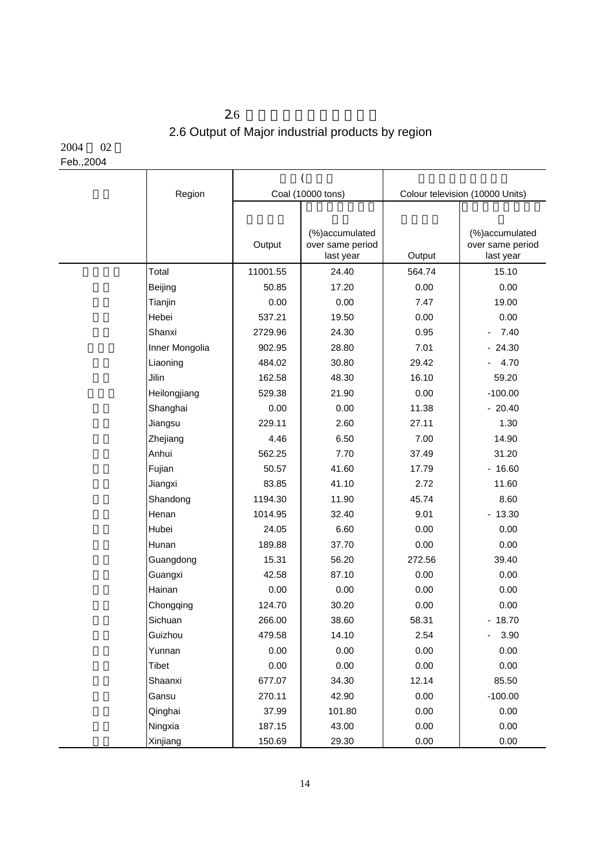## $2.6$ 2.6 Output of Major industrial products by region

2004 02 Feb.,2004

| Region         |          | Coal (10000 tons)                               |        | Colour television (10000 Units)                 |  |
|----------------|----------|-------------------------------------------------|--------|-------------------------------------------------|--|
|                |          |                                                 |        |                                                 |  |
|                | Output   | (%)accumulated<br>over same period<br>last year | Output | (%)accumulated<br>over same period<br>last year |  |
| Total          | 11001.55 | 24.40                                           | 564.74 | 15.10                                           |  |
| Beijing        | 50.85    | 17.20                                           | 0.00   | 0.00                                            |  |
| Tianjin        | 0.00     | 0.00                                            | 7.47   | 19.00                                           |  |
| Hebei          | 537.21   | 19.50                                           | 0.00   | 0.00                                            |  |
| Shanxi         | 2729.96  | 24.30                                           | 0.95   | 7.40<br>$\blacksquare$                          |  |
| Inner Mongolia | 902.95   | 28.80                                           | 7.01   | $-24.30$                                        |  |
| Liaoning       | 484.02   | 30.80                                           | 29.42  | 4.70<br>$\overline{\phantom{0}}$                |  |
| Jilin          | 162.58   | 48.30                                           | 16.10  | 59.20                                           |  |
| Heilongjiang   | 529.38   | 21.90                                           | 0.00   | $-100.00$                                       |  |
| Shanghai       | 0.00     | 0.00                                            | 11.38  | $-20.40$                                        |  |
| Jiangsu        | 229.11   | 2.60                                            | 27.11  | 1.30                                            |  |
| Zhejiang       | 4.46     | 6.50                                            | 7.00   | 14.90                                           |  |
| Anhui          | 562.25   | 7.70                                            | 37.49  | 31.20                                           |  |
| Fujian         | 50.57    | 41.60                                           | 17.79  | $-16.60$                                        |  |
| Jiangxi        | 83.85    | 41.10                                           | 2.72   | 11.60                                           |  |
| Shandong       | 1194.30  | 11.90                                           | 45.74  | 8.60                                            |  |
| Henan          | 1014.95  | 32.40                                           | 9.01   | $-13.30$                                        |  |
| Hubei          | 24.05    | 6.60                                            | 0.00   | 0.00                                            |  |
| Hunan          | 189.88   | 37.70                                           | 0.00   | 0.00                                            |  |
| Guangdong      | 15.31    | 56.20                                           | 272.56 | 39.40                                           |  |
| Guangxi        | 42.58    | 87.10                                           | 0.00   | 0.00                                            |  |
| Hainan         | 0.00     | 0.00                                            | 0.00   | 0.00                                            |  |
| Chongqing      | 124.70   | 30.20                                           | 0.00   | 0.00                                            |  |
| Sichuan        | 266.00   | 38.60                                           | 58.31  | $-18.70$                                        |  |
| Guizhou        | 479.58   | 14.10                                           | 2.54   | 3.90<br>$\overline{\phantom{0}}$                |  |
| Yunnan         | 0.00     | 0.00                                            | 0.00   | 0.00                                            |  |
| Tibet          | 0.00     | 0.00                                            | 0.00   | 0.00                                            |  |
| Shaanxi        | 677.07   | 34.30                                           | 12.14  | 85.50                                           |  |
| Gansu          | 270.11   | 42.90                                           | 0.00   | $-100.00$                                       |  |
| Qinghai        | 37.99    | 101.80                                          | 0.00   | 0.00                                            |  |
| Ningxia        | 187.15   | 43.00                                           | 0.00   | 0.00                                            |  |
| Xinjiang       | 150.69   | 29.30                                           | 0.00   | 0.00                                            |  |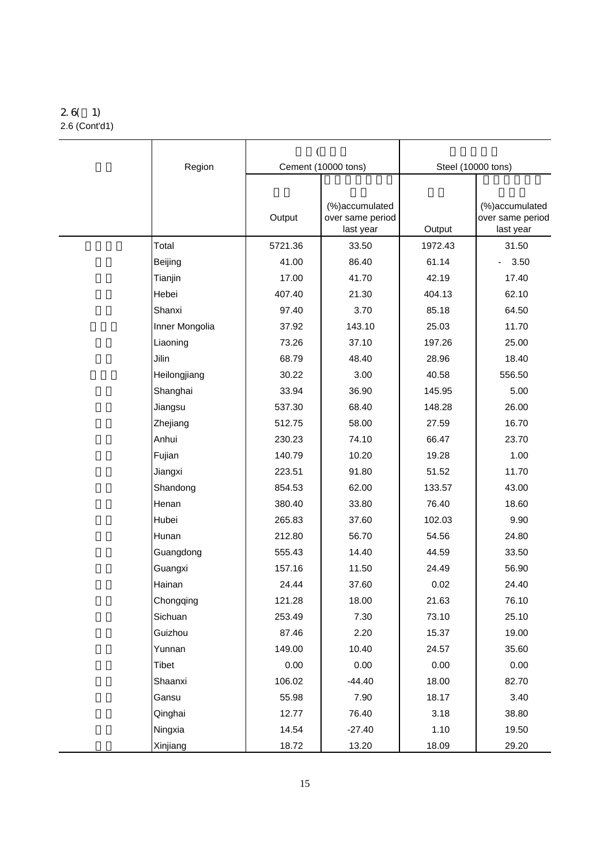#### 2.6( 1) 2.6 (Cont'd1)

| Region         |         | Cement (10000 tons)                              | Steel (10000 tons) |                                                 |  |
|----------------|---------|--------------------------------------------------|--------------------|-------------------------------------------------|--|
|                |         |                                                  |                    |                                                 |  |
|                | Output  | (%) accumulated<br>over same period<br>last year | Output             | (%)accumulated<br>over same period<br>last year |  |
| Total          | 5721.36 | 33.50                                            | 1972.43            | 31.50                                           |  |
| Beijing        | 41.00   | 86.40                                            | 61.14              | 3.50                                            |  |
| Tianjin        | 17.00   | 41.70                                            | 42.19              | 17.40                                           |  |
| Hebei          | 407.40  | 21.30                                            | 404.13             | 62.10                                           |  |
| Shanxi         | 97.40   | 3.70                                             | 85.18              | 64.50                                           |  |
| Inner Mongolia | 37.92   | 143.10                                           | 25.03              | 11.70                                           |  |
| Liaoning       | 73.26   | 37.10                                            | 197.26             | 25.00                                           |  |
| Jilin          | 68.79   | 48.40                                            | 28.96              | 18.40                                           |  |
| Heilongjiang   | 30.22   | 3.00                                             | 40.58              | 556.50                                          |  |
| Shanghai       | 33.94   | 36.90                                            | 145.95             | 5.00                                            |  |
| Jiangsu        | 537.30  | 68.40                                            | 148.28             | 26.00                                           |  |
| Zhejiang       | 512.75  | 58.00                                            | 27.59              | 16.70                                           |  |
| Anhui          | 230.23  | 74.10                                            | 66.47              | 23.70                                           |  |
| Fujian         | 140.79  | 10.20                                            | 19.28              | 1.00                                            |  |
| Jiangxi        | 223.51  | 91.80                                            | 51.52              | 11.70                                           |  |
| Shandong       | 854.53  | 62.00                                            | 133.57             | 43.00                                           |  |
| Henan          | 380.40  | 33.80                                            | 76.40              | 18.60                                           |  |
| Hubei          | 265.83  | 37.60                                            | 102.03             | 9.90                                            |  |
| Hunan          | 212.80  | 56.70                                            | 54.56              | 24.80                                           |  |
| Guangdong      | 555.43  | 14.40                                            | 44.59              | 33.50                                           |  |
| Guangxi        | 157.16  | 11.50                                            | 24.49              | 56.90                                           |  |
| Hainan         | 24.44   | 37.60                                            | 0.02               | 24.40                                           |  |
| Chongqing      | 121.28  | 18.00                                            | 21.63              | 76.10                                           |  |
| Sichuan        | 253.49  | 7.30                                             | 73.10              | 25.10                                           |  |
| Guizhou        | 87.46   | 2.20                                             | 15.37              | 19.00                                           |  |
| Yunnan         | 149.00  | 10.40                                            | 24.57              | 35.60                                           |  |
| Tibet          | 0.00    | 0.00                                             | 0.00               | 0.00                                            |  |
| Shaanxi        | 106.02  | $-44.40$                                         | 18.00              | 82.70                                           |  |
| Gansu          | 55.98   | 7.90                                             | 18.17              | 3.40                                            |  |
| Qinghai        | 12.77   | 76.40                                            | 3.18               | 38.80                                           |  |
| Ningxia        | 14.54   | $-27.40$                                         | 1.10               | 19.50                                           |  |
| Xinjiang       | 18.72   | 13.20                                            | 18.09              | 29.20                                           |  |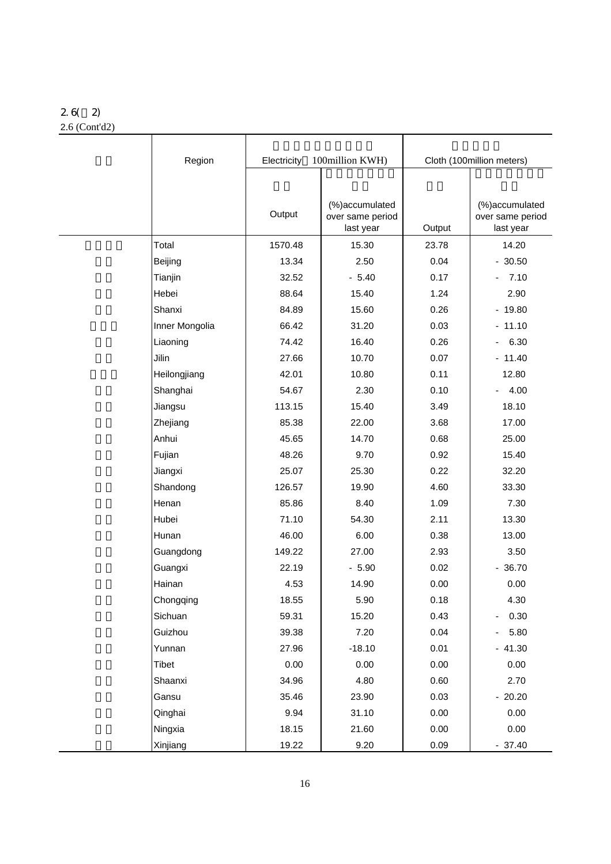# 2.6( 2)

2.6 (Cont'd2)

| Region         | Electricity | 100million KWH)                                 | Cloth (100million meters) |                                                 |  |
|----------------|-------------|-------------------------------------------------|---------------------------|-------------------------------------------------|--|
|                |             |                                                 |                           |                                                 |  |
|                | Output      | (%)accumulated<br>over same period<br>last year | Output                    | (%)accumulated<br>over same period<br>last year |  |
| Total          | 1570.48     | 15.30                                           | 23.78                     | 14.20                                           |  |
| Beijing        | 13.34       | 2.50                                            | 0.04                      | $-30.50$                                        |  |
| Tianjin        | 32.52       | $-5.40$                                         | 0.17                      | 7.10<br>$\overline{\phantom{a}}$                |  |
| Hebei          | 88.64       | 15.40                                           | 1.24                      | 2.90                                            |  |
| Shanxi         | 84.89       | 15.60                                           | 0.26                      | $-19.80$                                        |  |
| Inner Mongolia | 66.42       | 31.20                                           | 0.03                      | $-11.10$                                        |  |
| Liaoning       | 74.42       | 16.40                                           | 0.26                      | 6.30<br>$\overline{\phantom{0}}$                |  |
| Jilin          | 27.66       | 10.70                                           | 0.07                      | $-11.40$                                        |  |
| Heilongjiang   | 42.01       | 10.80                                           | 0.11                      | 12.80                                           |  |
| Shanghai       | 54.67       | 2.30                                            | 0.10                      | $-4.00$                                         |  |
| Jiangsu        | 113.15      | 15.40                                           | 3.49                      | 18.10                                           |  |
| Zhejiang       | 85.38       | 22.00                                           | 3.68                      | 17.00                                           |  |
| Anhui          | 45.65       | 14.70                                           | 0.68                      | 25.00                                           |  |
| Fujian         | 48.26       | 9.70                                            | 0.92                      | 15.40                                           |  |
| Jiangxi        | 25.07       | 25.30                                           | 0.22                      | 32.20                                           |  |
| Shandong       | 126.57      | 19.90                                           | 4.60                      | 33.30                                           |  |
| Henan          | 85.86       | 8.40                                            | 1.09                      | 7.30                                            |  |
| Hubei          | 71.10       | 54.30                                           | 2.11                      | 13.30                                           |  |
| Hunan          | 46.00       | 6.00                                            | 0.38                      | 13.00                                           |  |
| Guangdong      | 149.22      | 27.00                                           | 2.93                      | 3.50                                            |  |
| Guangxi        | 22.19       | $-5.90$                                         | 0.02                      | $-36.70$                                        |  |
| Hainan         | 4.53        | 14.90                                           | 0.00                      | 0.00                                            |  |
| Chongqing      | 18.55       | 5.90                                            | 0.18                      | 4.30                                            |  |
| Sichuan        | 59.31       | 15.20                                           | 0.43                      | 0.30                                            |  |
| Guizhou        | 39.38       | 7.20                                            | 0.04                      | 5.80<br>۰                                       |  |
| Yunnan         | 27.96       | $-18.10$                                        | 0.01                      | $-41.30$                                        |  |
| Tibet          | 0.00        | 0.00                                            | 0.00                      | 0.00                                            |  |
| Shaanxi        | 34.96       | 4.80                                            | 0.60                      | 2.70                                            |  |
| Gansu          | 35.46       | 23.90                                           | 0.03                      | $-20.20$                                        |  |
| Qinghai        | 9.94        | 31.10                                           | 0.00                      | 0.00                                            |  |
| Ningxia        | 18.15       | 21.60                                           | 0.00                      | 0.00                                            |  |
| Xinjiang       | 19.22       | 9.20                                            | 0.09                      | $-37.40$                                        |  |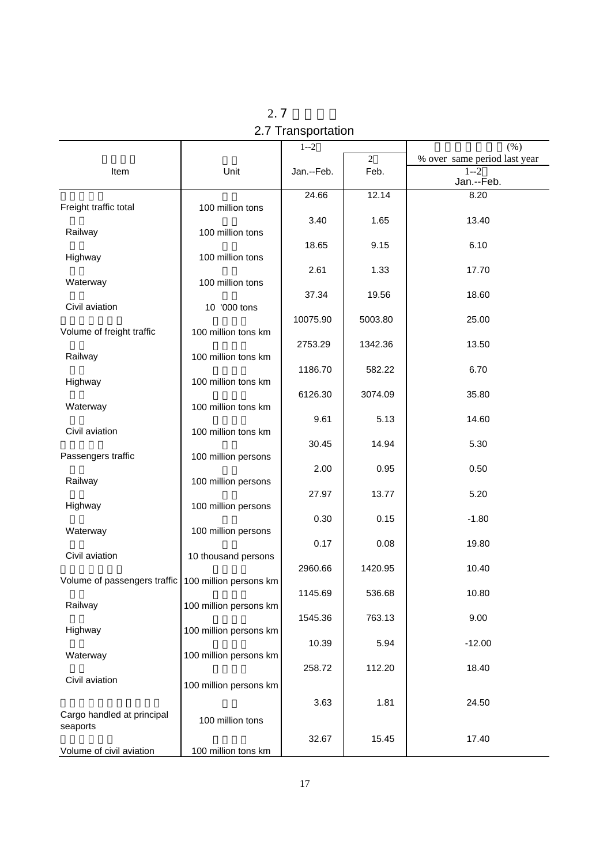|                              |                        | $1 - 2$    | $\overline{2}$ | (% )                                                  |
|------------------------------|------------------------|------------|----------------|-------------------------------------------------------|
| Item                         | Unit                   | Jan.--Feb. | Feb.           | % over same period last year<br>$1 - 2$<br>Jan.--Feb. |
|                              |                        | 24.66      | 12.14          | 8.20                                                  |
| Freight traffic total        | 100 million tons       |            |                |                                                       |
|                              |                        | 3.40       | 1.65           | 13.40                                                 |
| Railway                      | 100 million tons       | 18.65      | 9.15           | 6.10                                                  |
| Highway                      | 100 million tons       |            |                |                                                       |
|                              |                        | 2.61       | 1.33           | 17.70                                                 |
| Waterway                     | 100 million tons       |            |                |                                                       |
|                              |                        | 37.34      | 19.56          | 18.60                                                 |
| Civil aviation               | 10 '000 tons           |            |                |                                                       |
| Volume of freight traffic    | 100 million tons km    | 10075.90   | 5003.80        | 25.00                                                 |
|                              |                        | 2753.29    | 1342.36        | 13.50                                                 |
| Railway                      | 100 million tons km    |            |                |                                                       |
|                              |                        | 1186.70    | 582.22         | 6.70                                                  |
| Highway                      | 100 million tons km    |            |                |                                                       |
|                              |                        | 6126.30    | 3074.09        | 35.80                                                 |
| Waterway                     | 100 million tons km    | 9.61       | 5.13           | 14.60                                                 |
| Civil aviation               | 100 million tons km    |            |                |                                                       |
|                              |                        | 30.45      | 14.94          | 5.30                                                  |
| Passengers traffic           | 100 million persons    |            |                |                                                       |
|                              |                        | 2.00       | 0.95           | 0.50                                                  |
| Railway                      | 100 million persons    |            |                |                                                       |
| Highway                      | 100 million persons    | 27.97      | 13.77          | 5.20                                                  |
|                              |                        | 0.30       | 0.15           | $-1.80$                                               |
| Waterway                     | 100 million persons    |            |                |                                                       |
|                              |                        | 0.17       | 0.08           | 19.80                                                 |
| Civil aviation               | 10 thousand persons    |            |                |                                                       |
|                              |                        | 2960.66    | 1420.95        | 10.40                                                 |
| Volume of passengers traffic | 100 million persons km | 1145.69    | 536.68         | 10.80                                                 |
| Railway                      | 100 million persons km |            |                |                                                       |
|                              |                        | 1545.36    | 763.13         | 9.00                                                  |
| Highway                      | 100 million persons km |            |                |                                                       |
|                              |                        | 10.39      | 5.94           | $-12.00$                                              |
| Waterway                     | 100 million persons km |            |                |                                                       |
| Civil aviation               |                        | 258.72     | 112.20         | 18.40                                                 |
|                              | 100 million persons km |            |                |                                                       |
|                              |                        | 3.63       | 1.81           | 24.50                                                 |
| Cargo handled at principal   | 100 million tons       |            |                |                                                       |
| seaports                     |                        | 32.67      | 15.45          | 17.40                                                 |
| Volume of civil aviation     | 100 million tons km    |            |                |                                                       |

 $2.7$ 2.7 Transportation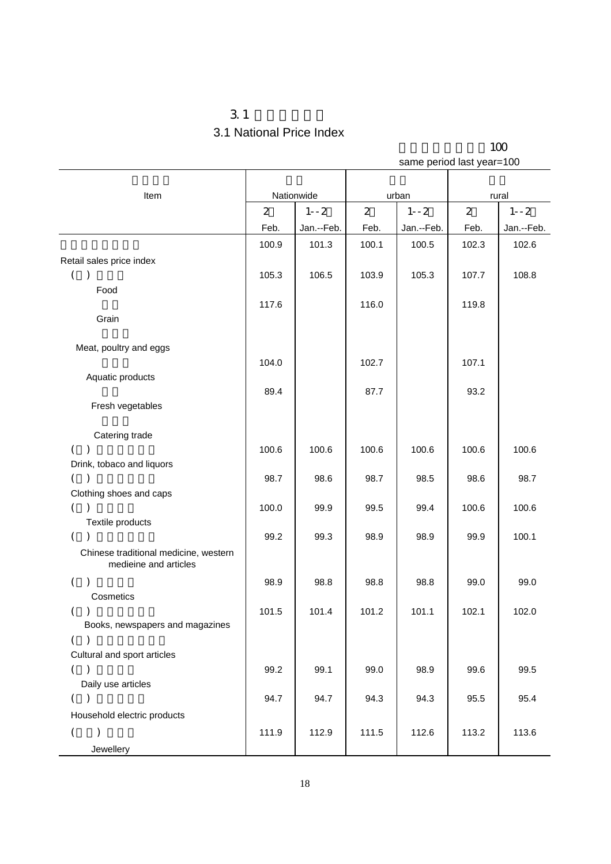## $3.1$ 3.1 National Price Index

|                                             | same period last year=100 |            |                |            |                |            |  |
|---------------------------------------------|---------------------------|------------|----------------|------------|----------------|------------|--|
|                                             |                           |            |                |            |                |            |  |
| Item                                        |                           | Nationwide |                | urban      | rural          |            |  |
|                                             | $\overline{2}$            | $1 - -2$   | $\overline{2}$ | $1 - -2$   | $\overline{2}$ | $1 - -2$   |  |
|                                             | Feb.                      | Jan.--Feb. | Feb.           | Jan.--Feb. | Feb.           | Jan.--Feb. |  |
|                                             | 100.9                     | 101.3      | 100.1          | 100.5      | 102.3          | 102.6      |  |
| Retail sales price index                    |                           |            |                |            |                |            |  |
| $\left($<br>$\lambda$                       | 105.3                     | 106.5      | 103.9          | 105.3      | 107.7          | 108.8      |  |
| Food                                        |                           |            |                |            |                |            |  |
|                                             | 117.6                     |            | 116.0          |            | 119.8          |            |  |
| Grain                                       |                           |            |                |            |                |            |  |
|                                             |                           |            |                |            |                |            |  |
| Meat, poultry and eggs                      |                           |            |                |            |                |            |  |
|                                             | 104.0                     |            | 102.7          |            | 107.1          |            |  |
| Aquatic products                            |                           |            |                |            |                |            |  |
|                                             | 89.4                      |            | 87.7           |            | 93.2           |            |  |
| Fresh vegetables                            |                           |            |                |            |                |            |  |
|                                             |                           |            |                |            |                |            |  |
| Catering trade                              |                           |            |                |            |                |            |  |
| $\left($<br>$\lambda$                       | 100.6                     | 100.6      | 100.6          | 100.6      | 100.6          | 100.6      |  |
| Drink, tobaco and liquors<br>$\lambda$<br>( | 98.7                      | 98.6       | 98.7           | 98.5       | 98.6           | 98.7       |  |
| Clothing shoes and caps                     |                           |            |                |            |                |            |  |
| $\left($                                    | 100.0                     | 99.9       | 99.5           | 99.4       | 100.6          | 100.6      |  |
| Textile products                            |                           |            |                |            |                |            |  |
| $\left($<br>$\mathcal{E}$                   | 99.2                      | 99.3       | 98.9           | 98.9       | 99.9           | 100.1      |  |
| Chinese traditional medicine, western       |                           |            |                |            |                |            |  |
| medieine and articles                       |                           |            |                |            |                |            |  |
| $\left($                                    | 98.9                      | 98.8       | 98.8           | 98.8       | 99.0           | 99.0       |  |
| Cosmetics                                   |                           |            |                |            |                |            |  |
| $\mathcal{C}$                               | 101.5                     | 101.4      | 101.2          | 101.1      | 102.1          | 102.0      |  |
| Books, newspapers and magazines             |                           |            |                |            |                |            |  |
| $\left($<br>$\lambda$                       |                           |            |                |            |                |            |  |
| Cultural and sport articles                 |                           |            |                |            |                |            |  |
| ( )                                         | 99.2                      | 99.1       | 99.0           | 98.9       | 99.6           | 99.5       |  |
| Daily use articles                          |                           |            |                |            |                |            |  |
| $\left($<br>$\rightarrow$                   | 94.7                      | 94.7       | 94.3           | 94.3       | 95.5           | 95.4       |  |
| Household electric products                 |                           |            |                |            |                |            |  |
| $\left($<br>⟩                               | 111.9                     | 112.9      | 111.5          | 112.6      | 113.2          | 113.6      |  |
| Jewellery                                   |                           |            |                |            |                |            |  |

以上年同期价格为100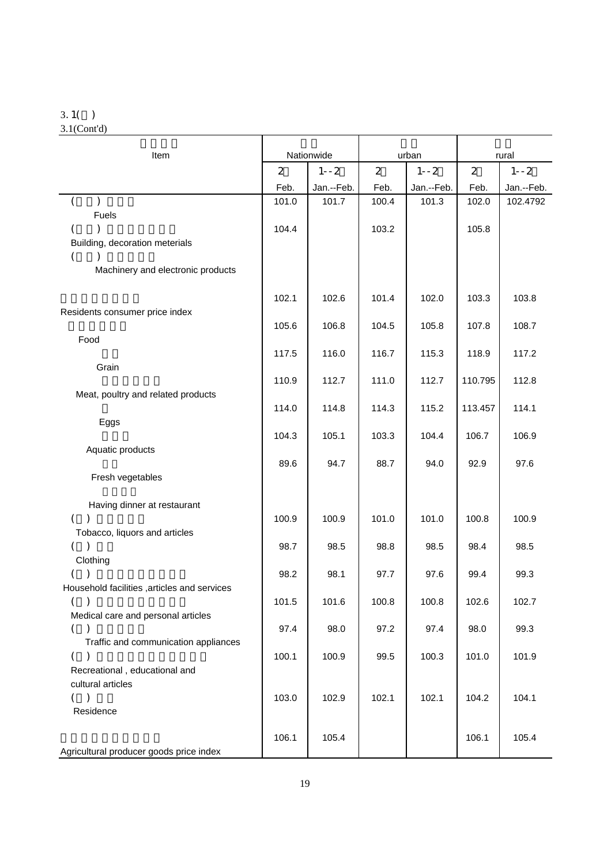#### 3.1( )

3.1(Cont'd)

| Item                                                          |                | Nationwide | urban          |            | rural          |            |
|---------------------------------------------------------------|----------------|------------|----------------|------------|----------------|------------|
|                                                               | $\overline{2}$ | $1 - -2$   | $\overline{2}$ | $1 - -2$   | $\overline{2}$ | $1 - -2$   |
|                                                               | Feb.           | Jan.--Feb. | Feb.           | Jan.--Feb. | Feb.           | Jan.--Feb. |
| $\mathcal{E}$                                                 | 101.0          | 101.7      | 100.4          | 101.3      | 102.0          | 102.4792   |
| Fuels                                                         |                |            |                |            |                |            |
| Building, decoration meterials                                | 104.4          |            | 103.2          |            | 105.8          |            |
|                                                               |                |            |                |            |                |            |
| Machinery and electronic products                             |                |            |                |            |                |            |
|                                                               |                |            |                |            |                |            |
|                                                               | 102.1          | 102.6      | 101.4          | 102.0      | 103.3          | 103.8      |
| Residents consumer price index                                | 105.6          | 106.8      | 104.5          | 105.8      | 107.8          | 108.7      |
| Food                                                          |                |            |                |            |                |            |
|                                                               | 117.5          | 116.0      | 116.7          | 115.3      | 118.9          | 117.2      |
| Grain                                                         |                |            |                |            |                |            |
|                                                               | 110.9          | 112.7      | 111.0          | 112.7      | 110.795        | 112.8      |
| Meat, poultry and related products                            | 114.0          | 114.8      | 114.3          | 115.2      | 113.457        | 114.1      |
| Eggs                                                          |                |            |                |            |                |            |
|                                                               | 104.3          | 105.1      | 103.3          | 104.4      | 106.7          | 106.9      |
| Aquatic products                                              |                |            |                |            |                |            |
|                                                               | 89.6           | 94.7       | 88.7           | 94.0       | 92.9           | 97.6       |
| Fresh vegetables                                              |                |            |                |            |                |            |
| Having dinner at restaurant                                   |                |            |                |            |                |            |
| $\left($                                                      | 100.9          | 100.9      | 101.0          | 101.0      | 100.8          | 100.9      |
| Tobacco, liquors and articles                                 |                |            |                |            |                |            |
| $\mathcal{E}$<br>$\left($<br>Clothing                         | 98.7           | 98.5       | 98.8           | 98.5       | 98.4           | 98.5       |
| $\left($                                                      | 98.2           | 98.1       | 97.7           | 97.6       | 99.4           | 99.3       |
| Household facilities , articles and services                  |                |            |                |            |                |            |
|                                                               | 101.5          | 101.6      | 100.8          | 100.8      | 102.6          | 102.7      |
| Medical care and personal articles                            |                |            |                |            |                |            |
| $\left($<br>$\lambda$<br>Traffic and communication appliances | 97.4           | 98.0       | 97.2           | 97.4       | 98.0           | 99.3       |
| $\left($                                                      | 100.1          | 100.9      | 99.5           | 100.3      | 101.0          | 101.9      |
| Recreational, educational and                                 |                |            |                |            |                |            |
| cultural articles                                             |                |            |                |            |                |            |
| ( )<br>Residence                                              | 103.0          | 102.9      | 102.1          | 102.1      | 104.2          | 104.1      |
|                                                               |                |            |                |            |                |            |
|                                                               | 106.1          | 105.4      |                |            | 106.1          | 105.4      |
| Agricultural producer goods price index                       |                |            |                |            |                |            |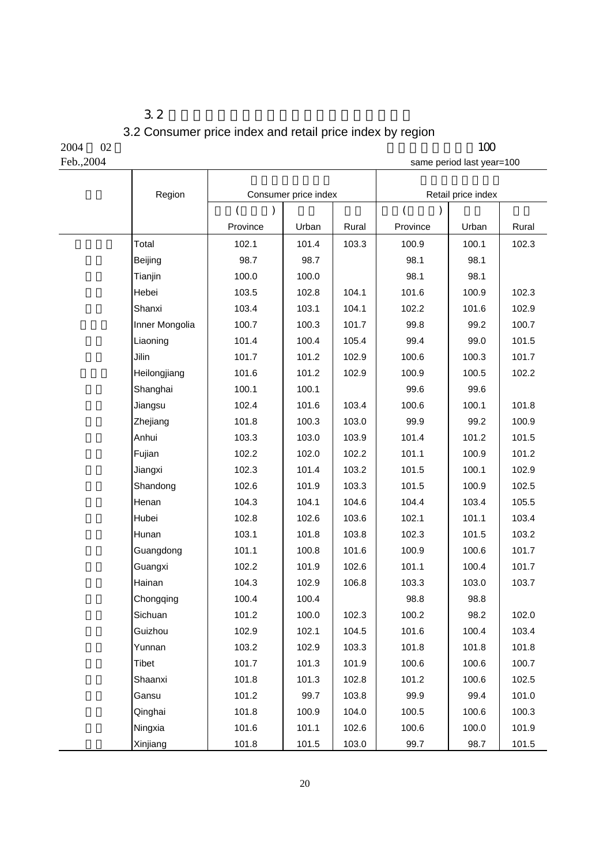### $3.2$ 3.2 Consumer price index and retail price index by region

Τ

 $2004$  02 100 Feb.,2004 same period last year=100

| Region         |               | Consumer price index |       |               | Retail price index |       |  |
|----------------|---------------|----------------------|-------|---------------|--------------------|-------|--|
|                | $\left($<br>) |                      |       | $\left($<br>⟩ |                    |       |  |
|                | Province      | Urban                | Rural | Province      | Urban              | Rural |  |
| Total          | 102.1         | 101.4                | 103.3 | 100.9         | 100.1              | 102.3 |  |
| Beijing        | 98.7          | 98.7                 |       | 98.1          | 98.1               |       |  |
| Tianjin        | 100.0         | 100.0                |       | 98.1          | 98.1               |       |  |
| Hebei          | 103.5         | 102.8                | 104.1 | 101.6         | 100.9              | 102.3 |  |
| Shanxi         | 103.4         | 103.1                | 104.1 | 102.2         | 101.6              | 102.9 |  |
| Inner Mongolia | 100.7         | 100.3                | 101.7 | 99.8          | 99.2               | 100.7 |  |
| Liaoning       | 101.4         | 100.4                | 105.4 | 99.4          | 99.0               | 101.5 |  |
| Jilin          | 101.7         | 101.2                | 102.9 | 100.6         | 100.3              | 101.7 |  |
| Heilongjiang   | 101.6         | 101.2                | 102.9 | 100.9         | 100.5              | 102.2 |  |
| Shanghai       | 100.1         | 100.1                |       | 99.6          | 99.6               |       |  |
| Jiangsu        | 102.4         | 101.6                | 103.4 | 100.6         | 100.1              | 101.8 |  |
| Zhejiang       | 101.8         | 100.3                | 103.0 | 99.9          | 99.2               | 100.9 |  |
| Anhui          | 103.3         | 103.0                | 103.9 | 101.4         | 101.2              | 101.5 |  |
| Fujian         | 102.2         | 102.0                | 102.2 | 101.1         | 100.9              | 101.2 |  |
| Jiangxi        | 102.3         | 101.4                | 103.2 | 101.5         | 100.1              | 102.9 |  |
| Shandong       | 102.6         | 101.9                | 103.3 | 101.5         | 100.9              | 102.5 |  |
| Henan          | 104.3         | 104.1                | 104.6 | 104.4         | 103.4              | 105.5 |  |
| Hubei          | 102.8         | 102.6                | 103.6 | 102.1         | 101.1              | 103.4 |  |
| Hunan          | 103.1         | 101.8                | 103.8 | 102.3         | 101.5              | 103.2 |  |
| Guangdong      | 101.1         | 100.8                | 101.6 | 100.9         | 100.6              | 101.7 |  |
| Guangxi        | 102.2         | 101.9                | 102.6 | 101.1         | 100.4              | 101.7 |  |
| Hainan         | 104.3         | 102.9                | 106.8 | 103.3         | 103.0              | 103.7 |  |
| Chongqing      | 100.4         | 100.4                |       | 98.8          | 98.8               |       |  |
| Sichuan        | 101.2         | 100.0                | 102.3 | 100.2         | 98.2               | 102.0 |  |
| Guizhou        | 102.9         | 102.1                | 104.5 | 101.6         | 100.4              | 103.4 |  |
| Yunnan         | 103.2         | 102.9                | 103.3 | 101.8         | 101.8              | 101.8 |  |
| Tibet          | 101.7         | 101.3                | 101.9 | 100.6         | 100.6              | 100.7 |  |
| Shaanxi        | 101.8         | 101.3                | 102.8 | 101.2         | 100.6              | 102.5 |  |
| Gansu          | 101.2         | 99.7                 | 103.8 | 99.9          | 99.4               | 101.0 |  |
| Qinghai        | 101.8         | 100.9                | 104.0 | 100.5         | 100.6              | 100.3 |  |
| Ningxia        | 101.6         | 101.1                | 102.6 | 100.6         | 100.0              | 101.9 |  |
| Xinjiang       | 101.8         | 101.5                | 103.0 | 99.7          | 98.7               | 101.5 |  |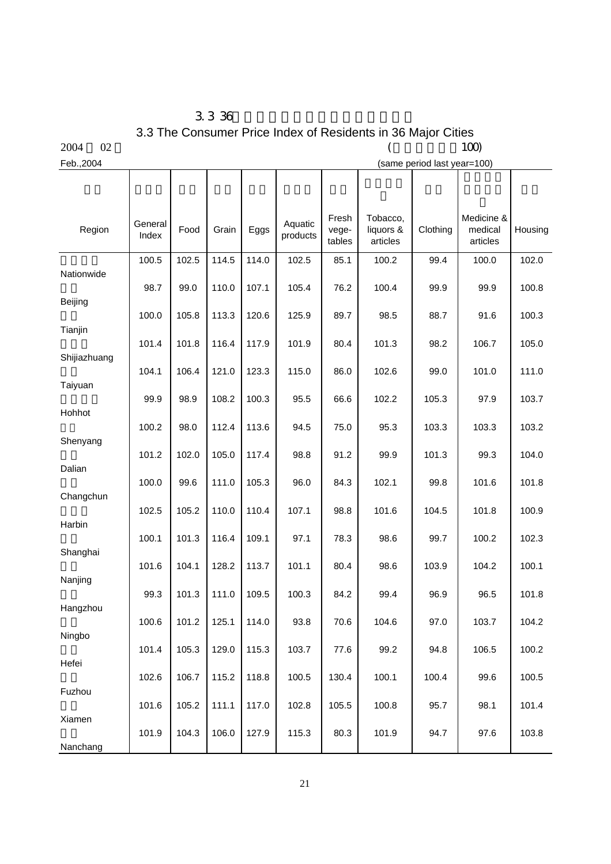3.3 36 3.3 The Consumer Price Index of Residents in 36 Major Cities<br>(100)

Т

T

| 0.001 |
|-------|

Τ

 $2004$   $02$  (100) Feb.,2004 (same period last year=100)

Τ

Τ

Τ

| Region       | General<br>Index | Food  | Grain | Eggs  | Aquatic<br>products | Fresh<br>vege-<br>tables | Tobacco,<br>liquors &<br>articles | Clothing | Medicine &<br>medical<br>articles | Housing |
|--------------|------------------|-------|-------|-------|---------------------|--------------------------|-----------------------------------|----------|-----------------------------------|---------|
|              | 100.5            | 102.5 | 114.5 | 114.0 | 102.5               | 85.1                     | 100.2                             | 99.4     | 100.0                             | 102.0   |
| Nationwide   | 98.7             | 99.0  | 110.0 | 107.1 | 105.4               | 76.2                     | 100.4                             | 99.9     | 99.9                              | 100.8   |
| Beijing      |                  |       |       |       |                     |                          |                                   |          |                                   |         |
|              | 100.0            | 105.8 | 113.3 | 120.6 | 125.9               | 89.7                     | 98.5                              | 88.7     | 91.6                              | 100.3   |
| Tianjin      | 101.4            | 101.8 | 116.4 | 117.9 | 101.9               | 80.4                     | 101.3                             | 98.2     | 106.7                             | 105.0   |
| Shijiazhuang |                  |       |       |       |                     |                          |                                   |          |                                   |         |
|              | 104.1            | 106.4 | 121.0 | 123.3 | 115.0               | 86.0                     | 102.6                             | 99.0     | 101.0                             | 111.0   |
| Taiyuan      | 99.9             | 98.9  | 108.2 | 100.3 | 95.5                | 66.6                     | 102.2                             | 105.3    | 97.9                              | 103.7   |
| Hohhot       |                  |       |       |       |                     |                          |                                   |          |                                   |         |
|              | 100.2            | 98.0  | 112.4 | 113.6 | 94.5                | 75.0                     | 95.3                              | 103.3    | 103.3                             | 103.2   |
| Shenyang     | 101.2            | 102.0 | 105.0 | 117.4 | 98.8                | 91.2                     | 99.9                              | 101.3    | 99.3                              | 104.0   |
| Dalian       |                  |       |       |       |                     |                          |                                   |          |                                   |         |
|              | 100.0            | 99.6  | 111.0 | 105.3 | 96.0                | 84.3                     | 102.1                             | 99.8     | 101.6                             | 101.8   |
| Changchun    | 102.5            | 105.2 | 110.0 | 110.4 | 107.1               | 98.8                     | 101.6                             | 104.5    | 101.8                             | 100.9   |
| Harbin       |                  |       |       |       |                     |                          |                                   |          |                                   |         |
|              | 100.1            | 101.3 | 116.4 | 109.1 | 97.1                | 78.3                     | 98.6                              | 99.7     | 100.2                             | 102.3   |
| Shanghai     | 101.6            | 104.1 | 128.2 | 113.7 | 101.1               | 80.4                     | 98.6                              | 103.9    | 104.2                             | 100.1   |
| Nanjing      |                  |       |       |       |                     |                          |                                   |          |                                   |         |
|              | 99.3             | 101.3 | 111.0 | 109.5 | 100.3               | 84.2                     | 99.4                              | 96.9     | 96.5                              | 101.8   |
| Hangzhou     | 100.6            | 101.2 | 125.1 | 114.0 | 93.8                | 70.6                     | 104.6                             | 97.0     | 103.7                             | 104.2   |
| Ningbo       |                  |       |       |       |                     |                          |                                   |          |                                   |         |
|              | 101.4            | 105.3 | 129.0 | 115.3 | 103.7               | 77.6                     | 99.2                              | 94.8     | 106.5                             | 100.2   |
| Hefei        | 102.6            | 106.7 | 115.2 | 118.8 | 100.5               | 130.4                    | 100.1                             | 100.4    | 99.6                              | 100.5   |
| Fuzhou       |                  |       |       |       |                     |                          |                                   |          |                                   |         |
|              | 101.6            | 105.2 | 111.1 | 117.0 | 102.8               | 105.5                    | 100.8                             | 95.7     | 98.1                              | 101.4   |
| Xiamen       | 101.9            | 104.3 | 106.0 | 127.9 | 115.3               | 80.3                     | 101.9                             | 94.7     | 97.6                              | 103.8   |
| Nanchang     |                  |       |       |       |                     |                          |                                   |          |                                   |         |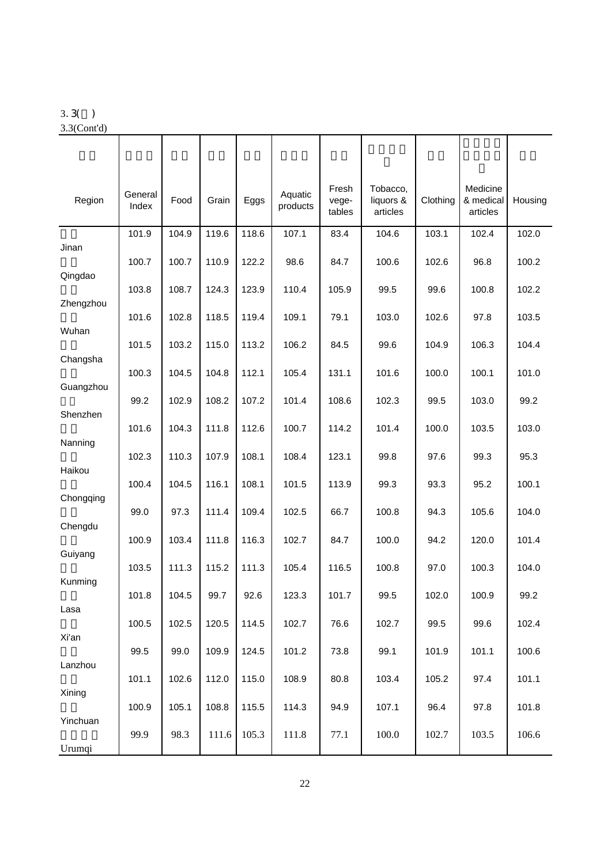#### 3.3( )

3.3(Cont'd)

| Region    | General<br>Index | Food  | Grain | Eggs  | Aquatic<br>products | Fresh<br>vege-<br>tables | Tobacco,<br>liquors &<br>articles | Clothing | Medicine<br>& medical<br>articles | Housing |
|-----------|------------------|-------|-------|-------|---------------------|--------------------------|-----------------------------------|----------|-----------------------------------|---------|
|           | 101.9            | 104.9 | 119.6 | 118.6 | 107.1               | 83.4                     | 104.6                             | 103.1    | 102.4                             | 102.0   |
| Jinan     | 100.7            | 100.7 | 110.9 | 122.2 | 98.6                | 84.7                     | 100.6                             | 102.6    | 96.8                              | 100.2   |
| Qingdao   | 103.8            | 108.7 | 124.3 | 123.9 | 110.4               | 105.9                    | 99.5                              | 99.6     | 100.8                             | 102.2   |
| Zhengzhou |                  |       |       |       |                     |                          |                                   |          |                                   |         |
| Wuhan     | 101.6            | 102.8 | 118.5 | 119.4 | 109.1               | 79.1                     | 103.0                             | 102.6    | 97.8                              | 103.5   |
| Changsha  | 101.5            | 103.2 | 115.0 | 113.2 | 106.2               | 84.5                     | 99.6                              | 104.9    | 106.3                             | 104.4   |
|           | 100.3            | 104.5 | 104.8 | 112.1 | 105.4               | 131.1                    | 101.6                             | 100.0    | 100.1                             | 101.0   |
| Guangzhou | 99.2             | 102.9 | 108.2 | 107.2 | 101.4               | 108.6                    | 102.3                             | 99.5     | 103.0                             | 99.2    |
| Shenzhen  |                  | 104.3 |       |       | 100.7               |                          | 101.4                             | 100.0    | 103.5                             | 103.0   |
| Nanning   | 101.6            |       | 111.8 | 112.6 |                     | 114.2                    |                                   |          |                                   |         |
| Haikou    | 102.3            | 110.3 | 107.9 | 108.1 | 108.4               | 123.1                    | 99.8                              | 97.6     | 99.3                              | 95.3    |
|           | 100.4            | 104.5 | 116.1 | 108.1 | 101.5               | 113.9                    | 99.3                              | 93.3     | 95.2                              | 100.1   |
| Chongqing | 99.0             | 97.3  | 111.4 | 109.4 | 102.5               | 66.7                     | 100.8                             | 94.3     | 105.6                             | 104.0   |
| Chengdu   | 100.9            | 103.4 | 111.8 | 116.3 | 102.7               | 84.7                     | 100.0                             | 94.2     | 120.0                             | 101.4   |
| Guiyang   |                  |       |       |       |                     |                          |                                   |          |                                   |         |
| Kunming   | 103.5            | 111.3 | 115.2 | 111.3 | 105.4               | 116.5                    | 100.8                             | 97.0     | 100.3                             | 104.0   |
|           | 101.8            | 104.5 | 99.7  | 92.6  | 123.3               | 101.7                    | 99.5                              | 102.0    | 100.9                             | 99.2    |
| Lasa      | 100.5            | 102.5 | 120.5 | 114.5 | 102.7               | 76.6                     | 102.7                             | 99.5     | 99.6                              | 102.4   |
| Xi'an     | 99.5             | 99.0  | 109.9 | 124.5 | 101.2               | 73.8                     | 99.1                              | 101.9    | 101.1                             | 100.6   |
| Lanzhou   |                  |       |       |       |                     |                          |                                   |          |                                   |         |
| Xining    | 101.1            | 102.6 | 112.0 | 115.0 | 108.9               | 80.8                     | 103.4                             | 105.2    | 97.4                              | 101.1   |
| Yinchuan  | 100.9            | 105.1 | 108.8 | 115.5 | 114.3               | 94.9                     | 107.1                             | 96.4     | 97.8                              | 101.8   |
|           | 99.9             | 98.3  | 111.6 | 105.3 | 111.8               | 77.1                     | 100.0                             | 102.7    | 103.5                             | 106.6   |
| Urumqi    |                  |       |       |       |                     |                          |                                   |          |                                   |         |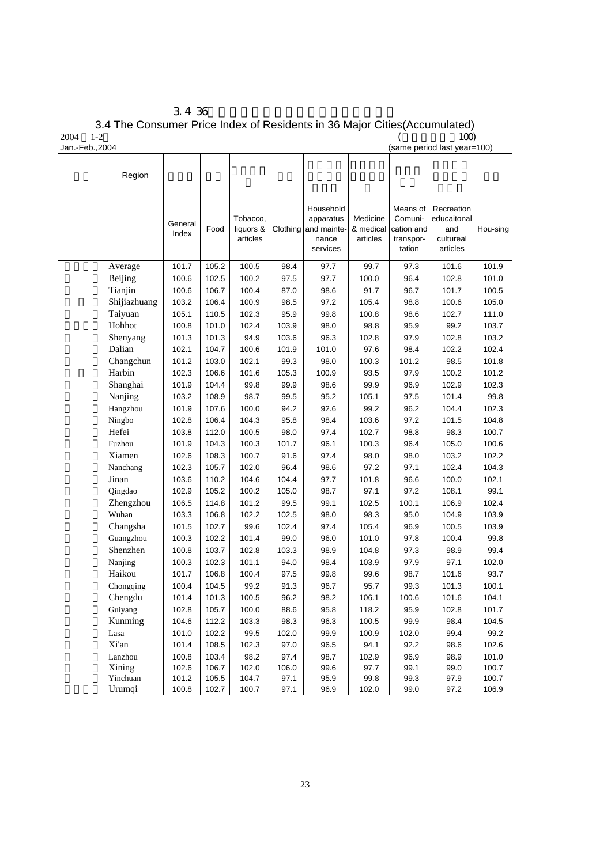|                 | 3436                                                                       |                             |      |
|-----------------|----------------------------------------------------------------------------|-----------------------------|------|
|                 | 3.4 The Consumer Price Index of Residents in 36 Major Cities (Accumulated) |                             |      |
| 2004            | $1-2$                                                                      |                             | 100) |
| Jan.-Feb., 2004 |                                                                            | (same period last year=100) |      |

| Region       |                  |       |                                   |          |                                                            |                                   |                                                          |                                                           |          |
|--------------|------------------|-------|-----------------------------------|----------|------------------------------------------------------------|-----------------------------------|----------------------------------------------------------|-----------------------------------------------------------|----------|
|              | General<br>Index | Food  | Tobacco,<br>liquors &<br>articles | Clothing | Household<br>apparatus<br>and mainte-<br>nance<br>services | Medicine<br>& medical<br>articles | Means of<br>Comuni-<br>cation and<br>transpor-<br>tation | Recreation<br>educaitonal<br>and<br>cultureal<br>articles | Hou-sing |
| Average      | 101.7            | 105.2 | 100.5                             | 98.4     | 97.7                                                       | 99.7                              | 97.3                                                     | 101.6                                                     | 101.9    |
| Beijing      | 100.6            | 102.5 | 100.2                             | 97.5     | 97.7                                                       | 100.0                             | 96.4                                                     | 102.8                                                     | 101.0    |
| Tianjin      | 100.6            | 106.7 | 100.4                             | 87.0     | 98.6                                                       | 91.7                              | 96.7                                                     | 101.7                                                     | 100.5    |
| Shijiazhuang | 103.2            | 106.4 | 100.9                             | 98.5     | 97.2                                                       | 105.4                             | 98.8                                                     | 100.6                                                     | 105.0    |
| Taiyuan      | 105.1            | 110.5 | 102.3                             | 95.9     | 99.8                                                       | 100.8                             | 98.6                                                     | 102.7                                                     | 111.0    |
| Hohhot       | 100.8            | 101.0 | 102.4                             | 103.9    | 98.0                                                       | 98.8                              | 95.9                                                     | 99.2                                                      | 103.7    |
| Shenyang     | 101.3            | 101.3 | 94.9                              | 103.6    | 96.3                                                       | 102.8                             | 97.9                                                     | 102.8                                                     | 103.2    |
| Dalian       | 102.1            | 104.7 | 100.6                             | 101.9    | 101.0                                                      | 97.6                              | 98.4                                                     | 102.2                                                     | 102.4    |
| Changchun    | 101.2            | 103.0 | 102.1                             | 99.3     | 98.0                                                       | 100.3                             | 101.2                                                    | 98.5                                                      | 101.8    |
| Harbin       | 102.3            | 106.6 | 101.6                             | 105.3    | 100.9                                                      | 93.5                              | 97.9                                                     | 100.2                                                     | 101.2    |
| Shanghai     | 101.9            | 104.4 | 99.8                              | 99.9     | 98.6                                                       | 99.9                              | 96.9                                                     | 102.9                                                     | 102.3    |
| Nanjing      | 103.2            | 108.9 | 98.7                              | 99.5     | 95.2                                                       | 105.1                             | 97.5                                                     | 101.4                                                     | 99.8     |
| Hangzhou     | 101.9            | 107.6 | 100.0                             | 94.2     | 92.6                                                       | 99.2                              | 96.2                                                     | 104.4                                                     | 102.3    |
| Ningbo       | 102.8            | 106.4 | 104.3                             | 95.8     | 98.4                                                       | 103.6                             | 97.2                                                     | 101.5                                                     | 104.8    |
| Hefei        | 103.8            | 112.0 | 100.5                             | 98.0     | 97.4                                                       | 102.7                             | 98.8                                                     | 98.3                                                      | 100.7    |
| Fuzhou       | 101.9            | 104.3 | 100.3                             | 101.7    | 96.1                                                       | 100.3                             | 96.4                                                     | 105.0                                                     | 100.6    |
| Xiamen       | 102.6            | 108.3 | 100.7                             | 91.6     | 97.4                                                       | 98.0                              | 98.0                                                     | 103.2                                                     | 102.2    |
| Nanchang     | 102.3            | 105.7 | 102.0                             | 96.4     | 98.6                                                       | 97.2                              | 97.1                                                     | 102.4                                                     | 104.3    |
| Jinan        | 103.6            | 110.2 | 104.6                             | 104.4    | 97.7                                                       | 101.8                             | 96.6                                                     | 100.0                                                     | 102.1    |
| Qingdao      | 102.9            | 105.2 | 100.2                             | 105.0    | 98.7                                                       | 97.1                              | 97.2                                                     | 108.1                                                     | 99.1     |
| Zhengzhou    | 106.5            | 114.8 | 101.2                             | 99.5     | 99.1                                                       | 102.5                             | 100.1                                                    | 106.9                                                     | 102.4    |
| Wuhan        | 103.3            | 106.8 | 102.2                             | 102.5    | 98.0                                                       | 98.3                              | 95.0                                                     | 104.9                                                     | 103.9    |
| Changsha     | 101.5            | 102.7 | 99.6                              | 102.4    | 97.4                                                       | 105.4                             | 96.9                                                     | 100.5                                                     | 103.9    |
| Guangzhou    | 100.3            | 102.2 | 101.4                             | 99.0     | 96.0                                                       | 101.0                             | 97.8                                                     | 100.4                                                     | 99.8     |
| Shenzhen     | 100.8            | 103.7 | 102.8                             | 103.3    | 98.9                                                       | 104.8                             | 97.3                                                     | 98.9                                                      | 99.4     |
| Nanjing      | 100.3            | 102.3 | 101.1                             | 94.0     | 98.4                                                       | 103.9                             | 97.9                                                     | 97.1                                                      | 102.0    |
| Haikou       | 101.7            | 106.8 | 100.4                             | 97.5     | 99.8                                                       | 99.6                              | 98.7                                                     | 101.6                                                     | 93.7     |
| Chongqing    | 100.4            | 104.5 | 99.2                              | 91.3     | 96.7                                                       | 95.7                              | 99.3                                                     | 101.3                                                     | 100.1    |
| Chengdu      | 101.4            | 101.3 | 100.5                             | 96.2     | 98.2                                                       | 106.1                             | 100.6                                                    | 101.6                                                     | 104.1    |
| Guiyang      | 102.8            | 105.7 | 100.0                             | 88.6     | 95.8                                                       | 118.2                             | 95.9                                                     | 102.8                                                     | 101.7    |
| Kunming      | 104.6            | 112.2 | 103.3                             | 98.3     | 96.3                                                       | 100.5                             | 99.9                                                     | 98.4                                                      | 104.5    |
| Lasa         | 101.0            | 102.2 | 99.5                              | 102.0    | 99.9                                                       | 100.9                             | 102.0                                                    | 99.4                                                      | 99.2     |
| Xi'an        | 101.4            | 108.5 | 102.3                             | 97.0     | 96.5                                                       | 94.1                              | 92.2                                                     | 98.6                                                      | 102.6    |
| Lanzhou      | 100.8            | 103.4 | 98.2                              | 97.4     | 98.7                                                       | 102.9                             | 96.9                                                     | 98.9                                                      | 101.0    |
| Xining       | 102.6            | 106.7 | 102.0                             | 106.0    | 99.6                                                       | 97.7                              | 99.1                                                     | 99.0                                                      | 100.7    |
| Yinchuan     | 101.2            | 105.5 | 104.7                             | 97.1     | 95.9                                                       | 99.8                              | 99.3                                                     | 97.9                                                      | 100.7    |
| Urumqi       | 100.8            | 102.7 | 100.7                             | 97.1     | 96.9                                                       | 102.0                             | 99.0                                                     | 97.2                                                      | 106.9    |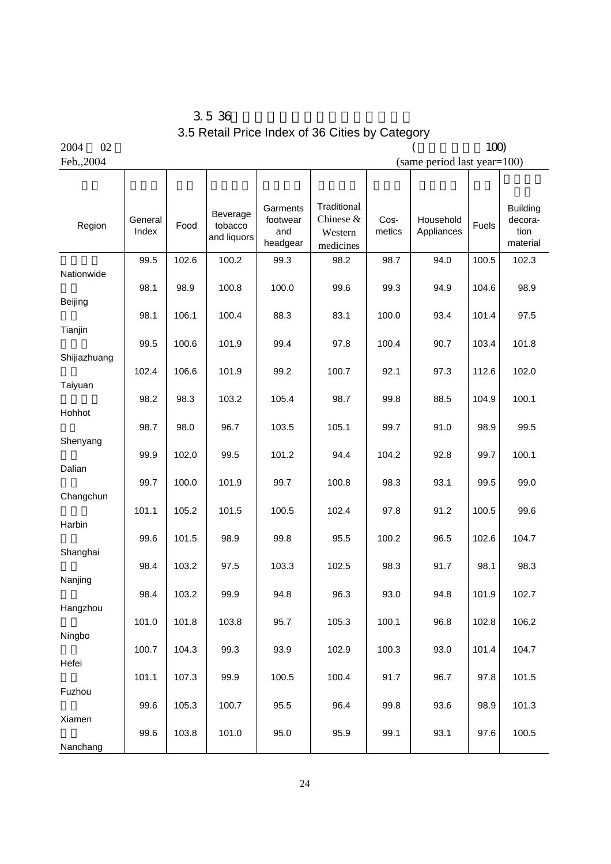$3.5\,36$ 3.5 Retail Price Index of 36 Cities by Category

 $2004$   $02$  (100) Feb., 2004 (same period last year=100)

| Region       | General<br>Index | Food  | Beverage<br>tobacco<br>and liquors | Garments<br>footwear<br>and<br>headgear | Traditional<br>Chinese &<br>Western<br>medicines | Cos-<br>metics | Household<br>Appliances | Fuels | <b>Building</b><br>decora-<br>tion<br>material |
|--------------|------------------|-------|------------------------------------|-----------------------------------------|--------------------------------------------------|----------------|-------------------------|-------|------------------------------------------------|
| Nationwide   | 99.5             | 102.6 | 100.2                              | 99.3                                    | 98.2                                             | 98.7           | 94.0                    | 100.5 | 102.3                                          |
|              | 98.1             | 98.9  | 100.8                              | 100.0                                   | 99.6                                             | 99.3           | 94.9                    | 104.6 | 98.9                                           |
| Beijing      | 98.1             | 106.1 | 100.4                              | 88.3                                    | 83.1                                             | 100.0          | 93.4                    | 101.4 | 97.5                                           |
| Tianjin      |                  |       |                                    |                                         |                                                  |                |                         |       |                                                |
| Shijiazhuang | 99.5             | 100.6 | 101.9                              | 99.4                                    | 97.8                                             | 100.4          | 90.7                    | 103.4 | 101.8                                          |
|              | 102.4            | 106.6 | 101.9                              | 99.2                                    | 100.7                                            | 92.1           | 97.3                    | 112.6 | 102.0                                          |
| Taiyuan      | 98.2             | 98.3  | 103.2                              | 105.4                                   | 98.7                                             | 99.8           | 88.5                    | 104.9 | 100.1                                          |
| Hohhot       | 98.7             | 98.0  | 96.7                               | 103.5                                   | 105.1                                            | 99.7           | 91.0                    | 98.9  | 99.5                                           |
| Shenyang     |                  |       |                                    |                                         |                                                  |                |                         |       |                                                |
| Dalian       | 99.9             | 102.0 | 99.5                               | 101.2                                   | 94.4                                             | 104.2          | 92.8                    | 99.7  | 100.1                                          |
|              | 99.7             | 100.0 | 101.9                              | 99.7                                    | 100.8                                            | 98.3           | 93.1                    | 99.5  | 99.0                                           |
| Changchun    | 101.1            | 105.2 | 101.5                              | 100.5                                   | 102.4                                            | 97.8           | 91.2                    | 100.5 | 99.6                                           |
| Harbin       |                  |       |                                    |                                         |                                                  |                |                         |       |                                                |
| Shanghai     | 99.6             | 101.5 | 98.9                               | 99.8                                    | 95.5                                             | 100.2          | 96.5                    | 102.6 | 104.7                                          |
|              | 98.4             | 103.2 | 97.5                               | 103.3                                   | 102.5                                            | 98.3           | 91.7                    | 98.1  | 98.3                                           |
| Nanjing      | 98.4             | 103.2 | 99.9                               | 94.8                                    | 96.3                                             | 93.0           | 94.8                    | 101.9 | 102.7                                          |
| Hangzhou     | 101.0            |       | 103.8                              |                                         |                                                  | 100.1          |                         |       |                                                |
| Ningbo       |                  | 101.8 |                                    | 95.7                                    | 105.3                                            |                | 96.8                    | 102.8 | 106.2                                          |
| Hefei        | 100.7            | 104.3 | 99.3                               | 93.9                                    | 102.9                                            | 100.3          | 93.0                    | 101.4 | 104.7                                          |
|              | 101.1            | 107.3 | 99.9                               | 100.5                                   | 100.4                                            | 91.7           | 96.7                    | 97.8  | 101.5                                          |
| Fuzhou       | 99.6             | 105.3 | 100.7                              | 95.5                                    | 96.4                                             | 99.8           | 93.6                    | 98.9  | 101.3                                          |
| Xiamen       |                  |       |                                    |                                         |                                                  |                |                         |       |                                                |
| Nanchang     | 99.6             | 103.8 | 101.0                              | 95.0                                    | 95.9                                             | 99.1           | 93.1                    | 97.6  | 100.5                                          |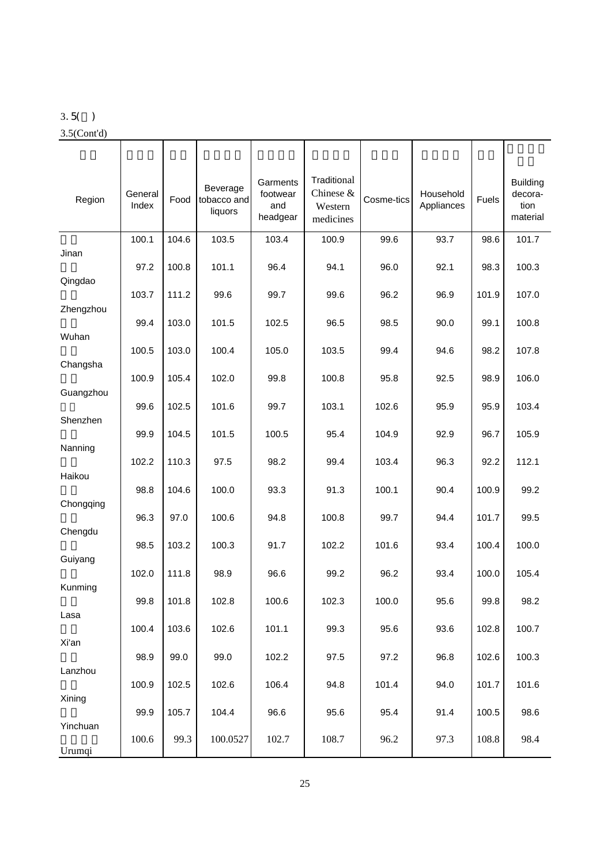#### 3.5( )

3.5(Cont'd)

| Region               | General<br>Index | Food  | Beverage<br>tobacco and<br>liquors | Garments<br>footwear<br>and<br>headgear | Traditional<br>Chinese &<br>Western<br>medicines | Cosme-tics | Household<br>Appliances | Fuels | <b>Building</b><br>decora-<br>tion<br>material |
|----------------------|------------------|-------|------------------------------------|-----------------------------------------|--------------------------------------------------|------------|-------------------------|-------|------------------------------------------------|
| Jinan                | 100.1            | 104.6 | 103.5                              | 103.4                                   | 100.9                                            | 99.6       | 93.7                    | 98.6  | 101.7                                          |
|                      | 97.2             | 100.8 | 101.1                              | 96.4                                    | 94.1                                             | 96.0       | 92.1                    | 98.3  | 100.3                                          |
| Qingdao<br>Zhengzhou | 103.7            | 111.2 | 99.6                               | 99.7                                    | 99.6                                             | 96.2       | 96.9                    | 101.9 | 107.0                                          |
|                      | 99.4             | 103.0 | 101.5                              | 102.5                                   | 96.5                                             | 98.5       | 90.0                    | 99.1  | 100.8                                          |
| Wuhan                | 100.5            | 103.0 | 100.4                              | 105.0                                   | 103.5                                            | 99.4       | 94.6                    | 98.2  | 107.8                                          |
| Changsha             | 100.9            | 105.4 | 102.0                              | 99.8                                    | 100.8                                            | 95.8       | 92.5                    | 98.9  | 106.0                                          |
| Guangzhou            |                  |       |                                    |                                         |                                                  |            |                         |       |                                                |
| Shenzhen             | 99.6             | 102.5 | 101.6                              | 99.7                                    | 103.1                                            | 102.6      | 95.9                    | 95.9  | 103.4                                          |
| Nanning              | 99.9             | 104.5 | 101.5                              | 100.5                                   | 95.4                                             | 104.9      | 92.9                    | 96.7  | 105.9                                          |
|                      | 102.2            | 110.3 | 97.5                               | 98.2                                    | 99.4                                             | 103.4      | 96.3                    | 92.2  | 112.1                                          |
| Haikou               | 98.8             | 104.6 | 100.0                              | 93.3                                    | 91.3                                             | 100.1      | 90.4                    | 100.9 | 99.2                                           |
| Chongqing            | 96.3             | 97.0  | 100.6                              | 94.8                                    | 100.8                                            | 99.7       | 94.4                    | 101.7 | 99.5                                           |
| Chengdu              | 98.5             | 103.2 | 100.3                              | 91.7                                    | 102.2                                            | 101.6      | 93.4                    | 100.4 | 100.0                                          |
| Guiyang              |                  |       |                                    |                                         |                                                  |            |                         |       |                                                |
| Kunming              | 102.0            | 111.8 | 98.9                               | 96.6                                    | 99.2                                             | 96.2       | 93.4                    | 100.0 | 105.4                                          |
| Lasa                 | 99.8             | 101.8 | 102.8                              | 100.6                                   | 102.3                                            | 100.0      | 95.6                    | 99.8  | 98.2                                           |
|                      | 100.4            | 103.6 | 102.6                              | 101.1                                   | 99.3                                             | 95.6       | 93.6                    | 102.8 | 100.7                                          |
| Xi'an                | 98.9             | 99.0  | 99.0                               | 102.2                                   | 97.5                                             | 97.2       | 96.8                    | 102.6 | 100.3                                          |
| Lanzhou              | 100.9            | 102.5 | 102.6                              | 106.4                                   | 94.8                                             | 101.4      | 94.0                    | 101.7 | 101.6                                          |
| Xining               |                  |       |                                    |                                         |                                                  |            |                         |       |                                                |
| Yinchuan             | 99.9             | 105.7 | 104.4                              | 96.6                                    | 95.6                                             | 95.4       | 91.4                    | 100.5 | 98.6                                           |
| Urumqi               | 100.6            | 99.3  | 100.0527                           | 102.7                                   | 108.7                                            | 96.2       | 97.3                    | 108.8 | 98.4                                           |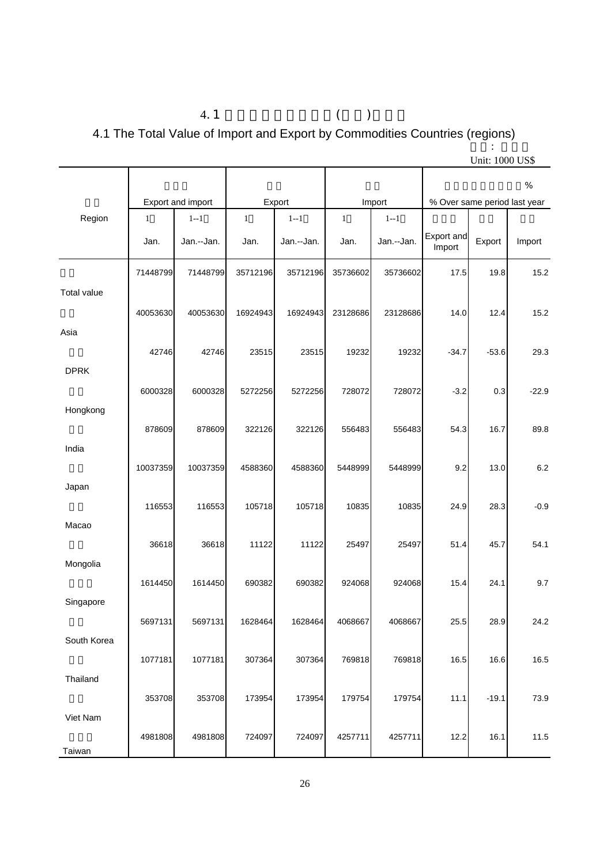## 4.1  $($ 4.1 The Total Value of Import and Export by Commodities Countries (regions)

|             |              |                   |              |            |              |            |                              |         | %       |
|-------------|--------------|-------------------|--------------|------------|--------------|------------|------------------------------|---------|---------|
|             |              | Export and import |              | Export     |              | Import     | % Over same period last year |         |         |
| Region      | $\mathbf{1}$ | $1 - 1$           | $\mathbf{1}$ | $1 - 1$    | $\mathbf{1}$ | $1 - 1$    |                              |         |         |
|             | Jan.         | Jan.--Jan.        | Jan.         | Jan.--Jan. | Jan.         | Jan.--Jan. | Export and<br>Import         | Export  | Import  |
|             | 71448799     | 71448799          | 35712196     | 35712196   | 35736602     | 35736602   | 17.5                         | 19.8    | 15.2    |
| Total value |              |                   |              |            |              |            |                              |         |         |
|             | 40053630     | 40053630          | 16924943     | 16924943   | 23128686     | 23128686   | 14.0                         | 12.4    | 15.2    |
| Asia        |              |                   |              |            |              |            |                              |         |         |
|             | 42746        | 42746             | 23515        | 23515      | 19232        | 19232      | $-34.7$                      | $-53.6$ | 29.3    |
| <b>DPRK</b> |              |                   |              |            |              |            |                              |         |         |
|             | 6000328      | 6000328           | 5272256      | 5272256    | 728072       | 728072     | $-3.2$                       | 0.3     | $-22.9$ |
| Hongkong    |              |                   |              |            |              |            |                              |         |         |
|             | 878609       | 878609            | 322126       | 322126     | 556483       | 556483     | 54.3                         | 16.7    | 89.8    |
| India       |              |                   |              |            |              |            |                              |         |         |
|             | 10037359     | 10037359          | 4588360      | 4588360    | 5448999      | 5448999    | 9.2                          | 13.0    | 6.2     |
| Japan       |              |                   |              |            |              |            |                              |         |         |
|             | 116553       | 116553            | 105718       | 105718     | 10835        | 10835      | 24.9                         | 28.3    | $-0.9$  |
| Macao       |              |                   |              |            |              |            |                              |         |         |
|             |              |                   |              |            |              |            |                              |         |         |
|             | 36618        | 36618             | 11122        | 11122      | 25497        | 25497      | 51.4                         | 45.7    | 54.1    |
| Mongolia    |              |                   |              |            |              |            |                              |         |         |
|             | 1614450      | 1614450           | 690382       | 690382     | 924068       | 924068     | 15.4                         | 24.1    | 9.7     |
| Singapore   |              |                   |              |            |              |            |                              |         |         |
|             | 5697131      | 5697131           | 1628464      | 1628464    | 4068667      | 4068667    | 25.5                         | 28.9    | 24.2    |
| South Korea |              |                   |              |            |              |            |                              |         |         |
|             | 1077181      | 1077181           | 307364       | 307364     | 769818       | 769818     | 16.5                         | 16.6    | 16.5    |
| Thailand    |              |                   |              |            |              |            |                              |         |         |
|             | 353708       | 353708            | 173954       | 173954     | 179754       | 179754     | 11.1                         | $-19.1$ | 73.9    |
| Viet Nam    |              |                   |              |            |              |            |                              |         |         |
|             | 4981808      | 4981808           | 724097       | 724097     | 4257711      | 4257711    | 12.2                         | 16.1    | 11.5    |
| Taiwan      |              |                   |              |            |              |            |                              |         |         |

Unit: 1000 US\$

单位: 千美元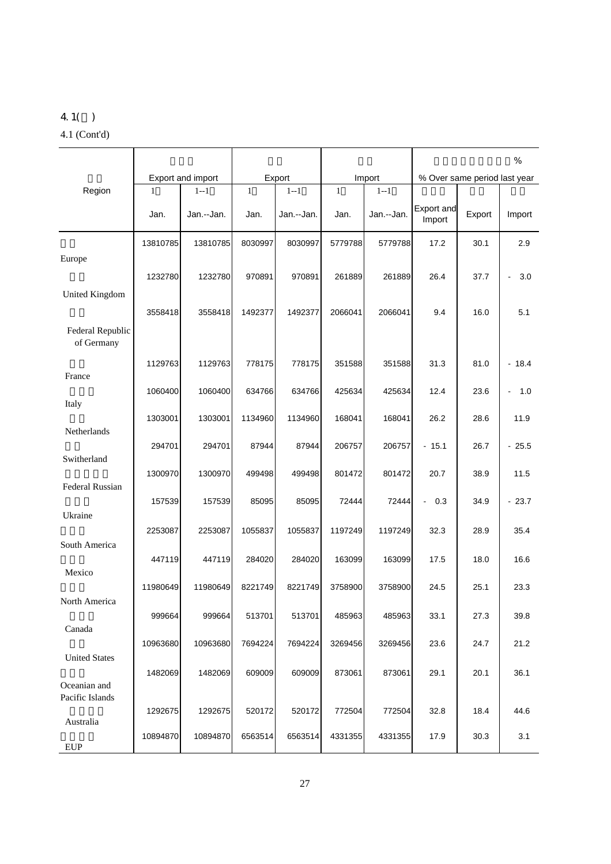### 4.1( ) 4.1 (Cont'd)

|                                |              |                   |              |            |              |            |                       | $\%$                         |                       |  |  |
|--------------------------------|--------------|-------------------|--------------|------------|--------------|------------|-----------------------|------------------------------|-----------------------|--|--|
|                                |              | Export and import |              | Export     |              | Import     |                       | % Over same period last year |                       |  |  |
| Region                         | $\mathbf{1}$ | $1 - 1$           | $\mathbf{1}$ | $1 - 1$    | $\mathbf{1}$ | $1 - 1$    |                       |                              |                       |  |  |
|                                | Jan.         | Jan.--Jan.        | Jan.         | Jan.--Jan. | Jan.         | Jan.--Jan. | Export and<br>Import  | Export                       | Import                |  |  |
|                                | 13810785     | 13810785          | 8030997      | 8030997    | 5779788      | 5779788    | 17.2                  | 30.1                         | 2.9                   |  |  |
| Europe                         | 1232780      | 1232780           | 970891       | 970891     | 261889       | 261889     | 26.4                  | 37.7                         | 3.0<br>$\blacksquare$ |  |  |
| United Kingdom                 | 3558418      | 3558418           | 1492377      | 1492377    | 2066041      | 2066041    | 9.4                   | 16.0                         | 5.1                   |  |  |
| Federal Republic<br>of Germany |              |                   |              |            |              |            |                       |                              |                       |  |  |
| France                         | 1129763      | 1129763           | 778175       | 778175     | 351588       | 351588     | 31.3                  | 81.0                         | $-18.4$               |  |  |
|                                | 1060400      | 1060400           | 634766       | 634766     | 425634       | 425634     | 12.4                  | 23.6                         | 1.0<br>$\blacksquare$ |  |  |
| Italy                          | 1303001      | 1303001           | 1134960      | 1134960    | 168041       | 168041     | 26.2                  | 28.6                         | 11.9                  |  |  |
| Netherlands                    | 294701       | 294701            | 87944        | 87944      | 206757       | 206757     | $-15.1$               | 26.7                         | $-25.5$               |  |  |
| Switherland                    | 1300970      | 1300970           | 499498       | 499498     | 801472       | 801472     | 20.7                  | 38.9                         | 11.5                  |  |  |
| <b>Federal Russian</b>         | 157539       | 157539            | 85095        | 85095      | 72444        | 72444      | 0.3<br>$\blacksquare$ | 34.9                         | $-23.7$               |  |  |
| Ukraine                        | 2253087      | 2253087           | 1055837      | 1055837    | 1197249      | 1197249    | 32.3                  | 28.9                         | 35.4                  |  |  |
| South America                  | 447119       | 447119            | 284020       | 284020     | 163099       | 163099     | 17.5                  | 18.0                         | 16.6                  |  |  |
| Mexico                         | 11980649     | 11980649          | 8221749      | 8221749    | 3758900      | 3758900    | 24.5                  | 25.1                         | 23.3                  |  |  |
| North America                  |              |                   |              |            |              |            |                       |                              |                       |  |  |
| Canada                         | 999664       | 999664            | 513701       | 513701     | 485963       | 485963     | 33.1                  | 27.3                         | 39.8                  |  |  |
| <b>United States</b>           | 10963680     | 10963680          | 7694224      | 7694224    | 3269456      | 3269456    | 23.6                  | 24.7                         | 21.2                  |  |  |
| Oceanian and                   | 1482069      | 1482069           | 609009       | 609009     | 873061       | 873061     | 29.1                  | 20.1                         | 36.1                  |  |  |
| Pacific Islands                | 1292675      | 1292675           | 520172       | 520172     | 772504       | 772504     | 32.8                  | 18.4                         | 44.6                  |  |  |
| Australia<br><b>EUP</b>        | 10894870     | 10894870          | 6563514      | 6563514    | 4331355      | 4331355    | 17.9                  | 30.3                         | 3.1                   |  |  |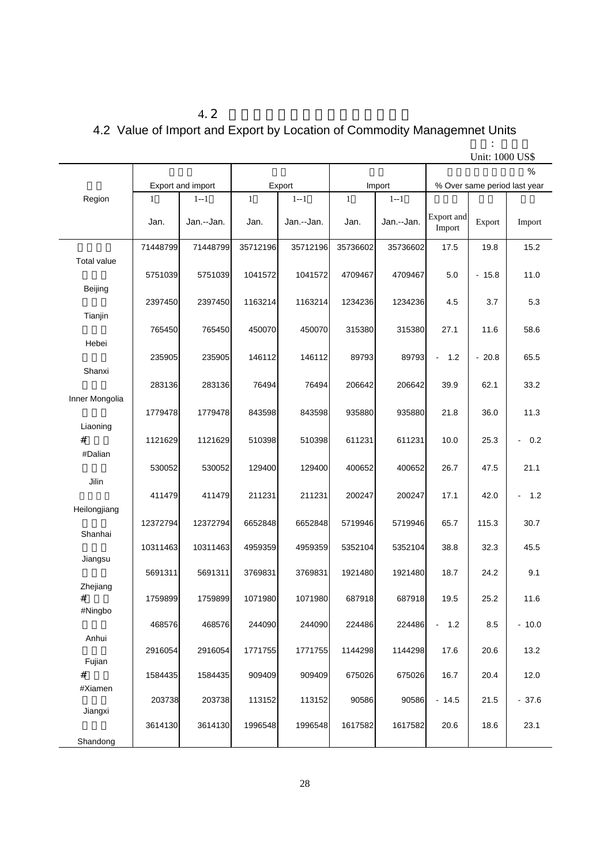## $4.2$ 4.2 Value of Import and Export by Location of Commodity Managemnet Units

|                    |              |                   |              |            |              |            | UNII: 1000 US\$       |                        |                              |  |
|--------------------|--------------|-------------------|--------------|------------|--------------|------------|-----------------------|------------------------|------------------------------|--|
|                    |              |                   |              |            |              |            |                       |                        | %                            |  |
|                    |              | Export and import |              | Export     |              | Import     |                       |                        | % Over same period last year |  |
| Region             | $\mathbf{1}$ | $1 - 1$           | $\mathbf{1}$ | $1 - 1$    | $\mathbf{1}$ | $1 - 1$    |                       |                        |                              |  |
|                    | Jan.         | Jan.--Jan.        | Jan.         | Jan.--Jan. | Jan.         | Jan.--Jan. | Export and<br>Import  | Export                 | Import                       |  |
|                    | 71448799     | 71448799          | 35712196     | 35712196   | 35736602     | 35736602   | 17.5                  | 19.8                   | 15.2                         |  |
| <b>Total value</b> | 5751039      | 5751039           | 1041572      | 1041572    | 4709467      | 4709467    | 5.0                   | $-15.8$                | 11.0                         |  |
| Beijing            | 2397450      | 2397450           | 1163214      | 1163214    | 1234236      | 1234236    | 4.5                   | 3.7                    | 5.3                          |  |
| Tianjin            |              |                   |              |            |              |            |                       |                        |                              |  |
|                    | 765450       | 765450            | 450070       | 450070     | 315380       | 315380     | 27.1                  | 11.6                   | 58.6                         |  |
| Hebei              |              |                   |              |            |              |            |                       |                        |                              |  |
|                    | 235905       | 235905            | 146112       | 146112     | 89793        | 89793      | 1.2<br>$\blacksquare$ | 20.8<br>$\blacksquare$ | 65.5                         |  |
| Shanxi             |              |                   |              |            |              |            |                       |                        |                              |  |
|                    | 283136       | 283136            | 76494        | 76494      | 206642       | 206642     | 39.9                  | 62.1                   | 33.2                         |  |
| Inner Mongolia     |              |                   |              |            |              |            |                       |                        |                              |  |
|                    | 1779478      | 1779478           | 843598       | 843598     | 935880       | 935880     | 21.8                  | 36.0                   | 11.3                         |  |
| Liaoning           |              |                   |              |            |              |            |                       |                        |                              |  |
| #                  | 1121629      | 1121629           | 510398       | 510398     | 611231       | 611231     | 10.0                  | 25.3                   | 0.2<br>$\sim$                |  |
| #Dalian            |              |                   |              |            |              |            |                       |                        |                              |  |
|                    | 530052       | 530052            | 129400       | 129400     | 400652       | 400652     | 26.7                  | 47.5                   | 21.1                         |  |
| Jilin              |              |                   |              |            |              |            |                       |                        |                              |  |
|                    | 411479       | 411479            | 211231       | 211231     | 200247       | 200247     | 17.1                  | 42.0                   | 1.2                          |  |
| Heilongjiang       |              |                   |              |            |              |            |                       |                        |                              |  |
|                    | 12372794     | 12372794          | 6652848      | 6652848    | 5719946      | 5719946    | 65.7                  | 115.3                  | 30.7                         |  |
| Shanhai            |              |                   |              |            |              |            |                       |                        |                              |  |
|                    | 10311463     | 10311463          | 4959359      | 4959359    | 5352104      | 5352104    | 38.8                  | 32.3                   | 45.5                         |  |
| Jiangsu            |              |                   |              |            |              |            |                       |                        |                              |  |
|                    | 5691311      | 5691311           | 3769831      | 3769831    | 1921480      | 1921480    | 18.7                  | 24.2                   | 9.1                          |  |
| Zhejiang           |              |                   |              |            |              |            |                       |                        |                              |  |
| #                  | 1759899      | 1759899           | 1071980      | 1071980    | 687918       | 687918     | 19.5                  | 25.2                   | 11.6                         |  |
| #Ningbo            |              |                   |              |            |              |            |                       |                        |                              |  |
|                    | 468576       | 468576            | 244090       | 244090     | 224486       | 224486     | 1.2<br>$\Box$         | 8.5                    | $-10.0$                      |  |
| Anhui              |              |                   |              |            |              |            |                       |                        |                              |  |
|                    | 2916054      | 2916054           | 1771755      | 1771755    | 1144298      | 1144298    | 17.6                  | 20.6                   | 13.2                         |  |
| Fujian             |              |                   |              |            |              |            |                       |                        |                              |  |
| $\#$               | 1584435      | 1584435           | 909409       | 909409     | 675026       | 675026     | 16.7                  | 20.4                   | 12.0                         |  |
| #Xiamen            |              |                   |              |            |              |            |                       |                        |                              |  |
|                    | 203738       | 203738            | 113152       | 113152     | 90586        | 90586      | $-14.5$               | 21.5                   | $-37.6$                      |  |
| Jiangxi            |              |                   |              |            |              |            |                       |                        |                              |  |
|                    | 3614130      | 3614130           | 1996548      | 1996548    | 1617582      | 1617582    | 20.6                  | 18.6                   | 23.1                         |  |
| Shandong           |              |                   |              |            |              |            |                       |                        |                              |  |

单位: 千美元 Unit: 1000 US\$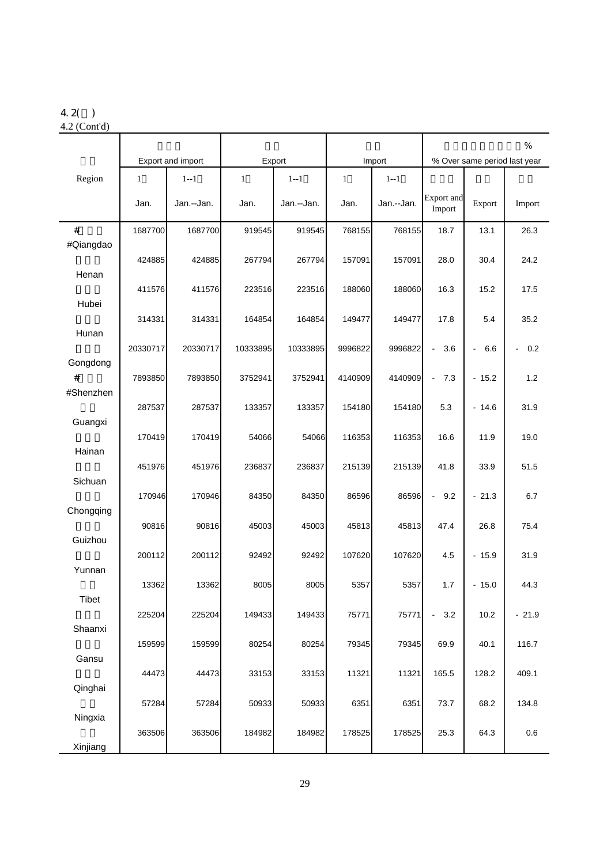## 4.2( )

4.2 (Cont'd)

|              |              |                   |              |            |              |            |                             |                              | $\%$                  |
|--------------|--------------|-------------------|--------------|------------|--------------|------------|-----------------------------|------------------------------|-----------------------|
|              |              | Export and import |              | Export     |              | Import     |                             | % Over same period last year |                       |
| Region       | $\mathbf{1}$ | $1 - 1$           | $\mathbf{1}$ | $1 - 1$    | $\mathbf{1}$ | $1 - 1$    |                             |                              |                       |
|              | Jan.         | Jan.--Jan.        | Jan.         | Jan.--Jan. | Jan.         | Jan.--Jan. | <b>Export</b> and<br>Import | Export                       | Import                |
| #            | 1687700      | 1687700           | 919545       | 919545     | 768155       | 768155     | 18.7                        | 13.1                         | 26.3                  |
| #Qiangdao    |              |                   |              |            |              |            |                             |                              |                       |
|              | 424885       | 424885            | 267794       | 267794     | 157091       | 157091     | 28.0                        | 30.4                         | 24.2                  |
| Henan        |              |                   |              |            |              |            |                             |                              |                       |
|              | 411576       | 411576            | 223516       | 223516     | 188060       | 188060     | 16.3                        | 15.2                         | 17.5                  |
| Hubei        |              |                   |              |            |              |            |                             |                              |                       |
|              | 314331       | 314331            | 164854       | 164854     | 149477       | 149477     | 17.8                        | 5.4                          | 35.2                  |
| Hunan        |              |                   |              |            |              |            |                             |                              |                       |
|              | 20330717     | 20330717          | 10333895     | 10333895   | 9996822      | 9996822    | 3.6<br>$\blacksquare$       | 6.6<br>ä,                    | 0.2<br>$\blacksquare$ |
| Gongdong     |              |                   |              |            |              |            |                             |                              |                       |
| #            | 7893850      | 7893850           | 3752941      | 3752941    | 4140909      | 4140909    | 7.3<br>$\blacksquare$       | $-15.2$                      | 1.2                   |
| #Shenzhen    |              |                   |              |            |              |            |                             |                              |                       |
|              | 287537       | 287537            | 133357       | 133357     | 154180       | 154180     | 5.3                         | $-14.6$                      | 31.9                  |
| Guangxi      |              |                   |              |            |              |            |                             |                              |                       |
|              | 170419       | 170419            | 54066        | 54066      | 116353       | 116353     | 16.6                        | 11.9                         | 19.0                  |
| Hainan       |              |                   |              |            |              |            |                             |                              |                       |
|              | 451976       | 451976            | 236837       | 236837     | 215139       | 215139     | 41.8                        | 33.9                         | 51.5                  |
| Sichuan      |              |                   |              |            |              |            |                             |                              |                       |
|              | 170946       | 170946            | 84350        | 84350      | 86596        | 86596      | 9.2<br>$\blacksquare$       | $-21.3$                      | 6.7                   |
| Chongqing    | 90816        | 90816             | 45003        | 45003      | 45813        |            | 47.4                        |                              | 75.4                  |
| Guizhou      |              |                   |              |            |              | 45813      |                             | 26.8                         |                       |
|              | 200112       | 200112            | 92492        | 92492      | 107620       | 107620     | 4.5                         | $-15.9$                      | 31.9                  |
| Yunnan       |              |                   |              |            |              |            |                             |                              |                       |
|              | 13362        | 13362             | 8005         | 8005       | 5357         | 5357       | 1.7                         | $-15.0$                      | 44.3                  |
| <b>Tibet</b> |              |                   |              |            |              |            |                             |                              |                       |
|              | 225204       | 225204            | 149433       | 149433     | 75771        | 75771      | 3.2<br>$\blacksquare$       | 10.2                         | $-21.9$               |
| Shaanxi      |              |                   |              |            |              |            |                             |                              |                       |
|              | 159599       | 159599            | 80254        | 80254      | 79345        | 79345      | 69.9                        | 40.1                         | 116.7                 |
| Gansu        |              |                   |              |            |              |            |                             |                              |                       |
|              | 44473        | 44473             | 33153        | 33153      | 11321        | 11321      | 165.5                       | 128.2                        | 409.1                 |
| Qinghai      |              |                   |              |            |              |            |                             |                              |                       |
|              | 57284        | 57284             | 50933        | 50933      | 6351         | 6351       | 73.7                        | 68.2                         | 134.8                 |
| Ningxia      |              |                   |              |            |              |            |                             |                              |                       |
|              | 363506       | 363506            | 184982       | 184982     | 178525       | 178525     | 25.3                        | 64.3                         | 0.6                   |
| Xinjiang     |              |                   |              |            |              |            |                             |                              |                       |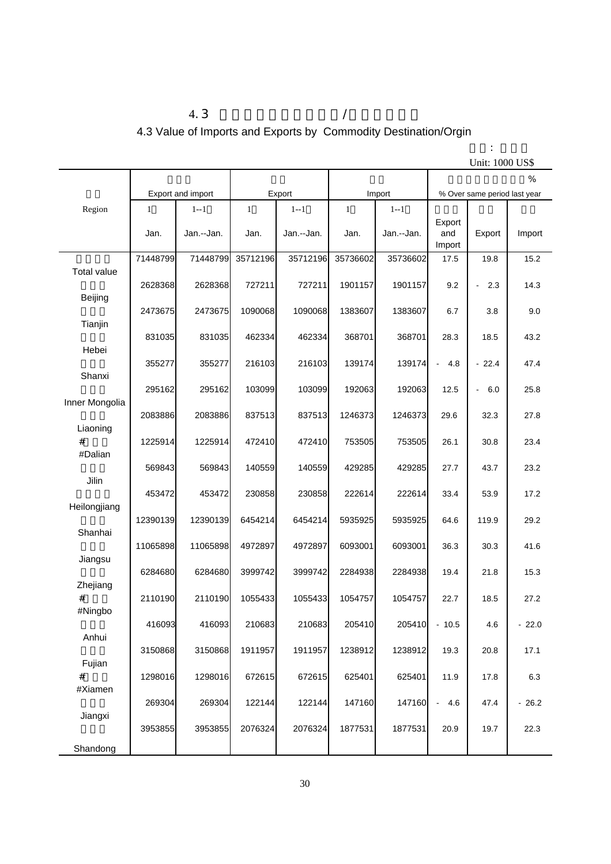## 4.3  $/$ 4.3 Value of Imports and Exports by Commodity Destination/Orgin

|                    |              |                   |              |            |                         |            |                              | Unit: 1000 US\$       |         |
|--------------------|--------------|-------------------|--------------|------------|-------------------------|------------|------------------------------|-----------------------|---------|
|                    |              |                   |              |            |                         |            |                              |                       | $\%$    |
|                    |              | Export and import |              | Export     |                         | Import     | % Over same period last year |                       |         |
| Region             | $\mathbf{1}$ | $1 - 1$           | $\mathbf{1}$ | $1 - 1$    | $\mathbf{1}$<br>$1 - 1$ |            |                              |                       |         |
|                    |              |                   |              |            |                         |            | Export                       |                       |         |
|                    | Jan.         | Jan.--Jan.        | Jan.         | Jan.--Jan. | Jan.                    | Jan.--Jan. | and                          | Export                | Import  |
|                    |              |                   |              |            |                         |            | Import                       |                       |         |
|                    | 71448799     | 71448799          | 35712196     | 35712196   | 35736602                | 35736602   | 17.5                         | 19.8                  | 15.2    |
| <b>Total value</b> |              |                   |              |            |                         |            |                              |                       |         |
|                    | 2628368      | 2628368           | 727211       | 727211     | 1901157                 | 1901157    | 9.2                          | 2.3<br>÷,             | 14.3    |
| Beijing            |              |                   |              |            |                         |            |                              |                       |         |
|                    | 2473675      | 2473675           | 1090068      | 1090068    | 1383607                 | 1383607    | 6.7                          | 3.8                   | 9.0     |
| Tianjin            |              |                   |              |            |                         |            |                              |                       |         |
|                    | 831035       | 831035            | 462334       | 462334     | 368701                  | 368701     | 28.3                         | 18.5                  | 43.2    |
| Hebei              | 355277       | 355277            | 216103       | 216103     | 139174                  | 139174     | 4.8<br>$\blacksquare$        | $-22.4$               | 47.4    |
| Shanxi             |              |                   |              |            |                         |            |                              |                       |         |
|                    | 295162       | 295162            | 103099       | 103099     | 192063                  | 192063     | 12.5                         | 6.0<br>$\blacksquare$ | 25.8    |
| Inner Mongolia     |              |                   |              |            |                         |            |                              |                       |         |
|                    | 2083886      | 2083886           | 837513       | 837513     | 1246373                 | 1246373    | 29.6                         | 32.3                  | 27.8    |
| Liaoning           |              |                   |              |            |                         |            |                              |                       |         |
| #                  | 1225914      | 1225914           | 472410       | 472410     | 753505                  | 753505     | 26.1                         | 30.8                  | 23.4    |
| #Dalian            |              |                   |              |            |                         |            |                              |                       |         |
|                    | 569843       | 569843            | 140559       | 140559     | 429285                  | 429285     | 27.7                         | 43.7                  | 23.2    |
| Jilin              |              |                   |              |            |                         |            |                              |                       |         |
|                    | 453472       | 453472            | 230858       | 230858     | 222614                  | 222614     | 33.4                         | 53.9                  | 17.2    |
| Heilongjiang       |              |                   |              |            |                         |            |                              |                       |         |
|                    | 12390139     | 12390139          | 6454214      | 6454214    | 5935925                 | 5935925    | 64.6                         | 119.9                 | 29.2    |
| Shanhai            |              |                   |              |            |                         |            |                              |                       |         |
|                    | 11065898     | 11065898          | 4972897      | 4972897    | 6093001                 | 6093001    | 36.3                         | 30.3                  | 41.6    |
| Jiangsu            | 6284680      | 6284680           | 3999742      | 3999742    | 2284938                 | 2284938    | 19.4                         | 21.8                  | 15.3    |
| Zhejiang           |              |                   |              |            |                         |            |                              |                       |         |
| #                  | 2110190      | 2110190           | 1055433      | 1055433    | 1054757                 | 1054757    | 22.7                         | 18.5                  | 27.2    |
| #Ningbo            |              |                   |              |            |                         |            |                              |                       |         |
|                    | 416093       | 416093            | 210683       | 210683     | 205410                  | 205410     | $-10.5$                      | 4.6                   | $-22.0$ |
| Anhui              |              |                   |              |            |                         |            |                              |                       |         |
|                    | 3150868      | 3150868           | 1911957      | 1911957    | 1238912                 | 1238912    | 19.3                         | 20.8                  | 17.1    |
| Fujian             |              |                   |              |            |                         |            |                              |                       |         |
| #                  | 1298016      | 1298016           | 672615       | 672615     | 625401                  | 625401     | 11.9                         | 17.8                  | 6.3     |
| #Xiamen            |              |                   |              |            |                         |            |                              |                       |         |
|                    | 269304       | 269304            | 122144       | 122144     | 147160                  | 147160     | 4.6<br>$\blacksquare$        | 47.4                  | $-26.2$ |
| Jiangxi            |              |                   |              |            |                         |            |                              |                       |         |
|                    | 3953855      | 3953855           | 2076324      | 2076324    | 1877531                 | 1877531    | 20.9                         | 19.7                  | 22.3    |
| Shandong           |              |                   |              |            |                         |            |                              |                       |         |

单位: 千美元 Unit: 1000 US\$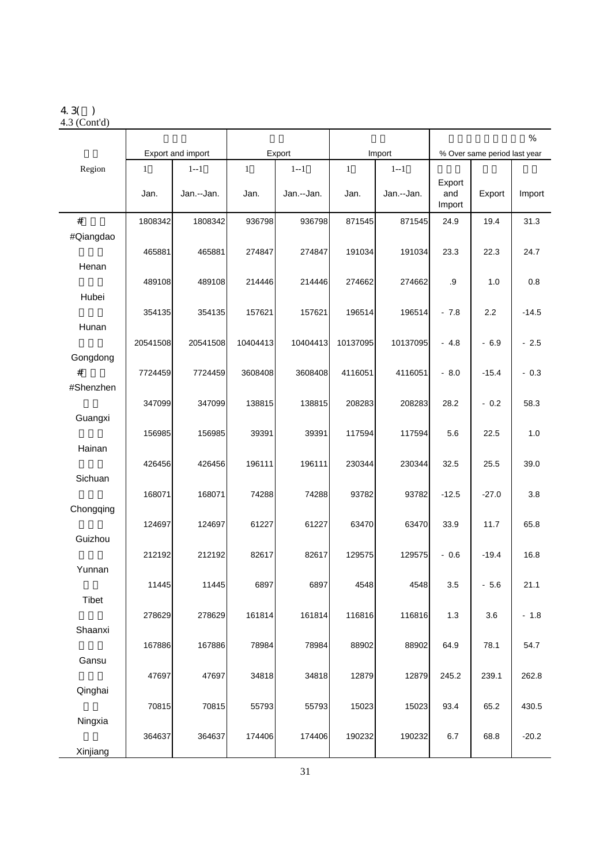#### 4.3( )

4.3 (Cont'd)

|              |                      |                       |                      |                       |                      |                       | $\%$                    |                              |         |  |
|--------------|----------------------|-----------------------|----------------------|-----------------------|----------------------|-----------------------|-------------------------|------------------------------|---------|--|
|              |                      | Export and import     |                      | Export                |                      | Import                |                         | % Over same period last year |         |  |
| Region       | $\mathbf{1}$<br>Jan. | $1 - 1$<br>Jan.--Jan. | $\mathbf{1}$<br>Jan. | $1 - 1$<br>Jan.--Jan. | $\mathbf{1}$<br>Jan. | $1 - 1$<br>Jan.--Jan. | Export<br>and<br>Import | Export                       | Import  |  |
| $\#$         | 1808342              | 1808342               | 936798               | 936798                | 871545               | 871545                | 24.9                    | 19.4                         | 31.3    |  |
| #Qiangdao    | 465881               | 465881                | 274847               | 274847                | 191034               | 191034                | 23.3                    | 22.3                         | 24.7    |  |
| Henan        |                      |                       |                      |                       |                      |                       |                         |                              |         |  |
| Hubei        | 489108               | 489108                | 214446               | 214446                | 274662               | 274662                | .9                      | 1.0                          | 0.8     |  |
|              | 354135               | 354135                | 157621               | 157621                | 196514               | 196514                | $-7.8$                  | 2.2                          | $-14.5$ |  |
| Hunan        | 20541508             | 20541508              | 10404413             | 10404413              | 10137095             | 10137095              | $-4.8$                  | $-6.9$                       | $-2.5$  |  |
| Gongdong     |                      |                       |                      |                       |                      |                       |                         |                              |         |  |
| #            | 7724459              | 7724459               | 3608408              | 3608408               | 4116051              | 4116051               | $-8.0$                  | $-15.4$                      | $-0.3$  |  |
| #Shenzhen    | 347099               | 347099                | 138815               | 138815                | 208283               | 208283                | 28.2                    | $-0.2$                       | 58.3    |  |
| Guangxi      |                      |                       |                      |                       |                      |                       |                         |                              |         |  |
|              | 156985               | 156985                | 39391                | 39391                 | 117594               | 117594                | 5.6                     | 22.5                         | 1.0     |  |
| Hainan       | 426456               | 426456                | 196111               | 196111                | 230344               | 230344                | 32.5                    | 25.5                         | 39.0    |  |
| Sichuan      |                      |                       |                      |                       |                      |                       |                         |                              |         |  |
|              | 168071               | 168071                | 74288                | 74288                 | 93782                | 93782                 | $-12.5$                 | $-27.0$                      | 3.8     |  |
| Chongqing    | 124697               | 124697                | 61227                | 61227                 | 63470                | 63470                 | 33.9                    | 11.7                         | 65.8    |  |
| Guizhou      |                      |                       |                      |                       |                      |                       |                         |                              |         |  |
|              | 212192               | 212192                | 82617                | 82617                 | 129575               | 129575                | $-0.6$                  | $-19.4$                      | 16.8    |  |
| Yunnan       |                      |                       |                      |                       |                      |                       |                         |                              |         |  |
|              | 11445                | 11445                 | 6897                 | 6897                  | 4548                 | 4548                  | 3.5                     | $-5.6$                       | 21.1    |  |
| <b>Tibet</b> |                      |                       |                      |                       |                      |                       |                         |                              |         |  |
|              | 278629               | 278629                | 161814               | 161814                | 116816               | 116816                | 1.3                     | 3.6                          | $-1.8$  |  |
| Shaanxi      |                      |                       |                      |                       |                      |                       |                         |                              |         |  |
|              |                      |                       |                      |                       | 88902                | 88902                 |                         |                              |         |  |
| Gansu        | 167886               | 167886                | 78984                | 78984                 |                      |                       | 64.9                    | 78.1                         | 54.7    |  |
|              |                      |                       |                      |                       |                      |                       |                         |                              |         |  |
|              | 47697                | 47697                 | 34818                | 34818                 | 12879                | 12879                 | 245.2                   | 239.1                        | 262.8   |  |
| Qinghai      |                      |                       |                      |                       |                      |                       |                         |                              |         |  |
|              | 70815                | 70815                 | 55793                | 55793                 | 15023                | 15023                 | 93.4                    | 65.2                         | 430.5   |  |
| Ningxia      | 364637               | 364637                | 174406               | 174406                | 190232               | 190232                | 6.7                     | 68.8                         | $-20.2$ |  |
| Xinjiang     |                      |                       |                      |                       |                      |                       |                         |                              |         |  |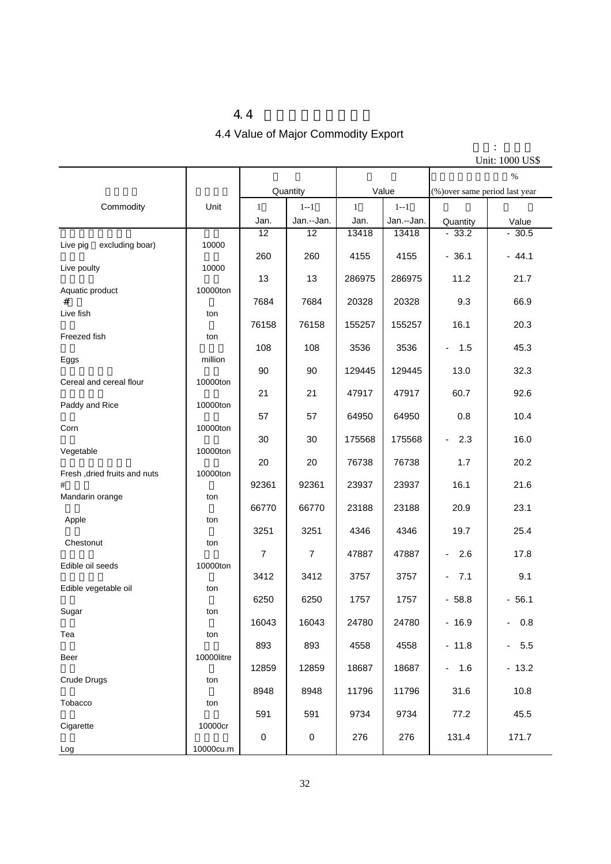#### $4.4$

## 4.4 Value of Major Commodity Export

单位: 千美元

|                                   |            |                |                |              |            |                                     | Unit: 1000 US\$ |
|-----------------------------------|------------|----------------|----------------|--------------|------------|-------------------------------------|-----------------|
|                                   |            |                |                |              |            |                                     | $\%$            |
|                                   | Unit       |                | Quantity       | Value        |            | (%) over same period last year      |                 |
| Commodity                         |            | $\mathbf{1}$   | $1 - 1$        | $\mathbf{1}$ | $1 - 1$    |                                     |                 |
|                                   |            | Jan.           | Jan.--Jan.     | Jan.         | Jan.--Jan. | Quantity                            | Value           |
| excluding boar)<br>Live pig       |            | 12             | 12             | 13418        | 13418      | $-33.2$                             | $-30.5$         |
|                                   | 10000      | 260            | 260            | 4155         | 4155       | $-36.1$                             | $-44.1$         |
| Live poulty                       | 10000      |                |                |              |            |                                     |                 |
| Aquatic product                   | 10000ton   | 13             | 13             | 286975       | 286975     | 11.2                                | 21.7            |
| #                                 |            | 7684           | 7684           | 20328        | 20328      | 9.3                                 | 66.9            |
| Live fish                         | ton        |                |                |              |            | 16.1                                | 20.3            |
| Freezed fish                      | ton        | 76158          | 76158          | 155257       | 155257     |                                     |                 |
|                                   |            | 108            | 108            | 3536         | 3536       | 1.5<br>$\overline{\phantom{0}}$     | 45.3            |
| Eggs                              | million    | 90             | 90             | 129445       | 129445     | 13.0                                | 32.3            |
| Cereal and cereal flour           | 10000ton   |                |                |              |            |                                     |                 |
| Paddy and Rice                    | 10000ton   | 21             | 21             | 47917        | 47917      | 60.7                                | 92.6            |
|                                   |            | 57             | 57             | 64950        | 64950      | 0.8                                 | 10.4            |
| Corn                              | 10000ton   |                |                |              |            |                                     |                 |
| Vegetable                         | 10000ton   | 30             | 30             | 175568       | 175568     | 2.3<br>$\qquad \qquad \blacksquare$ | 16.0            |
|                                   |            | 20             | 20             | 76738        | 76738      | 1.7                                 | 20.2            |
| Fresh, dried fruits and nuts<br># | 10000ton   | 92361          | 92361          | 23937        | 23937      | 16.1                                | 21.6            |
| Mandarin orange                   | ton        |                |                |              |            |                                     |                 |
|                                   |            | 66770          | 66770          | 23188        | 23188      | 20.9                                | 23.1            |
| Apple                             | ton        | 3251           | 3251           | 4346         | 4346       | 19.7                                | 25.4            |
| Chestonut                         | ton        |                |                |              |            |                                     |                 |
| Edible oil seeds                  | 10000ton   | $\overline{7}$ | $\overline{7}$ | 47887        | 47887      | 2.6<br>$\overline{\phantom{a}}$     | 17.8            |
|                                   |            | 3412           | 3412           | 3757         | 3757       | 7.1<br>۰.                           | 9.1             |
| Edible vegetable oil              | ton        |                |                |              |            |                                     |                 |
| Sugar                             | ton        | 6250           | 6250           | 1757         | 1757       | $-58.8$                             | $-56.1$         |
|                                   |            | 16043          | 16043          | 24780        | 24780      | $-16.9$                             | 0.8<br>$\sim$   |
| Tea                               | ton        | 893            | 893            | 4558         | 4558       | $-11.8$                             | 5.5<br>÷.       |
| Beer                              | 10000litre |                |                |              |            |                                     |                 |
|                                   |            | 12859          | 12859          | 18687        | 18687      | $-1.6$                              | $-13.2$         |
| Crude Drugs                       | ton        | 8948           | 8948           | 11796        | 11796      | 31.6                                | 10.8            |
| Tobacco                           | ton        |                |                |              |            |                                     |                 |
| Cigarette                         | 10000cr    | 591            | 591            | 9734         | 9734       | 77.2                                | 45.5            |
|                                   |            | $\pmb{0}$      | $\pmb{0}$      | 276          | 276        | 131.4                               | 171.7           |
| Log                               | 10000cu.m  |                |                |              |            |                                     |                 |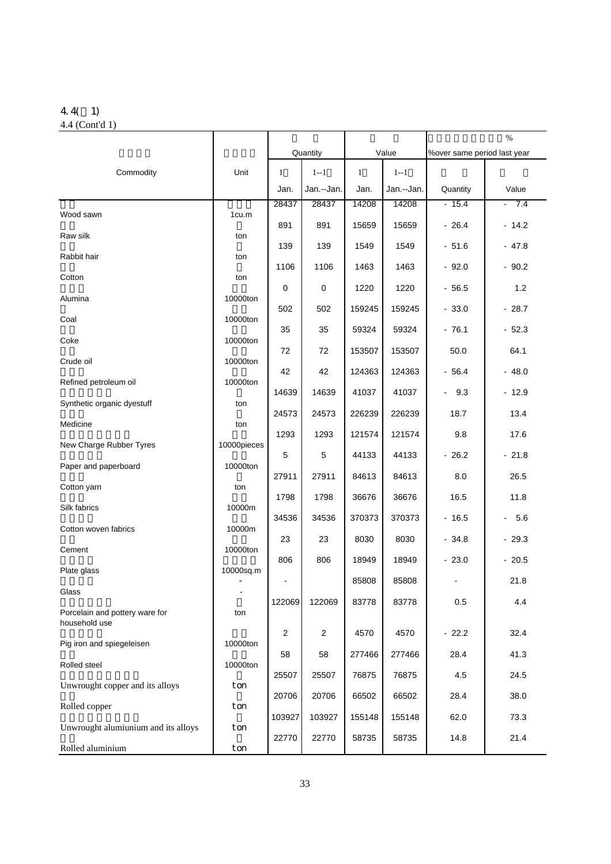#### 4.4( 1) 4.4 (Cont'd 1)

|                                                 |                           |                |             |              |            | %                           |         |  |
|-------------------------------------------------|---------------------------|----------------|-------------|--------------|------------|-----------------------------|---------|--|
|                                                 |                           |                | Quantity    | Value        |            | %over same period last year |         |  |
| Commodity                                       | Unit                      | 1              | $1 - 1$     | $\mathbf{1}$ | $1 - 1$    |                             |         |  |
|                                                 |                           | Jan.           | Jan.--Jan.  | Jan.         | Jan.--Jan. | Quantity                    | Value   |  |
| Wood sawn                                       | 1cu.m                     | 28437          | 28437       | 14208        | 14208      | $-15.4$                     | $-7.4$  |  |
| Raw silk                                        | ton                       | 891            | 891         | 15659        | 15659      | $-26.4$                     | $-14.2$ |  |
|                                                 |                           | 139            | 139         | 1549         | 1549       | $-51.6$                     | $-47.8$ |  |
| Rabbit hair                                     | ton                       | 1106           | 1106        | 1463         | 1463       | $-92.0$                     | $-90.2$ |  |
| Cotton                                          | ton                       | 0              | $\mathbf 0$ | 1220         | 1220       | $-56.5$                     | 1.2     |  |
| Alumina                                         | 10000ton                  | 502            | 502         | 159245       | 159245     | $-33.0$                     | $-28.7$ |  |
| Coal                                            | 10000ton                  | 35             | 35          | 59324        | 59324      | $-76.1$                     | $-52.3$ |  |
| Coke                                            | 10000ton                  | 72             | 72          | 153507       | 153507     | 50.0                        | 64.1    |  |
| Crude oil                                       | 10000ton                  |                |             |              |            |                             |         |  |
| Refined petroleum oil                           | 10000ton                  | 42             | 42          | 124363       | 124363     | $-56.4$                     | $-48.0$ |  |
| Synthetic organic dyestuff                      | ton<br>ton<br>10000pieces | 14639          | 14639       | 41037        | 41037      | 9.3<br>$\blacksquare$       | $-12.9$ |  |
| Medicine                                        |                           | 24573          | 24573       | 226239       | 226239     | 18.7                        | 13.4    |  |
| New Charge Rubber Tyres                         |                           | 1293           | 1293        | 121574       | 121574     | 9.8                         | 17.6    |  |
| Paper and paperboard                            | 10000ton                  | $\sqrt{5}$     | 5           | 44133        | 44133      | $-26.2$                     | $-21.8$ |  |
| Cotton yarn                                     | ton                       | 27911          | 27911       | 84613        | 84613      | 8.0                         | 26.5    |  |
| Silk fabrics                                    | 10000m                    | 1798           | 1798        | 36676        | 36676      | 16.5                        | 11.8    |  |
|                                                 |                           | 34536          | 34536       | 370373       | 370373     | $-16.5$                     | $-5.6$  |  |
| Cotton woven fabrics                            | 10000m                    | 23             | 23          | 8030         | 8030       | $-34.8$                     | $-29.3$ |  |
| Cement                                          | 10000ton                  | 806            | 806         | 18949        | 18949      | $-23.0$                     | $-20.5$ |  |
| Plate glass                                     | 10000sq.m                 | $\blacksquare$ |             | 85808        | 85808      | $\overline{\phantom{a}}$    | 21.8    |  |
| Glass                                           |                           | 122069         | 122069      | 83778        | 83778      | 0.5                         | 4.4     |  |
| Porcelain and pottery ware for<br>household use | ton                       |                |             |              |            |                             |         |  |
|                                                 | 10000ton                  | 2              | 2           | 4570         | 4570       | $-22.2$                     | 32.4    |  |
| Pig iron and spiegeleisen                       |                           | 58             | 58          | 277466       | 277466     | 28.4                        | 41.3    |  |
| Rolled steel                                    | 10000ton                  | 25507          | 25507       | 76875        | 76875      | 4.5                         | 24.5    |  |
| Unwrought copper and its alloys                 | ton                       | 20706          | 20706       | 66502        | 66502      | 28.4                        | 38.0    |  |
| Rolled copper                                   | ton                       | 103927         | 103927      | 155148       | 155148     | 62.0                        | 73.3    |  |
| Unwrought alumiunium and its alloys             | ton                       | 22770          | 22770       | 58735        | 58735      | 14.8                        | 21.4    |  |
| Rolled aluminium                                | ton                       |                |             |              |            |                             |         |  |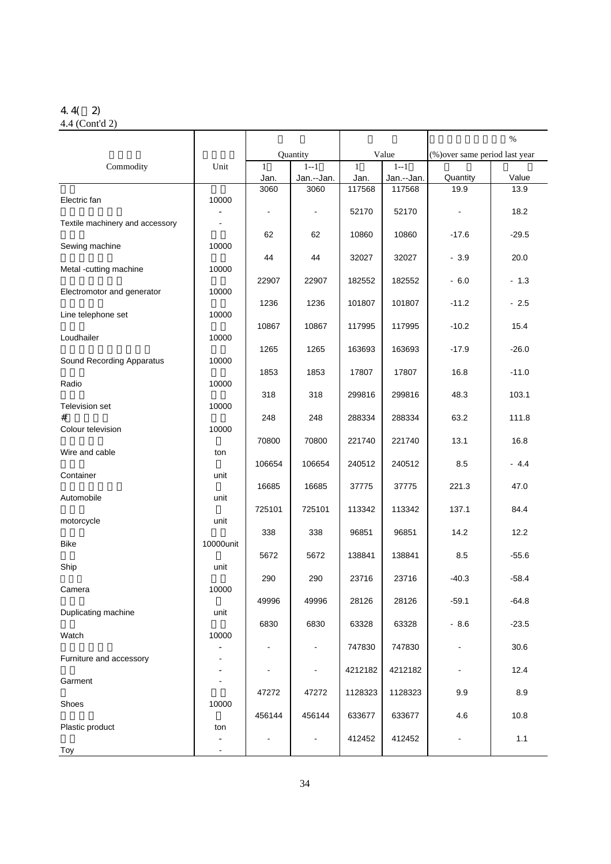## 4.4( 2)

| 4.4 (Cont'd 2) |  |
|----------------|--|
|----------------|--|

|                                 |           |                      |                       |                      |                       | %                              |         |
|---------------------------------|-----------|----------------------|-----------------------|----------------------|-----------------------|--------------------------------|---------|
|                                 |           |                      | Quantity              |                      | Value                 | (%) over same period last year |         |
| Commodity                       | Unit      | $\mathbf{1}$<br>Jan. | $1 - 1$<br>Jan.--Jan. | $\mathbf{1}$<br>Jan. | $1 - 1$<br>Jan.--Jan. | Quantity                       | Value   |
|                                 |           | 3060                 | 3060                  | 117568               | 117568                | 19.9                           | 13.9    |
| Electric fan                    | 10000     |                      |                       |                      |                       |                                |         |
| Textile machinery and accessory |           |                      | $\blacksquare$        | 52170                | 52170                 |                                | 18.2    |
|                                 |           | 62                   | 62                    | 10860                | 10860                 | $-17.6$                        | $-29.5$ |
| Sewing machine                  | 10000     |                      |                       |                      |                       |                                |         |
| Metal -cutting machine          | 10000     | 44                   | 44                    | 32027                | 32027                 | $-3.9$                         | 20.0    |
|                                 |           | 22907                | 22907                 | 182552               | 182552                | $-6.0$                         | $-1.3$  |
| Electromotor and generator      | 10000     | 1236                 | 1236                  | 101807               | 101807                | $-11.2$                        | $-2.5$  |
| Line telephone set              | 10000     |                      |                       |                      |                       |                                |         |
|                                 |           | 10867                | 10867                 | 117995               | 117995                | $-10.2$                        | 15.4    |
| Loudhailer                      | 10000     | 1265                 | 1265                  | 163693               | 163693                | $-17.9$                        | $-26.0$ |
| Sound Recording Apparatus       | 10000     |                      |                       |                      |                       |                                |         |
|                                 |           | 1853                 | 1853                  | 17807                | 17807                 | 16.8                           | $-11.0$ |
| Radio                           | 10000     | 318                  | 318                   | 299816               | 299816                | 48.3                           | 103.1   |
| Television set                  | 10000     |                      |                       |                      |                       |                                |         |
| #                               |           | 248                  | 248                   | 288334               | 288334                | 63.2                           | 111.8   |
| Colour television               | 10000     | 70800                | 70800                 | 221740               | 221740                | 13.1                           | 16.8    |
| Wire and cable                  | ton       |                      |                       |                      |                       |                                |         |
|                                 |           | 106654               | 106654                | 240512               | 240512                | 8.5                            | - 4.4   |
| Container                       | unit      | 16685                | 16685                 | 37775                | 37775                 | 221.3                          | 47.0    |
| Automobile                      | unit      |                      |                       |                      |                       |                                |         |
|                                 |           | 725101               | 725101                | 113342               | 113342                | 137.1                          | 84.4    |
| motorcycle                      | unit      | 338                  | 338                   | 96851                | 96851                 | 14.2                           | 12.2    |
| Bike                            | 10000unit |                      |                       |                      |                       |                                |         |
| Ship                            | unit      | 5672                 | 5672                  | 138841               | 138841                | 8.5                            | $-55.6$ |
|                                 |           | 290                  | 290                   | 23716                | 23716                 | $-40.3$                        | $-58.4$ |
| Camera                          | 10000     |                      |                       |                      |                       |                                |         |
| Duplicating machine             | unit      | 49996                | 49996                 | 28126                | 28126                 | $-59.1$                        | $-64.8$ |
|                                 |           | 6830                 | 6830                  | 63328                | 63328                 | $-8.6$                         | $-23.5$ |
| Watch                           | 10000     |                      |                       |                      |                       |                                |         |
| Furniture and accessory         |           |                      | ۰                     | 747830               | 747830                | $\overline{\phantom{0}}$       | 30.6    |
|                                 |           |                      | $\blacksquare$        | 4212182              | 4212182               | $\qquad \qquad \blacksquare$   | 12.4    |
| Garment                         |           | 47272                | 47272                 | 1128323              | 1128323               | 9.9                            | 8.9     |
| Shoes                           | 10000     |                      |                       |                      |                       |                                |         |
|                                 |           | 456144               | 456144                | 633677               | 633677                | 4.6                            | 10.8    |
| Plastic product                 | ton       | $\blacksquare$       | ۰                     | 412452               | 412452                | $\blacksquare$                 | 1.1     |
| Toy                             |           |                      |                       |                      |                       |                                |         |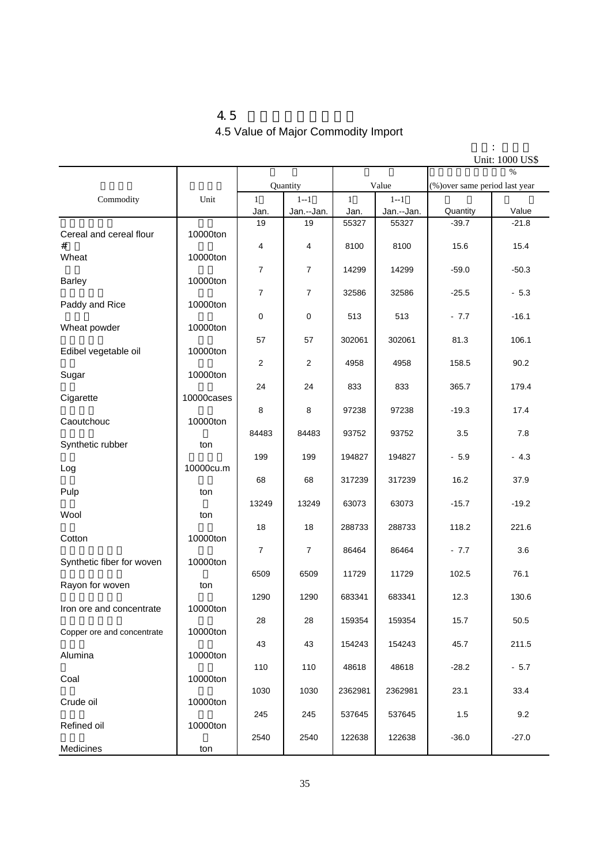$4.5$ 4.5 Value of Major Commodity Import

|                            |            |                |            |              |            |                                | Unit: 1000 US\$ |
|----------------------------|------------|----------------|------------|--------------|------------|--------------------------------|-----------------|
|                            |            |                | Quantity   |              | Value      | (%) over same period last year | $\frac{0}{6}$   |
| Commodity                  | Unit       | $\mathbf{1}$   | $1 - 1$    | $\mathbf{1}$ | $1 - 1$    |                                |                 |
|                            |            | Jan.           | Jan.--Jan. | Jan.         | Jan.--Jan. | Quantity                       | Value           |
|                            |            | 19             | 19         | 55327        | 55327      | $-39.7$                        | $-21.8$         |
| Cereal and cereal flour    | 10000ton   |                |            |              |            |                                |                 |
| Wheat                      | 10000ton   | 4              | 4          | 8100         | 8100       | 15.6                           | 15.4            |
|                            |            | $\overline{7}$ | 7          | 14299        | 14299      | $-59.0$                        | $-50.3$         |
| <b>Barley</b>              | 10000ton   |                |            |              |            |                                |                 |
| Paddy and Rice             | 10000ton   | 7              | 7          | 32586        | 32586      | $-25.5$                        | $-5.3$          |
|                            |            | $\mathbf 0$    | 0          | 513          | 513        | $-7.7$                         | $-16.1$         |
| Wheat powder               | 10000ton   | 57             | 57         | 302061       | 302061     | 81.3                           | 106.1           |
| Edibel vegetable oil       | 10000ton   |                |            |              |            |                                |                 |
|                            |            | $\sqrt{2}$     | 2          | 4958         | 4958       | 158.5                          | 90.2            |
| Sugar                      | 10000ton   | 24             | 24         | 833          | 833        | 365.7                          | 179.4           |
| Cigarette                  | 10000cases |                |            |              |            |                                |                 |
|                            |            | 8              | 8          | 97238        | 97238      | $-19.3$                        | 17.4            |
| Caoutchouc                 | 10000ton   | 84483          | 84483      | 93752        | 93752      | 3.5                            | 7.8             |
| Synthetic rubber           | ton        |                |            |              |            |                                |                 |
|                            |            | 199            | 199        | 194827       | 194827     | $-5.9$                         | $-4.3$          |
| Log                        | 10000cu.m  | 68             | 68         | 317239       | 317239     | 16.2                           | 37.9            |
| Pulp                       | ton        |                |            |              |            |                                |                 |
| Wool                       | ton        | 13249          | 13249      | 63073        | 63073      | $-15.7$                        | $-19.2$         |
|                            |            | 18             | 18         | 288733       | 288733     | 118.2                          | 221.6           |
| Cotton                     | 10000ton   |                |            |              |            |                                |                 |
| Synthetic fiber for woven  | 10000ton   | $\overline{7}$ | 7          | 86464        | 86464      | $-7.7$                         | 3.6             |
|                            |            | 6509           | 6509       | 11729        | 11729      | 102.5                          | 76.1            |
| Rayon for woven            | ton        |                |            |              |            |                                |                 |
| Iron ore and concentrate   | 10000ton   | 1290           | 1290       | 683341       | 683341     | 12.3                           | 130.6           |
|                            |            | 28             | 28         | 159354       | 159354     | 15.7                           | 50.5            |
| Copper ore and concentrate | 10000ton   |                |            |              |            |                                |                 |
| Alumina                    | 10000ton   | 43             | 43         | 154243       | 154243     | 45.7                           | 211.5           |
|                            |            | 110            | 110        | 48618        | 48618      | $-28.2$                        | $-5.7$          |
| Coal                       | 10000ton   |                |            |              |            |                                |                 |
| Crude oil                  | 10000ton   | 1030           | 1030       | 2362981      | 2362981    | 23.1                           | 33.4            |
|                            |            | 245            | 245        | 537645       | 537645     | $1.5$                          | 9.2             |
| Refined oil                | 10000ton   | 2540           | 2540       | 122638       | 122638     | $-36.0$                        | $-27.0$         |
| Medicines                  | ton        |                |            |              |            |                                |                 |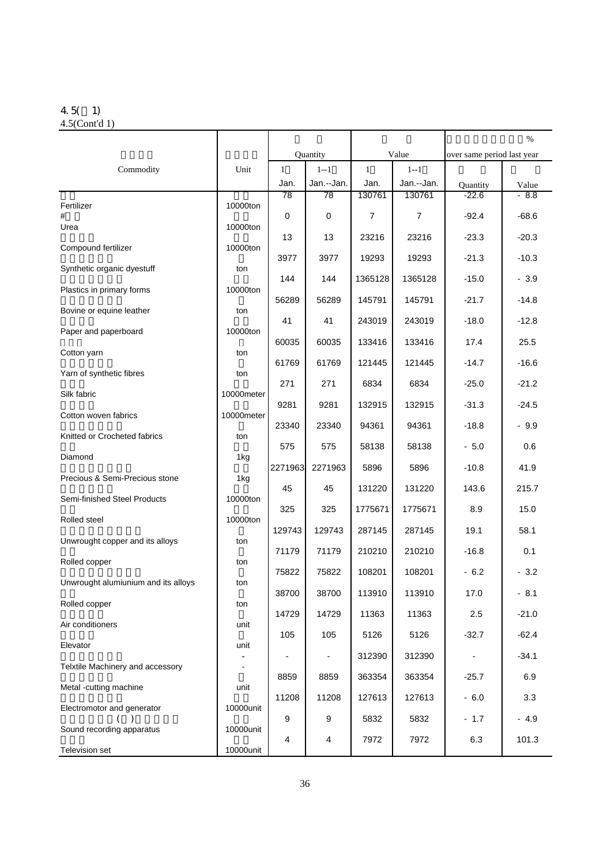## 4.5( 1)

| $4.5$ (Cont'd 1) |  |
|------------------|--|
|                  |  |

|                                     |            |              |            |                |                |                            | $\%$    |
|-------------------------------------|------------|--------------|------------|----------------|----------------|----------------------------|---------|
|                                     |            |              | Quantity   | Value          |                | over same period last year |         |
| Commodity                           | Unit       | $\mathbf{1}$ | $1 - 1$    | $\mathbf{1}$   | $1 - 1$        |                            |         |
|                                     |            | Jan.         | Jan.--Jan. | Jan.           | Jan.--Jan.     | Quantity                   | Value   |
| Fertilizer                          | 10000ton   | 78           | 78         | 130761         | 130761         | $-22.6$                    | $-8.8$  |
| #<br>Urea                           | 10000ton   | $\mathbf 0$  | 0          | $\overline{7}$ | $\overline{7}$ | $-92.4$                    | $-68.6$ |
| Compound fertilizer                 | 10000ton   | 13           | 13         | 23216          | 23216          | $-23.3$                    | $-20.3$ |
| Synthetic organic dyestuff          | ton        | 3977         | 3977       | 19293          | 19293          | $-21.3$                    | $-10.3$ |
| Plastics in primary forms           | 10000ton   | 144          | 144        | 1365128        | 1365128        | $-15.0$                    | $-3.9$  |
| Bovine or equine leather            | ton        | 56289        | 56289      | 145791         | 145791         | $-21.7$                    | $-14.8$ |
|                                     |            | 41           | 41         | 243019         | 243019         | $-18.0$                    | $-12.8$ |
| Paper and paperboard                | 10000ton   | 60035        | 60035      | 133416         | 133416         | 17.4                       | 25.5    |
| Cotton yarn                         | ton        | 61769        | 61769      | 121445         | 121445         | $-14.7$                    | $-16.6$ |
| Yarn of synthetic fibres            | ton        | 271          | 271        | 6834           | 6834           | $-25.0$                    | $-21.2$ |
| Silk fabric                         | 10000meter | 9281         | 9281       | 132915         | 132915         | $-31.3$                    | $-24.5$ |
| Cotton woven fabrics                | 10000meter | 23340        | 23340      | 94361          | 94361          | $-18.8$                    | $-9.9$  |
| Knitted or Crocheted fabrics        | ton        | 575          | 575        | 58138          | 58138          | $-5.0$                     | 0.6     |
| Diamond                             | 1kg        | 2271963      | 2271963    | 5896           | 5896           | $-10.8$                    | 41.9    |
| Precious & Semi-Precious stone      | 1kg        | 45           | 45         | 131220         | 131220         | 143.6                      | 215.7   |
| Semi-finished Steel Products        | 10000ton   | 325          | 325        | 1775671        | 1775671        | 8.9                        | 15.0    |
| Rolled steel                        | 10000ton   | 129743       | 129743     | 287145         | 287145         | 19.1                       | 58.1    |
| Unwrought copper and its alloys     | ton        | 71179        | 71179      | 210210         | 210210         | $-16.8$                    | 0.1     |
| Rolled copper                       | ton        | 75822        | 75822      | 108201         | 108201         | $-6.2$                     | $-3.2$  |
| Unwrought alumiunium and its alloys | ton        | 38700        | 38700      | 113910         | 113910         | 17.0                       | $-8.1$  |
| Rolled copper                       | ton        | 14729        | 14729      | 11363          | 11363          | 2.5                        | $-21.0$ |
| Air conditioners                    | unit       |              |            |                |                |                            |         |
| Elevator                            | unit       | 105          | 105        | 5126           | 5126           | $-32.7$                    | $-62.4$ |
| Telxtile Machinery and accessory    |            |              |            | 312390         | 312390         |                            | $-34.1$ |
| Metal -cutting machine              | unit       | 8859         | 8859       | 363354         | 363354         | $-25.7$                    | 6.9     |
| Electromotor and generator          | 10000unit  | 11208        | 11208      | 127613         | 127613         | $-6.0$                     | 3.3     |
| Sound recording apparatus           | 10000unit  | 9            | 9          | 5832           | 5832           | $-1.7$                     | $-4.9$  |
| Television set                      | 10000unit  | 4            | 4          | 7972           | 7972           | 6.3                        | 101.3   |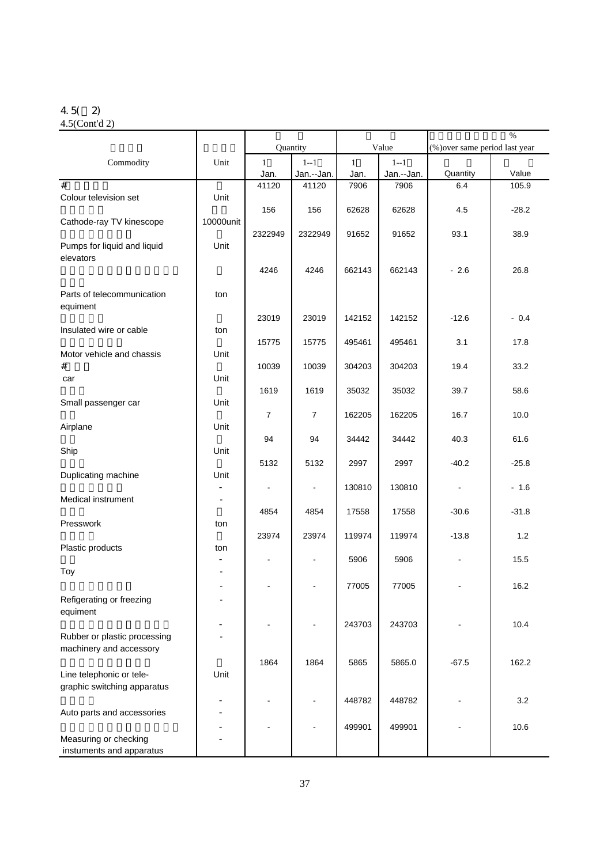#### 4.5( 2)

4.5(Cont'd 2)

|                                                         |           | Quantity             |                     |                      |                       | $\%$<br>(%) over same period last year |         |  |
|---------------------------------------------------------|-----------|----------------------|---------------------|----------------------|-----------------------|----------------------------------------|---------|--|
|                                                         |           |                      |                     |                      | Value                 |                                        |         |  |
| Commodity                                               | Unit      | $\mathbf{1}$<br>Jan. | $1 - 1$             | $\mathbf{1}$<br>Jan. | $1 - 1$<br>Jan.--Jan. | Quantity                               | Value   |  |
| #                                                       |           | 41120                | Jan.--Jan.<br>41120 | 7906                 | 7906                  | 6.4                                    | 105.9   |  |
| Colour television set                                   | Unit      |                      |                     |                      |                       |                                        |         |  |
| Cathode-ray TV kinescope                                | 10000unit | 156                  | 156                 | 62628                | 62628                 | 4.5                                    | $-28.2$ |  |
| Pumps for liquid and liquid<br>elevators                | Unit      | 2322949              | 2322949             | 91652                | 91652                 | 93.1                                   | 38.9    |  |
|                                                         |           | 4246                 | 4246                | 662143               | 662143                | $-2.6$                                 | 26.8    |  |
| Parts of telecommunication<br>equiment                  | ton       |                      |                     |                      |                       |                                        |         |  |
| Insulated wire or cable                                 | ton       | 23019                | 23019               | 142152               | 142152                | $-12.6$                                | $-0.4$  |  |
| Motor vehicle and chassis                               | Unit      | 15775                | 15775               | 495461               | 495461                | 3.1                                    | 17.8    |  |
| #<br>car                                                | Unit      | 10039                | 10039               | 304203               | 304203                | 19.4                                   | 33.2    |  |
|                                                         |           | 1619                 | 1619                | 35032                | 35032                 | 39.7                                   | 58.6    |  |
| Small passenger car                                     | Unit      | 7                    | 7                   | 162205               | 162205                | 16.7                                   | 10.0    |  |
| Airplane                                                | Unit      | 94                   | 94                  | 34442                | 34442                 | 40.3                                   | 61.6    |  |
| Ship                                                    | Unit      | 5132                 | 5132                | 2997                 | 2997                  | $-40.2$                                | $-25.8$ |  |
| Duplicating machine                                     | Unit      |                      | $\blacksquare$      | 130810               | 130810                |                                        | $-1.6$  |  |
| Medical instrument                                      |           | 4854                 | 4854                | 17558                | 17558                 | $-30.6$                                | $-31.8$ |  |
| Presswork                                               | ton       | 23974                | 23974               | 119974               | 119974                | $-13.8$                                | 1.2     |  |
| Plastic products                                        | ton       |                      |                     |                      |                       |                                        |         |  |
| Toy                                                     |           |                      | $\blacksquare$      | 5906                 | 5906                  |                                        | 15.5    |  |
| Refigerating or freezing                                |           |                      |                     | 77005                | 77005                 |                                        | 16.2    |  |
| equiment                                                |           |                      |                     | 243703               |                       |                                        | 10.4    |  |
| Rubber or plastic processing<br>machinery and accessory |           |                      |                     |                      | 243703                |                                        |         |  |
| Line telephonic or tele-                                | Unit      | 1864                 | 1864                | 5865                 | 5865.0                | $-67.5$                                | 162.2   |  |
| graphic switching apparatus                             |           |                      |                     |                      |                       |                                        |         |  |
|                                                         |           |                      |                     | 448782               | 448782                |                                        | 3.2     |  |
| Auto parts and accessories                              |           |                      |                     | 499901               | 499901                |                                        | 10.6    |  |
| Measuring or checking<br>instuments and apparatus       |           |                      |                     |                      |                       |                                        |         |  |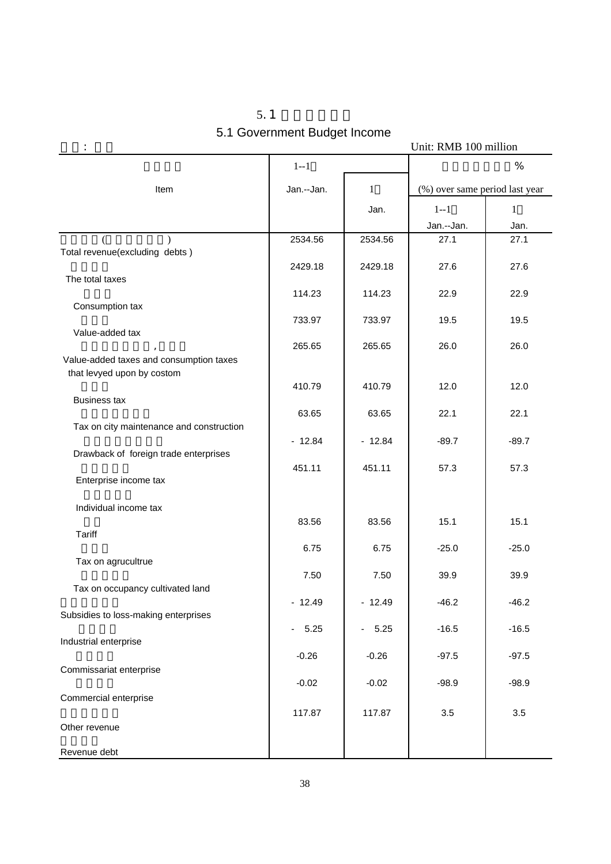| 5.1                          |
|------------------------------|
| 5.1 Government Budget Income |

|                                                                       | Unit: RMB 100 million            |              |                                |              |  |  |  |  |
|-----------------------------------------------------------------------|----------------------------------|--------------|--------------------------------|--------------|--|--|--|--|
|                                                                       | $1 - 1$                          |              |                                | $\%$         |  |  |  |  |
| Item                                                                  | Jan.--Jan.                       | $\mathbf{1}$ | (%) over same period last year |              |  |  |  |  |
|                                                                       |                                  | Jan.         | $1 - 1$                        | $\mathbf{1}$ |  |  |  |  |
|                                                                       |                                  |              | Jan.--Jan.                     | Jan.         |  |  |  |  |
| Total revenue(excluding debts)                                        | 2534.56                          | 2534.56      | 27.1                           | 27.1         |  |  |  |  |
| The total taxes                                                       | 2429.18                          | 2429.18      | 27.6                           | 27.6         |  |  |  |  |
|                                                                       | 114.23                           | 114.23       | 22.9                           | 22.9         |  |  |  |  |
| Consumption tax                                                       | 733.97                           | 733.97       | 19.5                           | 19.5         |  |  |  |  |
| Value-added tax                                                       | 265.65                           | 265.65       | 26.0                           | 26.0         |  |  |  |  |
| Value-added taxes and consumption taxes<br>that levyed upon by costom |                                  |              |                                |              |  |  |  |  |
|                                                                       | 410.79                           | 410.79       | 12.0                           | 12.0         |  |  |  |  |
| <b>Business tax</b>                                                   | 63.65                            | 63.65        | 22.1                           | 22.1         |  |  |  |  |
| Tax on city maintenance and construction                              | $-12.84$                         | $-12.84$     | $-89.7$                        | $-89.7$      |  |  |  |  |
| Drawback of foreign trade enterprises                                 | 451.11                           | 451.11       | 57.3                           | 57.3         |  |  |  |  |
| Enterprise income tax                                                 |                                  |              |                                |              |  |  |  |  |
| Individual income tax                                                 |                                  |              |                                |              |  |  |  |  |
| Tariff                                                                | 83.56                            | 83.56        | 15.1                           | 15.1         |  |  |  |  |
| Tax on agrucultrue                                                    | 6.75                             | 6.75         | $-25.0$                        | $-25.0$      |  |  |  |  |
| Tax on occupancy cultivated land                                      | 7.50                             | 7.50         | 39.9                           | 39.9         |  |  |  |  |
| Subsidies to loss-making enterprises                                  | $-12.49$                         | $-12.49$     | $-46.2$                        | $-46.2$      |  |  |  |  |
|                                                                       | 5.25<br>$\overline{\phantom{a}}$ | $-5.25$      | $-16.5$                        | $-16.5$      |  |  |  |  |
| Industrial enterprise                                                 | $-0.26$                          | $-0.26$      | $-97.5$                        | $-97.5$      |  |  |  |  |
| Commissariat enterprise                                               | $-0.02$                          | $-0.02$      | $-98.9$                        | $-98.9$      |  |  |  |  |
| Commercial enterprise                                                 |                                  |              |                                |              |  |  |  |  |
| Other revenue                                                         | 117.87                           | 117.87       | 3.5                            | 3.5          |  |  |  |  |
| Revenue debt                                                          |                                  |              |                                |              |  |  |  |  |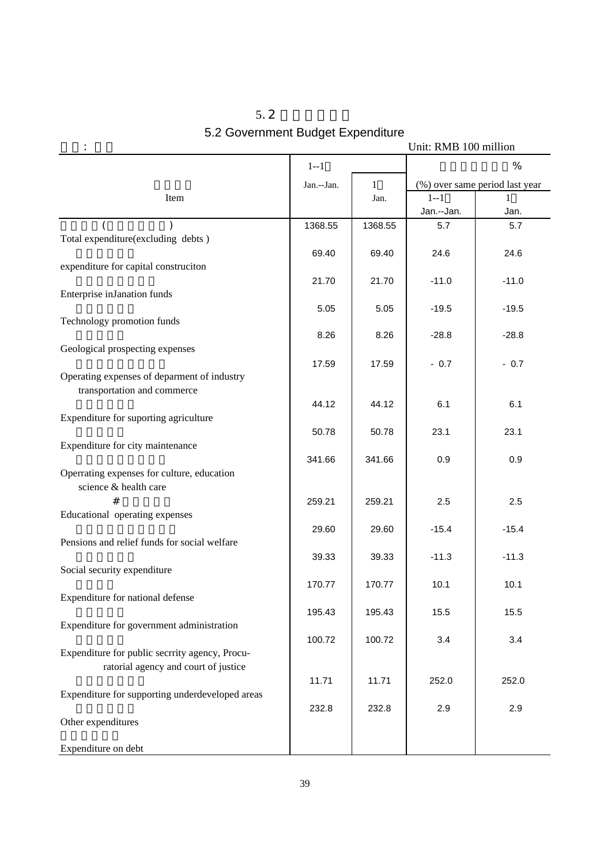| 5.2 |                                   |
|-----|-----------------------------------|
|     | 5.2 Government Budget Expenditure |

|                                                                                        |            |              | Unit: RMB 100 million |                                |
|----------------------------------------------------------------------------------------|------------|--------------|-----------------------|--------------------------------|
|                                                                                        | $1 - 1$    |              |                       | %                              |
|                                                                                        | Jan.--Jan. | $\mathbf{1}$ |                       | (%) over same period last year |
| Item                                                                                   |            | Jan.         | $1 - 1$<br>Jan.--Jan. | Jan.                           |
|                                                                                        | 1368.55    | 1368.55      | 5.7                   | 5.7                            |
| Total expenditure(excluding debts)                                                     |            |              |                       |                                |
| expenditure for capital construciton                                                   | 69.40      | 69.40        | 24.6                  | 24.6                           |
|                                                                                        | 21.70      | 21.70        | $-11.0$               | $-11.0$                        |
| Enterprise inJanation funds                                                            |            |              |                       |                                |
| Technology promotion funds                                                             | 5.05       | 5.05         | $-19.5$               | $-19.5$                        |
|                                                                                        | 8.26       | 8.26         | $-28.8$               | $-28.8$                        |
| Geological prospecting expenses                                                        |            |              |                       |                                |
|                                                                                        | 17.59      | 17.59        | $-0.7$                | $-0.7$                         |
| Operating expenses of deparment of industry<br>transportation and commerce             |            |              |                       |                                |
|                                                                                        | 44.12      | 44.12        | 6.1                   | 6.1                            |
| Expenditure for suporting agriculture                                                  |            |              |                       |                                |
| Expenditure for city maintenance                                                       | 50.78      | 50.78        | 23.1                  | 23.1                           |
|                                                                                        | 341.66     | 341.66       | 0.9                   | 0.9                            |
| Operrating expenses for culture, education<br>science & health care                    |            |              |                       |                                |
| #                                                                                      | 259.21     | 259.21       | 2.5                   | 2.5                            |
| Educational operating expenses                                                         |            |              |                       |                                |
| Pensions and relief funds for social welfare                                           | 29.60      | 29.60        | $-15.4$               | $-15.4$                        |
|                                                                                        | 39.33      | 39.33        | $-11.3$               | $-11.3$                        |
| Social security expenditure                                                            |            |              |                       |                                |
|                                                                                        | 170.77     | 170.77       | 10.1                  | 10.1                           |
| Expenditure for national defense                                                       | 195.43     | 195.43       | 15.5                  | 15.5                           |
| Expenditure for government administration                                              |            |              |                       |                                |
|                                                                                        | 100.72     | 100.72       | 3.4                   | 3.4                            |
| Expenditure for public secrrity agency, Procu-<br>ratorial agency and court of justice |            |              |                       |                                |
|                                                                                        | 11.71      | 11.71        | 252.0                 | 252.0                          |
| Expenditure for supporting underdeveloped areas                                        | 232.8      | 232.8        | 2.9                   | 2.9                            |
| Other expenditures                                                                     |            |              |                       |                                |
| Expenditure on debt                                                                    |            |              |                       |                                |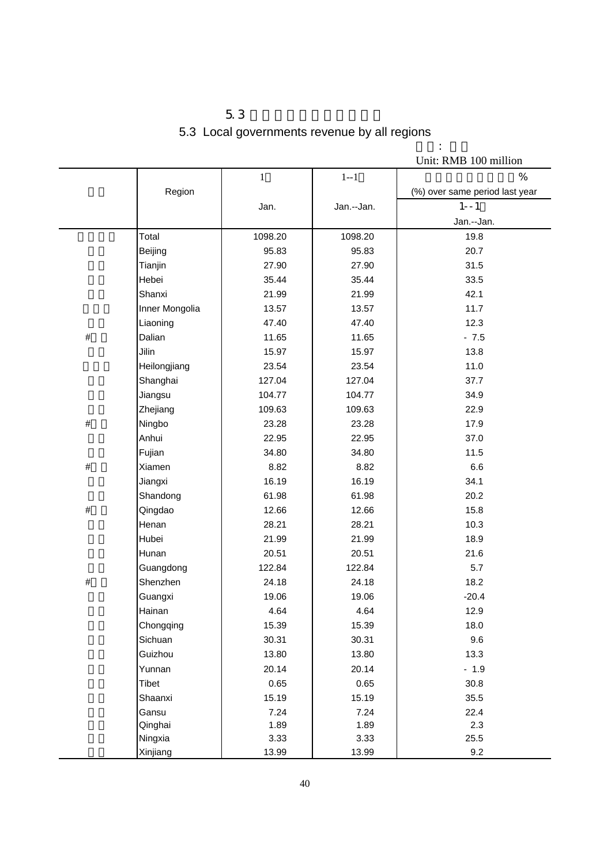| 5.3                                          |  |  |
|----------------------------------------------|--|--|
| 5.3 Local governments revenue by all regions |  |  |

单位: 亿元

|      |                |              |            | Unit: RMB 100 million          |
|------|----------------|--------------|------------|--------------------------------|
|      |                | $\mathbf{1}$ | $1 - 1$    | %                              |
|      | Region         |              |            | (%) over same period last year |
|      |                | Jan.         | Jan.--Jan. | $1 - -1$                       |
|      |                |              |            | Jan.--Jan.                     |
|      | Total          | 1098.20      | 1098.20    | 19.8                           |
|      | Beijing        | 95.83        | 95.83      | 20.7                           |
|      | Tianjin        | 27.90        | 27.90      | 31.5                           |
|      | Hebei          | 35.44        | 35.44      | 33.5                           |
|      | Shanxi         | 21.99        | 21.99      | 42.1                           |
|      | Inner Mongolia | 13.57        | 13.57      | 11.7                           |
|      | Liaoning       | 47.40        | 47.40      | 12.3                           |
| $\#$ | Dalian         | 11.65        | 11.65      | $-7.5$                         |
|      | Jilin          | 15.97        | 15.97      | 13.8                           |
|      | Heilongjiang   | 23.54        | 23.54      | 11.0                           |
|      | Shanghai       | 127.04       | 127.04     | 37.7                           |
|      | Jiangsu        | 104.77       | 104.77     | 34.9                           |
|      | Zhejiang       | 109.63       | 109.63     | 22.9                           |
| $\#$ | Ningbo         | 23.28        | 23.28      | 17.9                           |
|      | Anhui          | 22.95        | 22.95      | 37.0                           |
|      | Fujian         | 34.80        | 34.80      | 11.5                           |
| $\#$ | Xiamen         | 8.82         | 8.82       | 6.6                            |
|      | Jiangxi        | 16.19        | 16.19      | 34.1                           |
|      | Shandong       | 61.98        | 61.98      | 20.2                           |
| $\#$ | Qingdao        | 12.66        | 12.66      | 15.8                           |
|      | Henan          | 28.21        | 28.21      | 10.3                           |
|      | Hubei          | 21.99        | 21.99      | 18.9                           |
|      | Hunan          | 20.51        | 20.51      | 21.6                           |
|      | Guangdong      | 122.84       | 122.84     | 5.7                            |
| $\#$ | Shenzhen       | 24.18        | 24.18      | 18.2                           |
|      | Guangxi        | 19.06        | 19.06      | $-20.4$                        |
|      | Hainan         | 4.64         | 4.64       | 12.9                           |
|      | Chongqing      | 15.39        | 15.39      | 18.0                           |
|      | Sichuan        | 30.31        | 30.31      | 9.6                            |
|      | Guizhou        | 13.80        | 13.80      | 13.3                           |
|      | Yunnan         | 20.14        | 20.14      | $-1.9$                         |
|      | Tibet          | 0.65         | 0.65       | 30.8                           |
|      | Shaanxi        | 15.19        | 15.19      | 35.5                           |
|      | Gansu          | 7.24         | 7.24       | 22.4                           |
|      | Qinghai        | 1.89         | 1.89       | 2.3                            |
|      | Ningxia        | 3.33         | 3.33       | 25.5                           |
|      | Xinjiang       | 13.99        | 13.99      | 9.2                            |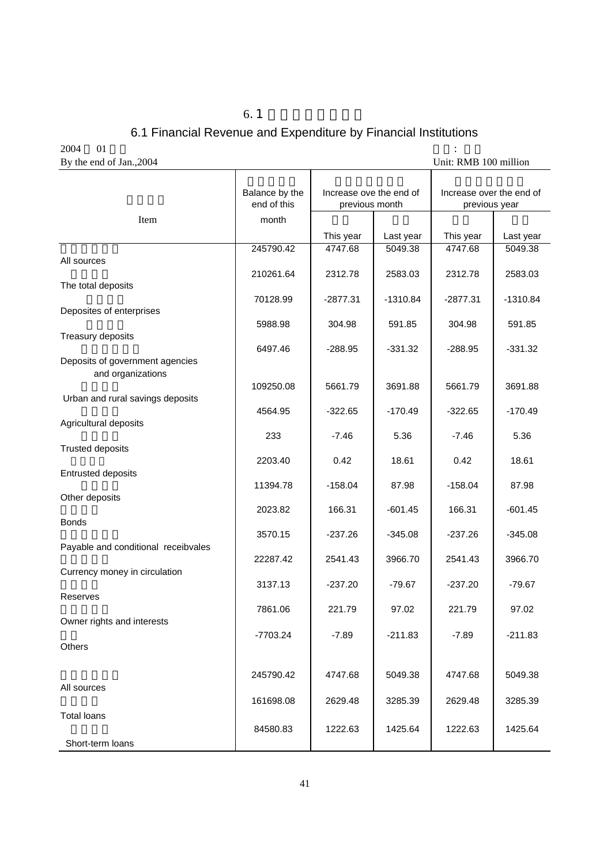## 6.1 Financial Revenue and Expenditure by Financial Institutions

 $6.1$ 

 $2004$  01  $\cdot$ By the end of Jan., 2004 Unit: RMB 100 million

|                                     | Balance by the<br>end of this | Increase ove the end of<br>previous month |            | Increase over the end of<br>previous year |            |
|-------------------------------------|-------------------------------|-------------------------------------------|------------|-------------------------------------------|------------|
| Item                                | month                         |                                           |            |                                           |            |
|                                     |                               | This year                                 | Last year  | This year                                 | Last year  |
| All sources                         | 245790.42                     | 4747.68                                   | 5049.38    | 4747.68                                   | 5049.38    |
|                                     | 210261.64                     | 2312.78                                   | 2583.03    | 2312.78                                   | 2583.03    |
| The total deposits                  |                               |                                           |            |                                           |            |
|                                     | 70128.99                      | $-2877.31$                                | $-1310.84$ | $-2877.31$                                | $-1310.84$ |
| Deposites of enterprises            | 5988.98                       | 304.98                                    | 591.85     | 304.98                                    | 591.85     |
| Treasury deposits                   |                               |                                           |            |                                           |            |
|                                     | 6497.46                       | $-288.95$                                 | $-331.32$  | $-288.95$                                 | $-331.32$  |
| Deposits of government agencies     |                               |                                           |            |                                           |            |
| and organizations                   | 109250.08                     | 5661.79                                   | 3691.88    | 5661.79                                   | 3691.88    |
| Urban and rural savings deposits    |                               |                                           |            |                                           |            |
|                                     | 4564.95                       | $-322.65$                                 | $-170.49$  | $-322.65$                                 | $-170.49$  |
| Agricultural deposits               | 233                           | $-7.46$                                   | 5.36       | $-7.46$                                   | 5.36       |
| <b>Trusted deposits</b>             |                               |                                           |            |                                           |            |
|                                     | 2203.40                       | 0.42                                      | 18.61      | 0.42                                      | 18.61      |
| <b>Entrusted deposits</b>           | 11394.78                      | $-158.04$                                 | 87.98      | $-158.04$                                 | 87.98      |
| Other deposits                      |                               |                                           |            |                                           |            |
|                                     | 2023.82                       | 166.31                                    | $-601.45$  | 166.31                                    | $-601.45$  |
| <b>Bonds</b>                        | 3570.15                       | $-237.26$                                 | $-345.08$  | $-237.26$                                 | $-345.08$  |
| Payable and conditional receibvales |                               |                                           |            |                                           |            |
|                                     | 22287.42                      | 2541.43                                   | 3966.70    | 2541.43                                   | 3966.70    |
| Currency money in circulation       |                               |                                           |            |                                           |            |
| Reserves                            | 3137.13                       | $-237.20$                                 | $-79.67$   | $-237.20$                                 | $-79.67$   |
|                                     | 7861.06                       | 221.79                                    | 97.02      | 221.79                                    | 97.02      |
| Owner rights and interests          |                               |                                           |            |                                           |            |
| Others                              | -7703.24                      | $-7.89$                                   | $-211.83$  | $-7.89$                                   | $-211.83$  |
|                                     |                               |                                           |            |                                           |            |
|                                     | 245790.42                     | 4747.68                                   | 5049.38    | 4747.68                                   | 5049.38    |
| All sources                         |                               |                                           |            |                                           |            |
|                                     | 161698.08                     | 2629.48                                   | 3285.39    | 2629.48                                   | 3285.39    |
| <b>Total loans</b>                  |                               |                                           |            |                                           |            |
| Short-term loans                    | 84580.83                      | 1222.63                                   | 1425.64    | 1222.63                                   | 1425.64    |
|                                     |                               |                                           |            |                                           |            |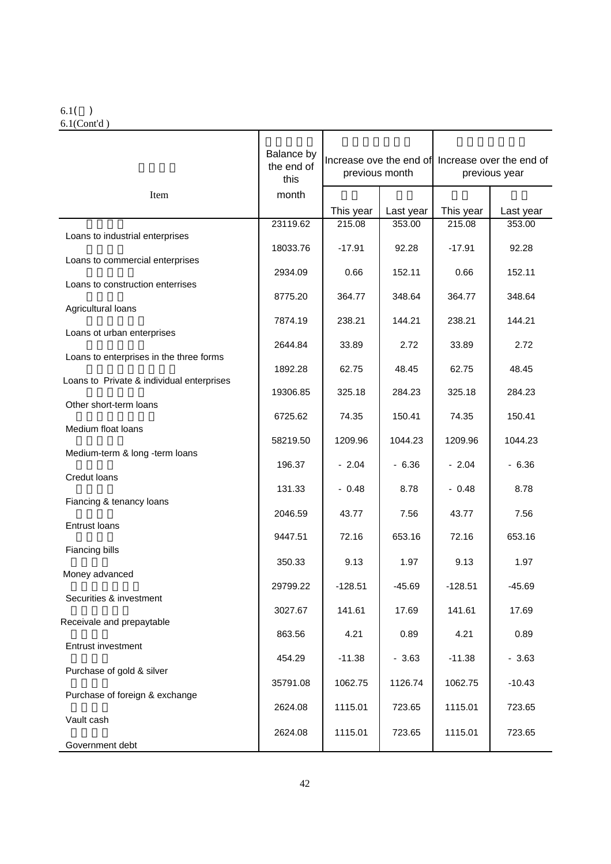#### 6.1( ) 6.1(Cont'd )

本月末余额 比上月末增减额 比上年末增减额 Balance by the end of this Increase ove the end of Increase over the end of previous month previous year Item | month | | | | This year  $\vert$  Last year  $\vert$  This year  $\vert$  Last year  $\begin{array}{|c|c|c|c|c|c|c|c|}\n\hline\n23119.62 & 215.08 & 353.00 & 215.08 & 353.00 \\
\hline\n\end{array}$  Loans to industrial enterprises  $\begin{array}{|c|c|c|c|c|c|c|c|}\n\hline\n\text{18033.76} & -\text{17.91} & 92.28 & -\text{17.91} & 92.28 \\
\hline\n\end{array}$  Loans to commercial enterprises  $\begin{array}{|c|c|c|c|c|c|c|c|c|} \hline \text{2934.09} & \text{0.66} & \text{152.11} & \text{0.66} & \text{152.11} \ \hline \end{array}$  Loans to construction enterrises  $\begin{array}{|c|c|c|c|c|c|c|c|c|} \hline \text{8775.20} & \text{364.77} & \text{348.64} & \text{364.77} & \text{348.64} \hline \end{array}$  Agricultural loans  $\begin{array}{|c|c|c|c|c|c|c|c|}\n \hline\n & 7874.19 & 238.21 & 144.21 & 238.21 & 144.21 \\
\hline\n\end{array}$  Loans ot urban enterprises  $2644.84$   $33.89$   $2.72$   $33.89$   $2.72$  Loans to enterprises in the three forms  $1892.28$  62.75 48.45 62.75 48.45 Loans to Private & individual enterprises  $\begin{array}{|c|c|c|c|c|c|c|c|}\n\hline\n\text{19306.85} & \text{325.18} & \text{284.23} & \text{325.18} & \text{284.23}\n\hline\n\end{array}$  Other short-term loans  $\begin{array}{|c|c|c|c|c|c|c|c|c|} \hline \multicolumn{1}{c|}{\textbf{6725.62}} & \multicolumn{1}{c|}{\textbf{74.35}} & \multicolumn{1}{c|}{\textbf{150.41}} & \multicolumn{1}{c|}{\textbf{74.35}} & \multicolumn{1}{c|}{\textbf{150.41}} \hline \end{array}$  Medium float loans  $\begin{array}{|c|c|c|c|c|c|}\n\hline\n& 58219.50 & 1209.96 & 1044.23 & 1209.96 & 1044.23 \\
\hline\n\end{array}$  Medium-term & long -term loans  $196.37$   $-2.04$   $-6.36$   $-2.04$   $-6.36$  Credut loans  $131.33$   $-0.48$   $8.78$   $-0.48$  8.78 Fiancing & tenancy loans  $2046.59$   $43.77$   $7.56$   $43.77$   $7.56$  Entrust loans  $\begin{array}{|c|c|c|c|c|c|c|c|c|} \hline \text{9447.51} & \text{72.16} & \text{653.16} & \text{72.16} & \text{653.16} \hline \end{array}$  Fiancing bills  $\begin{array}{|c|c|c|c|c|c|c|c|}\n\hline\n\text{350.33} & \text{350.33} & \text{40.13} & \text{50.13} \\
\hline\n\end{array}$  Money advanced  $\begin{array}{|c|c|c|c|c|c|c|c|}\n\hline\n29799.22 & -128.51 & -45.69 & -128.51 & -45.69 \\
\hline\n\end{array}$  Securities & investment  $3027.67$  141.61 17.69 141.61 17.69 Receivale and prepaytable  $863.56$   $4.21$   $0.89$   $4.21$  0.89 Entrust investment  $\begin{array}{|c|c|c|c|c|c|c|c|c|} \hline \end{array}$  454.29  $\begin{array}{|c|c|c|c|c|c|c|c|} \hline \end{array}$  - 3.63  $\begin{array}{|c|c|c|c|c|c|c|} \hline \end{array}$  - 3.63  $\begin{array}{|c|c|c|c|c|c|c|} \hline \end{array}$  - 3.63 Purchase of gold & silver  $\begin{array}{|c|c|c|c|c|c|c|c|}\n\hline\n\text{35791.08} & \text{1062.75} & \text{1126.74} & \text{1062.75} & \text{-10.43}\n\hline\n\end{array}$  Purchase of foreign & exchange  $2624.08$  1115.01 723.65 1115.01 723.65 Vault cash  $\begin{array}{|c|c|c|c|c|c|}\n\hline\n2624.08 & 1115.01 & 723.65 & 1115.01 & 723.65\n\end{array}$ Government debt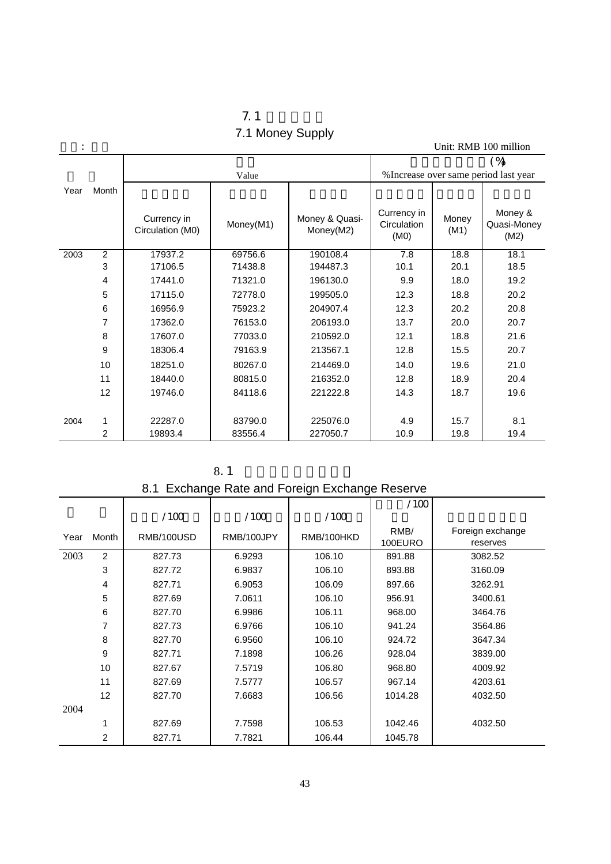| 1.1              |  |
|------------------|--|
| 7.1 Money Supply |  |

|      |                |                                 |           |                             |                                    |               | Unit: RMB 100 million                           |
|------|----------------|---------------------------------|-----------|-----------------------------|------------------------------------|---------------|-------------------------------------------------|
|      |                |                                 | Value     |                             |                                    |               | $(\%)$<br>% Increase over same period last year |
| Year | Month          | Currency in<br>Circulation (M0) | Money(M1) | Money & Quasi-<br>Money(M2) | Currency in<br>Circulation<br>(M0) | Money<br>(M1) | Money &<br>Quasi-Money<br>(M2)                  |
| 2003 | $\overline{2}$ | 17937.2                         | 69756.6   | 190108.4                    | 7.8                                | 18.8          | 18.1                                            |
|      | 3              | 17106.5                         | 71438.8   | 194487.3                    | 10.1                               | 20.1          | 18.5                                            |
|      | 4              | 17441.0                         | 71321.0   | 196130.0                    | 9.9                                | 18.0          | 19.2                                            |
|      | 5              | 17115.0                         | 72778.0   | 199505.0                    | 12.3                               | 18.8          | 20.2                                            |
|      | 6              | 16956.9                         | 75923.2   | 204907.4                    | 12.3                               | 20.2          | 20.8                                            |
|      | 7              | 17362.0                         | 76153.0   | 206193.0                    | 13.7                               | 20.0          | 20.7                                            |
|      | 8              | 17607.0                         | 77033.0   | 210592.0                    | 12.1                               | 18.8          | 21.6                                            |
|      | 9              | 18306.4                         | 79163.9   | 213567.1                    | 12.8                               | 15.5          | 20.7                                            |
|      | 10             | 18251.0                         | 80267.0   | 214469.0                    | 14.0                               | 19.6          | 21.0                                            |
|      | 11             | 18440.0                         | 80815.0   | 216352.0                    | 12.8                               | 18.9          | 20.4                                            |
|      | 12             | 19746.0                         | 84118.6   | 221222.8                    | 14.3                               | 18.7          | 19.6                                            |
| 2004 | 1              | 22287.0                         | 83790.0   | 225076.0                    | 4.9                                | 15.7          | 8.1                                             |
|      | $\overline{2}$ | 19893.4                         | 83556.4   | 227050.7                    | 10.9                               | 19.8          | 19.4                                            |

| 8.1 |
|-----|
|-----|

#### 8.1 Exchange Rate and Foreign Exchange Reserve

|      |       |            |            |            | /100    |                  |
|------|-------|------------|------------|------------|---------|------------------|
|      |       | /100       | /100       | /100       |         |                  |
| Year | Month | RMB/100USD | RMB/100JPY | RMB/100HKD | RMB/    | Foreign exchange |
|      |       |            |            |            | 100EURO | reserves         |
| 2003 | 2     | 827.73     | 6.9293     | 106.10     | 891.88  | 3082.52          |
|      | 3     | 827.72     | 6.9837     | 106.10     | 893.88  | 3160.09          |
|      | 4     | 827.71     | 6.9053     | 106.09     | 897.66  | 3262.91          |
|      | 5     | 827.69     | 7.0611     | 106.10     | 956.91  | 3400.61          |
|      | 6     | 827.70     | 6.9986     | 106.11     | 968.00  | 3464.76          |
|      | 7     | 827.73     | 6.9766     | 106.10     | 941.24  | 3564.86          |
|      | 8     | 827.70     | 6.9560     | 106.10     | 924.72  | 3647.34          |
|      | 9     | 827.71     | 7.1898     | 106.26     | 928.04  | 3839.00          |
|      | 10    | 827.67     | 7.5719     | 106.80     | 968.80  | 4009.92          |
|      | 11    | 827.69     | 7.5777     | 106.57     | 967.14  | 4203.61          |
|      | 12    | 827.70     | 7.6683     | 106.56     | 1014.28 | 4032.50          |
| 2004 |       |            |            |            |         |                  |
|      | 1     | 827.69     | 7.7598     | 106.53     | 1042.46 | 4032.50          |
|      | 2     | 827.71     | 7.7821     | 106.44     | 1045.78 |                  |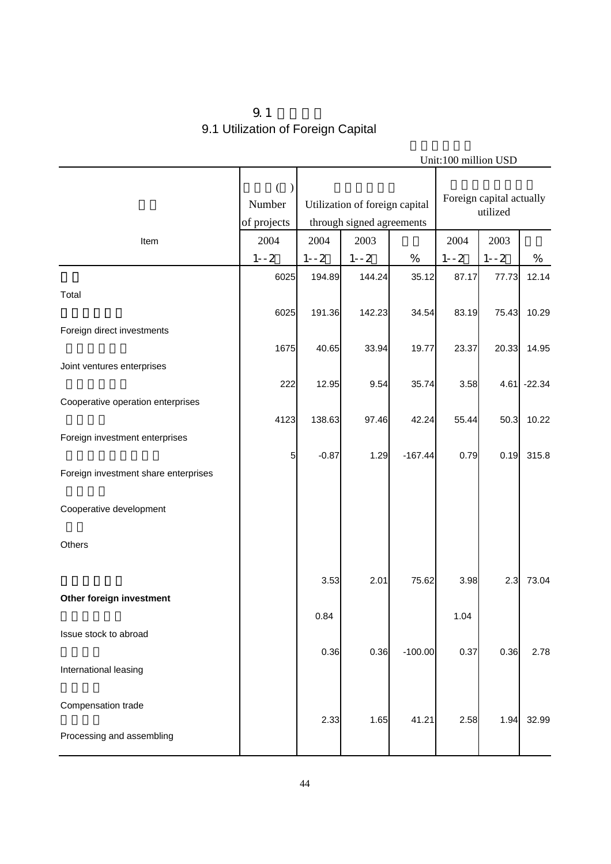## $9.1$ 9.1 Utilization of Foreign Capital

| Unit:100 million USD                 |                            |          |                                                             |           |          |                                      |               |  |
|--------------------------------------|----------------------------|----------|-------------------------------------------------------------|-----------|----------|--------------------------------------|---------------|--|
|                                      | €<br>Number<br>of projects |          | Utilization of foreign capital<br>through signed agreements |           |          | Foreign capital actually<br>utilized |               |  |
| Item                                 | 2004                       | 2004     | 2003                                                        |           | 2004     | 2003                                 |               |  |
|                                      | $1 - -2$                   | $1 - -2$ | $1 - -2$                                                    | $\%$      | $1 - -2$ | $1 - -2$                             | $\%$          |  |
| Total                                | 6025                       | 194.89   | 144.24                                                      | 35.12     | 87.17    | 77.73                                | 12.14         |  |
|                                      | 6025                       | 191.36   | 142.23                                                      | 34.54     | 83.19    | 75.43                                | 10.29         |  |
| Foreign direct investments           | 1675                       | 40.65    | 33.94                                                       | 19.77     | 23.37    | 20.33                                | 14.95         |  |
| Joint ventures enterprises           |                            |          |                                                             |           |          |                                      |               |  |
|                                      | 222                        | 12.95    | 9.54                                                        | 35.74     | 3.58     |                                      | $4.61$ -22.34 |  |
| Cooperative operation enterprises    | 4123                       | 138.63   | 97.46                                                       | 42.24     | 55.44    | 50.3                                 | 10.22         |  |
| Foreign investment enterprises       |                            |          |                                                             |           |          |                                      |               |  |
|                                      | 5                          | $-0.87$  | 1.29                                                        | $-167.44$ | 0.79     | 0.19                                 | 315.8         |  |
| Foreign investment share enterprises |                            |          |                                                             |           |          |                                      |               |  |
| Cooperative development              |                            |          |                                                             |           |          |                                      |               |  |
| Others                               |                            |          |                                                             |           |          |                                      |               |  |
|                                      |                            | 3.53     | 2.01                                                        | 75.62     | 3.98     | 2.3                                  | 73.04         |  |
| Other foreign investment             |                            |          |                                                             |           |          |                                      |               |  |
|                                      |                            | 0.84     |                                                             |           | 1.04     |                                      |               |  |
| Issue stock to abroad                |                            |          |                                                             |           |          |                                      |               |  |
| International leasing                |                            | 0.36     | 0.36                                                        | $-100.00$ | 0.37     | 0.36                                 | 2.78          |  |
|                                      |                            |          |                                                             |           |          |                                      |               |  |
| Compensation trade                   |                            | 2.33     | 1.65                                                        | 41.21     | 2.58     | 1.94                                 | 32.99         |  |
| Processing and assembling            |                            |          |                                                             |           |          |                                      |               |  |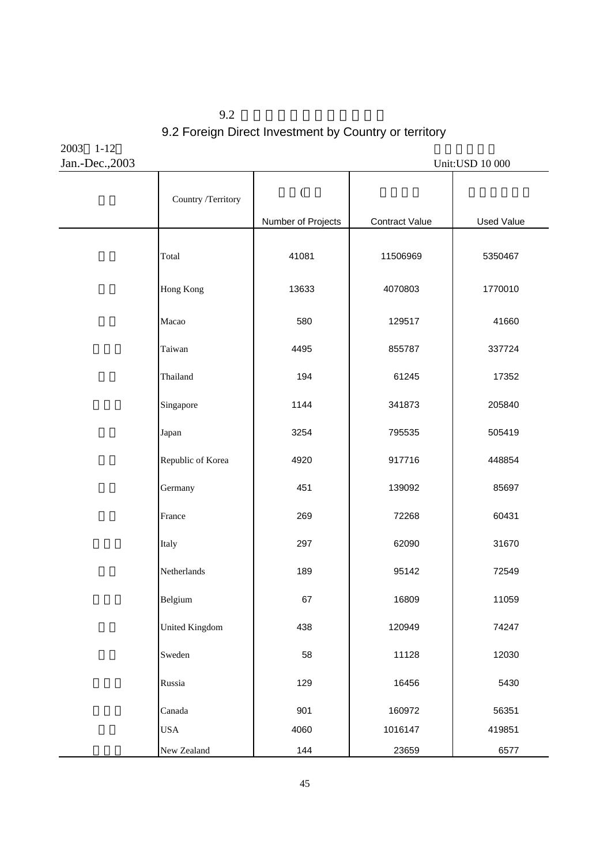$9.2$ 9.2 Foreign Direct Investment by Country or territory

2003 1-12 Jan.-Dec.,2003 Unit:USD 10 000

| Country /Territory    | $\overline{\phantom{a}}$ |                       |                   |
|-----------------------|--------------------------|-----------------------|-------------------|
|                       | Number of Projects       | <b>Contract Value</b> | <b>Used Value</b> |
| Total                 | 41081                    | 11506969              | 5350467           |
| Hong Kong             | 13633                    | 4070803               | 1770010           |
| Macao                 | 580                      | 129517                | 41660             |
| Taiwan                | 4495                     | 855787                | 337724            |
| Thailand              | 194                      | 61245                 | 17352             |
| Singapore             | 1144                     | 341873                | 205840            |
| Japan                 | 3254                     | 795535                | 505419            |
| Republic of Korea     | 4920                     | 917716                | 448854            |
| Germany               | 451                      | 139092                | 85697             |
| France                | 269                      | 72268                 | 60431             |
| Italy                 | 297                      | 62090                 | 31670             |
| Netherlands           | 189                      | 95142                 | 72549             |
| Belgium               | 67                       | 16809                 | 11059             |
| <b>United Kingdom</b> | 438                      | 120949                | 74247             |
| Sweden                | 58                       | 11128                 | 12030             |
| Russia                | 129                      | 16456                 | 5430              |
| Canada                | 901                      | 160972                | 56351             |
| <b>USA</b>            | 4060                     | 1016147               | 419851            |
| New Zealand           | 144                      | 23659                 | 6577              |